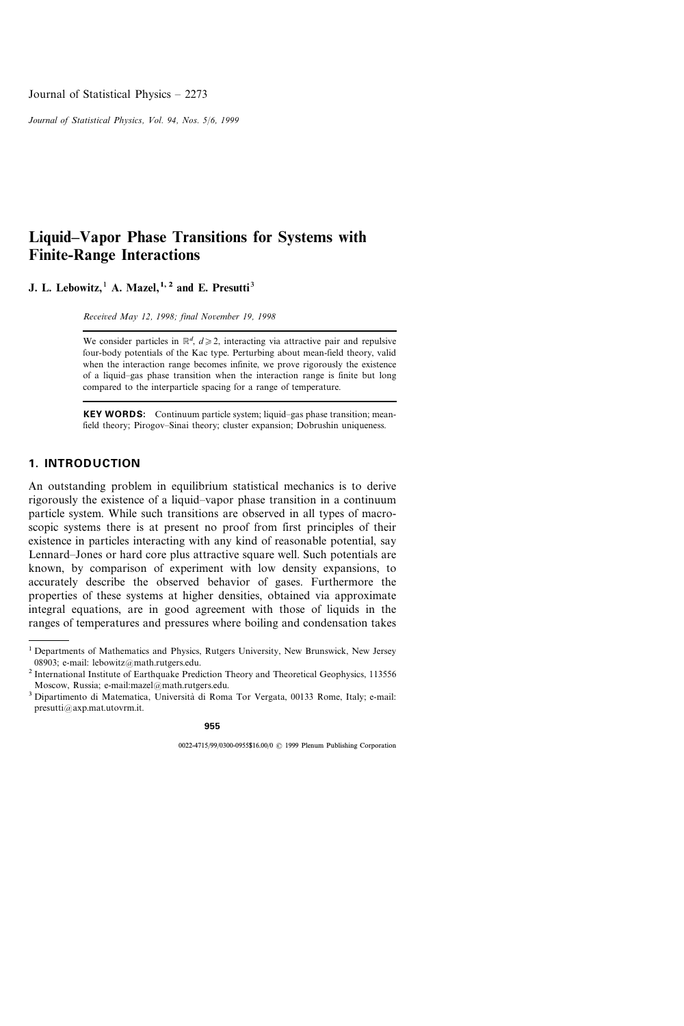# Liquid–Vapor Phase Transitions for Systems with Finite-Range Interactions

J. L. Lebowitz,<sup>1</sup> A. Mazel,<sup>1, 2</sup> and E. Presutti<sup>3</sup>

Received May 12, 1998; final November 19, 1998

We consider particles in  $\mathbb{R}^d$ ,  $d \ge 2$ , interacting via attractive pair and repulsive four-body potentials of the Kac type. Perturbing about mean-field theory, valid when the interaction range becomes infinite, we prove rigorously the existence of a liquid-gas phase transition when the interaction range is finite but long compared to the interparticle spacing for a range of temperature.

KEY WORDS: Continuum particle system; liquid–gas phase transition; meanfield theory; Pirogov-Sinai theory; cluster expansion; Dobrushin uniqueness.

## 1. INTRODUCTION

An outstanding problem in equilibrium statistical mechanics is to derive rigorously the existence of a liquid-vapor phase transition in a continuum particle system. While such transitions are observed in all types of macroscopic systems there is at present no proof from first principles of their existence in particles interacting with any kind of reasonable potential, say Lennard-Jones or hard core plus attractive square well. Such potentials are known, by comparison of experiment with low density expansions, to accurately describe the observed behavior of gases. Furthermore the properties of these systems at higher densities, obtained via approximate integral equations, are in good agreement with those of liquids in the ranges of temperatures and pressures where boiling and condensation takes

<sup>1</sup> Departments of Mathematics and Physics, Rutgers University, New Brunswick, New Jersey 08903; e-mail: lebowitz@math.rutgers.edu.

<sup>&</sup>lt;sup>2</sup> International Institute of Earthquake Prediction Theory and Theoretical Geophysics, 113556 Moscow, Russia; e-mail:mazel@math.rutgers.edu.

<sup>3</sup> Dipartimento di Matematica, Universita di Roma Tor Vergata, 00133 Rome, Italy; e-mail:  $presutti@axp.math.utovrm.it.$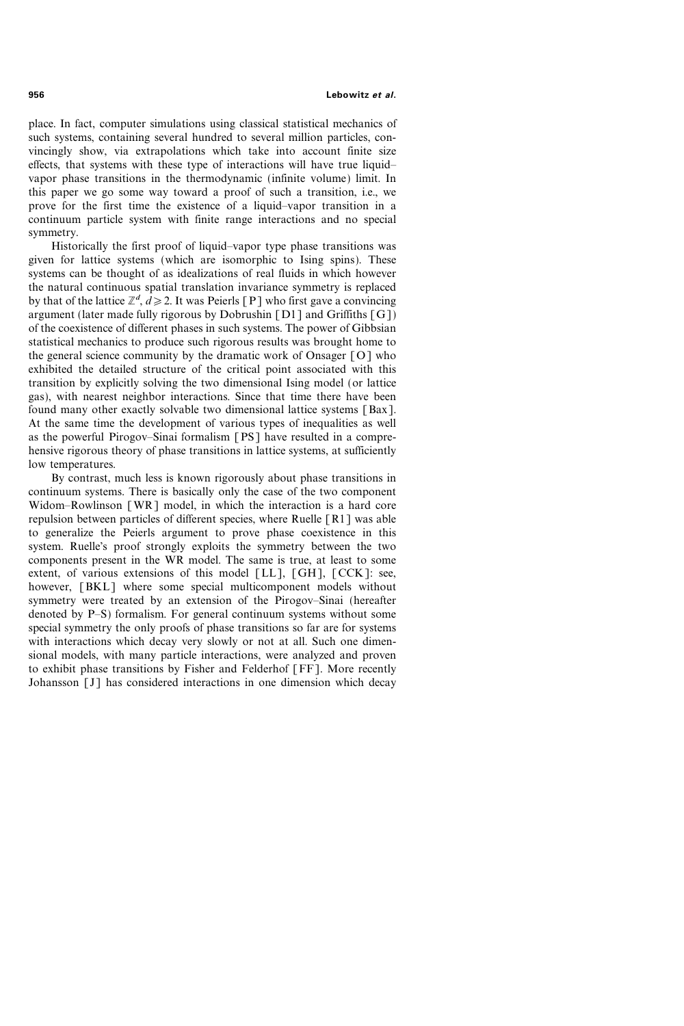956 Lebowitz et al.

place. In fact, computer simulations using classical statistical mechanics of such systems, containing several hundred to several million particles, convincingly show, via extrapolations which take into account finite size effects, that systems with these type of interactions will have true liquid vapor phase transitions in the thermodynamic (infinite volume) limit. In this paper we go some way toward a proof of such a transition, i.e., we prove for the first time the existence of a liquid-vapor transition in a continuum particle system with finite range interactions and no special symmetry.

Historically the first proof of liquid-vapor type phase transitions was given for lattice systems (which are isomorphic to Ising spins). These systems can be thought of as idealizations of real fluids in which however the natural continuous spatial translation invariance symmetry is replaced by that of the lattice  $\mathbb{Z}^d$ ,  $d \ge 2$ . It was Peierls [P] who first gave a convincing argument (later made fully rigorous by Dobrushin [D1] and Griffiths  $[G]$ ) of the coexistence of different phases in such systems. The power of Gibbsian statistical mechanics to produce such rigorous results was brought home to the general science community by the dramatic work of Onsager [O] who exhibited the detailed structure of the critical point associated with this transition by explicitly solving the two dimensional Ising model (or lattice gas), with nearest neighbor interactions. Since that time there have been found many other exactly solvable two dimensional lattice systems [Bax]. At the same time the development of various types of inequalities as well as the powerful Pirogov–Sinai formalism  $[PS]$  have resulted in a comprehensive rigorous theory of phase transitions in lattice systems, at sufficiently low temperatures.

By contrast, much less is known rigorously about phase transitions in continuum systems. There is basically only the case of the two component Widom-Rowlinson  $\lceil WR \rceil$  model, in which the interaction is a hard core repulsion between particles of different species, where Ruelle [R1] was able to generalize the Peierls argument to prove phase coexistence in this system. Ruelle's proof strongly exploits the symmetry between the two components present in the WR model. The same is true, at least to some extent, of various extensions of this model [LL], [GH], [CCK]: see, however, [BKL] where some special multicomponent models without symmetry were treated by an extension of the Pirogov-Sinai (hereafter denoted by P-S) formalism. For general continuum systems without some special symmetry the only proofs of phase transitions so far are for systems with interactions which decay very slowly or not at all. Such one dimensional models, with many particle interactions, were analyzed and proven to exhibit phase transitions by Fisher and Felderhof [FF]. More recently Johansson [J] has considered interactions in one dimension which decay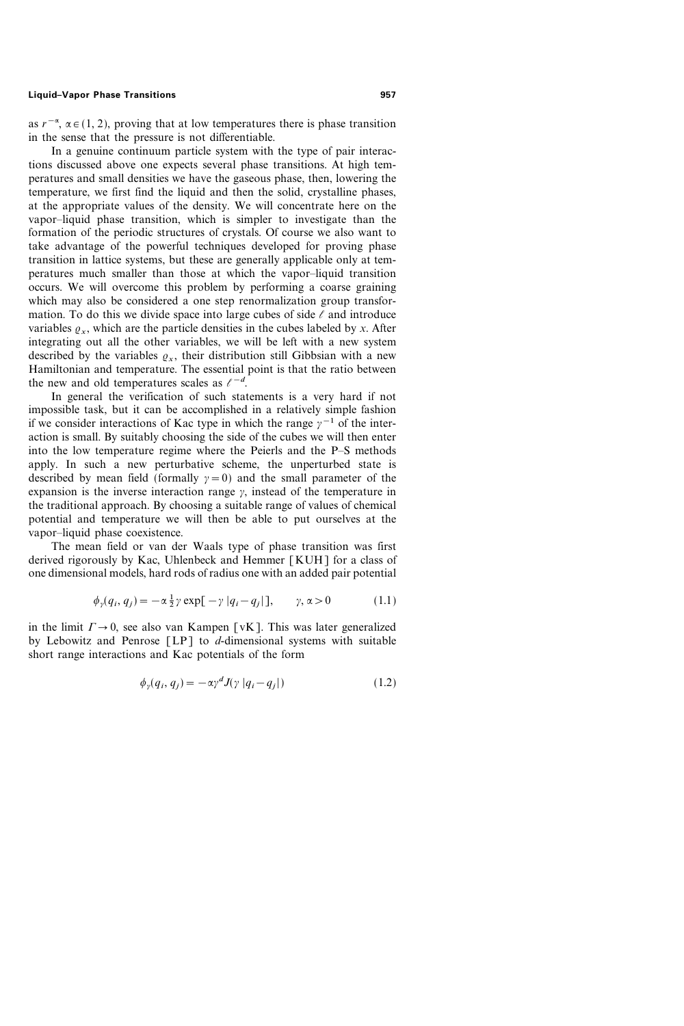#### Liquid–Vapor Phase Transitions **1998** 1997 1998 1997

as  $r^{-\alpha}$ ,  $\alpha \in (1, 2)$ , proving that at low temperatures there is phase transition in the sense that the pressure is not differentiable.

In a genuine continuum particle system with the type of pair interactions discussed above one expects several phase transitions. At high temperatures and small densities we have the gaseous phase, then, lowering the temperature, we first find the liquid and then the solid, crystalline phases, at the appropriate values of the density. We will concentrate here on the vapor-liquid phase transition, which is simpler to investigate than the formation of the periodic structures of crystals. Of course we also want to take advantage of the powerful techniques developed for proving phase transition in lattice systems, but these are generally applicable only at temperatures much smaller than those at which the vapor-liquid transition occurs. We will overcome this problem by performing a coarse graining which may also be considered a one step renormalization group transformation. To do this we divide space into large cubes of side  $\ell$  and introduce variables  $\rho_x$ , which are the particle densities in the cubes labeled by x. After integrating out all the other variables, we will be left with a new system described by the variables  $\varrho_{x}$ , their distribution still Gibbsian with a new Hamiltonian and temperature. The essential point is that the ratio between the new and old temperatures scales as  $\ell^{-d}$ .

In general the verification of such statements is a very hard if not impossible task, but it can be accomplished in a relatively simple fashion if we consider interactions of Kac type in which the range  $\gamma^{-1}$  of the interaction is small. By suitably choosing the side of the cubes we will then enter into the low temperature regime where the Peierls and the P-S methods apply. In such a new perturbative scheme, the unperturbed state is described by mean field (formally  $y = 0$ ) and the small parameter of the expansion is the inverse interaction range  $\gamma$ , instead of the temperature in the traditional approach. By choosing a suitable range of values of chemical potential and temperature we will then be able to put ourselves at the vapor-liquid phase coexistence.

The mean field or van der Waals type of phase transition was first derived rigorously by Kac, Uhlenbeck and Hemmer [KUH] for a class of one dimensional models, hard rods of radius one with an added pair potential

$$
\phi_{\gamma}(q_i, q_j) = -\alpha \frac{1}{2} \gamma \exp[-\gamma |q_i - q_j|], \qquad \gamma, \alpha > 0 \tag{1.1}
$$

in the limit  $\Gamma \rightarrow 0$ , see also van Kampen [vK]. This was later generalized by Lebowitz and Penrose  $[LP]$  to d-dimensional systems with suitable short range interactions and Kac potentials of the form

$$
\phi_{\gamma}(q_i, q_j) = -\alpha \gamma^d J(\gamma |q_i - q_j|) \tag{1.2}
$$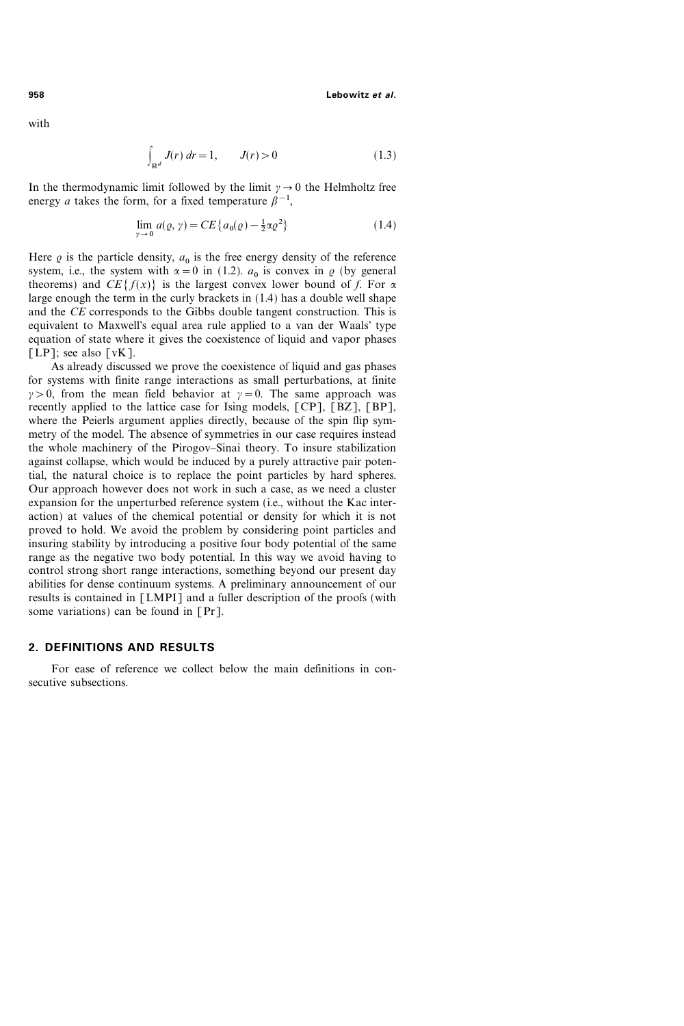with

$$
\int_{\mathbb{R}^d} J(r) \, dr = 1, \qquad J(r) > 0 \tag{1.3}
$$

In the thermodynamic limit followed by the limit  $\gamma \rightarrow 0$  the Helmholtz free energy *a* takes the form, for a fixed temperature  $\beta^{-1}$ ,

$$
\lim_{\gamma \to 0} a(\varrho, \gamma) = CE \{ a_0(\varrho) - \frac{1}{2} \alpha \varrho^2 \}
$$
\n(1.4)

Here  $\varrho$  is the particle density,  $a_0$  is the free energy density of the reference system, i.e., the system with  $\alpha = 0$  in (1.2).  $a_0$  is convex in  $\varrho$  (by general theorems) and  $CE{f(x)}$  is the largest convex lower bound of f. For  $\alpha$ large enough the term in the curly brackets in (1.4) has a double well shape and the CE corresponds to the Gibbs double tangent construction. This is equivalent to Maxwell's equal area rule applied to a van der Waals' type equation of state where it gives the coexistence of liquid and vapor phases [ $LP$ ]; see also [vK].

As already discussed we prove the coexistence of liquid and gas phases for systems with finite range interactions as small perturbations, at finite  $y > 0$ , from the mean field behavior at  $y = 0$ . The same approach was recently applied to the lattice case for Ising models,  $[CP]$ ,  $[BZ]$ ,  $[BP]$ , where the Peierls argument applies directly, because of the spin flip symmetry of the model. The absence of symmetries in our case requires instead the whole machinery of the Pirogov-Sinai theory. To insure stabilization against collapse, which would be induced by a purely attractive pair potential, the natural choice is to replace the point particles by hard spheres. Our approach however does not work in such a case, as we need a cluster expansion for the unperturbed reference system (i.e., without the Kac interaction) at values of the chemical potential or density for which it is not proved to hold. We avoid the problem by considering point particles and insuring stability by introducing a positive four body potential of the same range as the negative two body potential. In this way we avoid having to control strong short range interactions, something beyond our present day abilities for dense continuum systems. A preliminary announcement of our results is contained in [LMPI] and a fuller description of the proofs (with some variations) can be found in  $[Pr]$ .

### 2. DEFINITIONS AND RESULTS

For ease of reference we collect below the main definitions in consecutive subsections.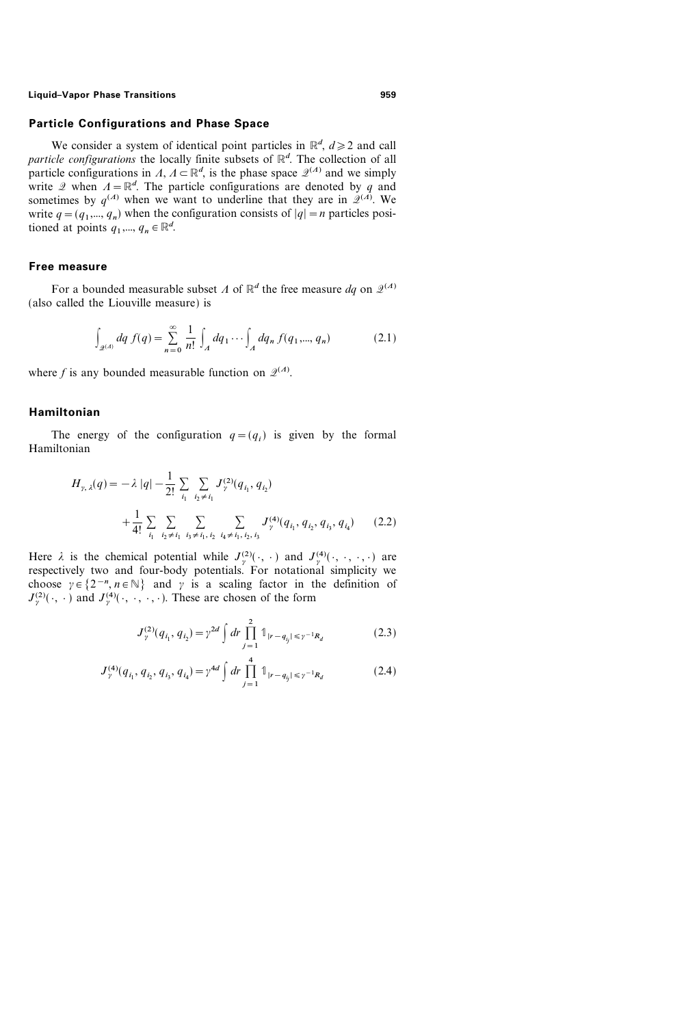#### Liquid–Vapor Phase Transitions **1998 Phase Transitions** 959

## Particle Configurations and Phase Space

We consider a system of identical point particles in  $\mathbb{R}^d$ ,  $d \ge 2$  and call particle configurations the locally finite subsets of  $\mathbb{R}^d$ . The collection of all particle configurations in  $\Lambda$ ,  $\Lambda \subset \mathbb{R}^d$ , is the phase space  $\mathcal{Q}^{(\Lambda)}$  and we simply write 2 when  $\Lambda = \mathbb{R}^d$ . The particle configurations are denoted by q and sometimes by  $q^{(A)}$  when we want to underline that they are in  $\mathcal{Q}^{(A)}$ . We write  $q = (q_1, ..., q_n)$  when the configuration consists of  $|q| = n$  particles positioned at points  $q_1, ..., q_n \in \mathbb{R}^d$ .

#### Free measure

For a bounded measurable subset  $\Lambda$  of  $\mathbb{R}^d$  the free measure  $dq$  on  $\mathcal{Q}^{(\Lambda)}$ (also called the Liouville measure) is

$$
\int_{\mathcal{Q}^{(A)}} dq f(q) = \sum_{n=0}^{\infty} \frac{1}{n!} \int_{A} dq_1 \cdots \int_{A} dq_n f(q_1, \dots, q_n)
$$
 (2.1)

where f is any bounded measurable function on  $\mathcal{Q}^{(A)}$ .

### Hamiltonian

The energy of the configuration  $q=(q_i)$  is given by the formal Hamiltonian

$$
H_{\gamma, \lambda}(q) = -\lambda |q| - \frac{1}{2!} \sum_{i_1} \sum_{i_2 \neq i_1} J_{\gamma}^{(2)}(q_{i_1}, q_{i_2}) + \frac{1}{4!} \sum_{i_1} \sum_{i_2 \neq i_1} \sum_{i_3 \neq i_1, i_2} \sum_{i_4 \neq i_1, i_2, i_3} J_{\gamma}^{(4)}(q_{i_1}, q_{i_2}, q_{i_3}, q_{i_4}) \qquad (2.2)
$$

Here  $\lambda$  is the chemical potential while  $J_{\gamma}^{(2)}(\cdot, \cdot)$  and  $J_{\gamma}^{(4)}(\cdot, \cdot, \cdot, \cdot)$  are respectively two and four-body potentials. For notational simplicity we choose  $\gamma \in \{2^{-n}, n \in \mathbb{N}\}\$  and  $\gamma$  is a scaling factor in the definition of  $J_{\gamma}^{(2)}(\cdot,\cdot)$  and  $J_{\gamma}^{(4)}(\cdot,\cdot,\cdot,\cdot)$ . These are chosen of the form

$$
J_{\gamma}^{(2)}(q_{i_1}, q_{i_2}) = \gamma^{2d} \int dr \prod_{j=1}^{2} \mathbb{1}_{|r - q_{i_j}| \leq \gamma^{-1} R_d}
$$
 (2.3)

$$
J_{\gamma}^{(4)}(q_{i_1}, q_{i_2}, q_{i_3}, q_{i_4}) = \gamma^{4d} \int dr \prod_{j=1}^4 \mathbb{1}_{|r - q_{i_j}| \leq \gamma^{-1}R_d}
$$
 (2.4)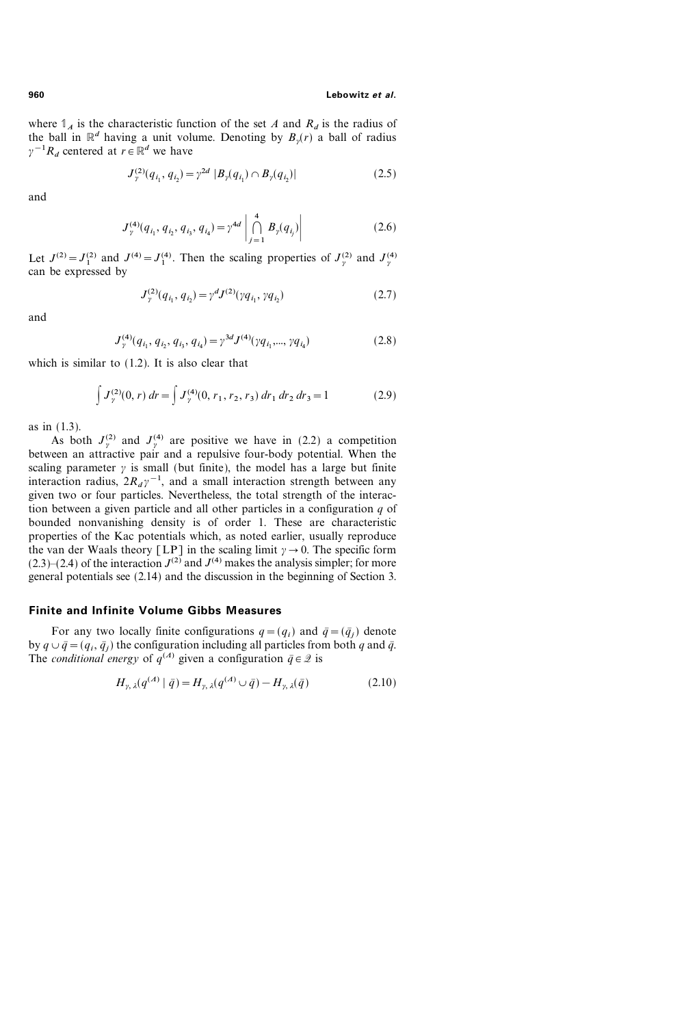where  $\mathbb{1}_A$  is the characteristic function of the set A and  $R_d$  is the radius of the ball in  $\mathbb{R}^d$  having a unit volume. Denoting by  $B_v(r)$  a ball of radius  $\gamma^{-1}R_d$  centered at  $r \in \mathbb{R}^d$  we have

$$
J_{\gamma}^{(2)}(q_{i_1}, q_{i_2}) = \gamma^{2d} |B_{\gamma}(q_{i_1}) \cap B_{\gamma}(q_{i_2})|
$$
 (2.5)

and

$$
J_{\gamma}^{(4)}(q_{i_1}, q_{i_2}, q_{i_3}, q_{i_4}) = \gamma^{4d} \left| \bigcap_{j=1}^{4} B_{\gamma}(q_{i_j}) \right| \tag{2.6}
$$

Let  $J^{(2)} = J_1^{(2)}$  and  $J^{(4)} = J_1^{(4)}$ . Then the scaling properties of  $J_\gamma^{(2)}$  and  $J_\gamma^{(4)}$ can be expressed by

$$
J_{\gamma}^{(2)}(q_{i_1}, q_{i_2}) = \gamma^d J^{(2)}(\gamma q_{i_1}, \gamma q_{i_2})
$$
\n(2.7)

and

$$
J_{\gamma}^{(4)}(q_{i_1}, q_{i_2}, q_{i_3}, q_{i_4}) = \gamma^{3d} J^{(4)}(\gamma q_{i_1}, \dots, \gamma q_{i_4})
$$
\n(2.8)

which is similar to (1.2). It is also clear that

$$
\int J_{\gamma}^{(2)}(0, r) dr = \int J_{\gamma}^{(4)}(0, r_1, r_2, r_3) dr_1 dr_2 dr_3 = 1
$$
 (2.9)

as in (1.3).

As both  $J_{\gamma}^{(2)}$  and  $J_{\gamma}^{(4)}$  are positive we have in (2.2) a competition between an attractive pair and a repulsive four-body potential. When the scaling parameter  $\gamma$  is small (but finite), the model has a large but finite interaction radius,  $2R_d \gamma^{-1}$ , and a small interaction strength between any given two or four particles. Nevertheless, the total strength of the interaction between a given particle and all other particles in a configuration  $q$  of bounded nonvanishing density is of order 1. These are characteristic properties of the Kac potentials which, as noted earlier, usually reproduce the van der Waals theory [LP] in the scaling limit  $y \to 0$ . The specific form  $(2.3)-(2.4)$  of the interaction  $J^{(2)}$  and  $J^{(4)}$  makes the analysis simpler; for more general potentials see (2.14) and the discussion in the beginning of Section 3.

## Finite and Infinite Volume Gibbs Measures

For any two locally finite configurations  $q=(q_i)$  and  $\bar{q}=(\bar{q}_i)$  denote by  $q \cup \bar{q} = (q_i, \bar{q}_i)$  the configuration including all particles from both q and  $\bar{q}$ . The *conditional energy* of  $q^{(A)}$  given a configuration  $\bar{q} \in \mathcal{Q}$  is

$$
H_{\gamma,\lambda}(q^{(A)} \mid \bar{q}) = H_{\gamma,\lambda}(q^{(A)} \cup \bar{q}) - H_{\gamma,\lambda}(\bar{q})
$$
\n(2.10)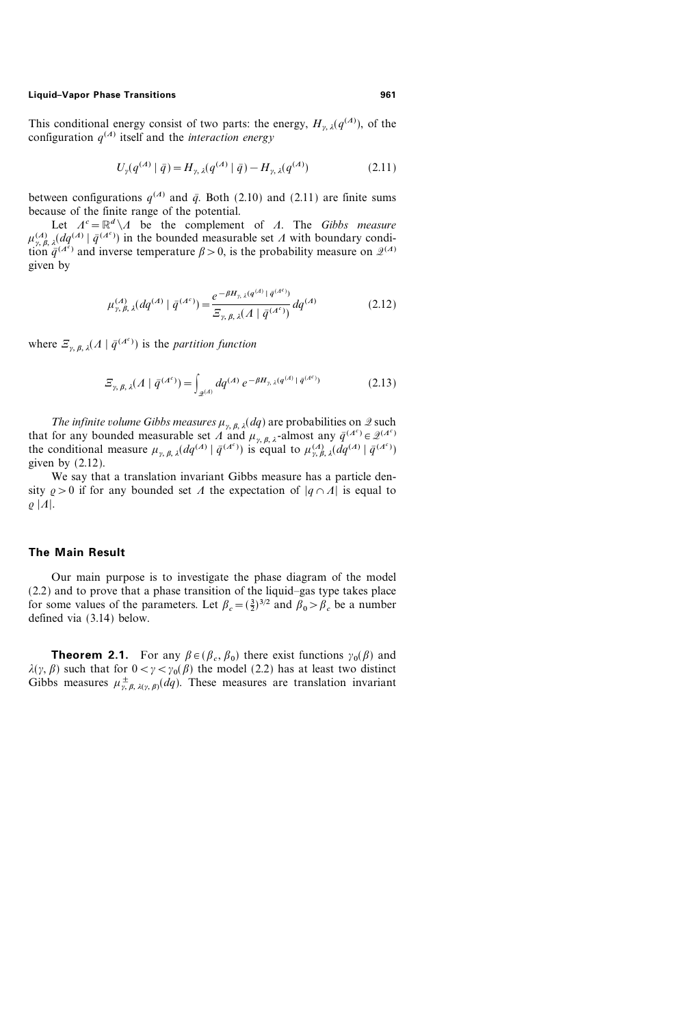#### Liquid–Vapor Phase Transitions 861

This conditional energy consist of two parts: the energy,  $H_{\gamma, \lambda}(q^{(A)})$ , of the configuration  $q^{(A)}$  itself and the *interaction energy* 

$$
U_{\gamma}(q^{(A)} \mid \bar{q}) = H_{\gamma,\lambda}(q^{(A)} \mid \bar{q}) - H_{\gamma,\lambda}(q^{(A)})
$$
\n(2.11)

between configurations  $q^{(A)}$  and  $\bar{q}$ . Both (2.10) and (2.11) are finite sums because of the finite range of the potential.

Let  $A^c = \mathbb{R}^d \setminus A$  be the complement of A. The Gibbs measure  $\mu_{\gamma,\beta,\lambda}^{(A)}(dq^{(A)} | \bar{q}^{(A^c)})$  in the bounded measurable set A with boundary condition  $\bar{q}^{(A^{\epsilon})}$  and inverse temperature  $\beta > 0$ , is the probability measure on  $\mathcal{Q}^{(A)}$ given by

$$
\mu_{\gamma,\beta,\lambda}^{(A)}(dq^{(A)} | \bar{q}^{(A^c)}) = \frac{e^{-\beta H_{\gamma,\lambda}(q^{(A)} | \bar{q}^{(A^c)})}}{\Xi_{\gamma,\beta,\lambda}(A | \bar{q}^{(A^c)})} dq^{(A)}
$$
(2.12)

where  $\mathcal{Z}_{\gamma,\beta,\lambda}(\Lambda | \bar{q}^{(\Lambda^c)})$  is the *partition function* 

$$
\mathcal{Z}_{\gamma,\beta,\lambda}(A \mid \bar{q}^{(A^c)}) = \int_{\mathcal{Q}^{(A)}} dq^{(A)} \, e^{-\beta H_{\gamma,\lambda}(q^{(A)} \mid \bar{q}^{(A^c)})} \tag{2.13}
$$

The infinite volume Gibbs measures  $\mu_{\nu, \beta, \lambda}(dq)$  are probabilities on  $\mathscr Q$  such that for any bounded measurable set A and  $\mu_{\gamma, \beta, \lambda}$ -almost any  $\bar{q}^{(A^c)} \in \mathcal{Q}^{(A^c)}$ the conditional measure  $\mu_{\gamma, \beta, \lambda}(dq^{(\Lambda)} | \bar{q}^{(A^c)})$  is equal to  $\mu_{\gamma, \beta, \lambda}(dq^{(\Lambda)} | \bar{q}^{(A^c)})$ given by (2.12).

We say that a translation invariant Gibbs measure has a particle density  $\rho > 0$  if for any bounded set  $\Lambda$  the expectation of  $|q \cap \Lambda|$  is equal to  $\rho$  | $\Lambda$ |.

### The Main Result

Our main purpose is to investigate the phase diagram of the model  $(2.2)$  and to prove that a phase transition of the liquid-gas type takes place for some values of the parameters. Let  $\beta_c = (\frac{3}{2})^{3/2}$  and  $\beta_0 > \beta_c$  be a number defined via (3.14) below.

**Theorem 2.1.** For any  $\beta \in (\beta_c, \beta_0)$  there exist functions  $\gamma_0(\beta)$  and  $\lambda(\gamma, \beta)$  such that for  $0 < \gamma < \gamma_0(\beta)$  the model (2.2) has at least two distinct Gibbs measures  $\mu^{\pm}_{\gamma, \beta, \lambda(\gamma, \beta)}(dq)$ . These measures are translation invariant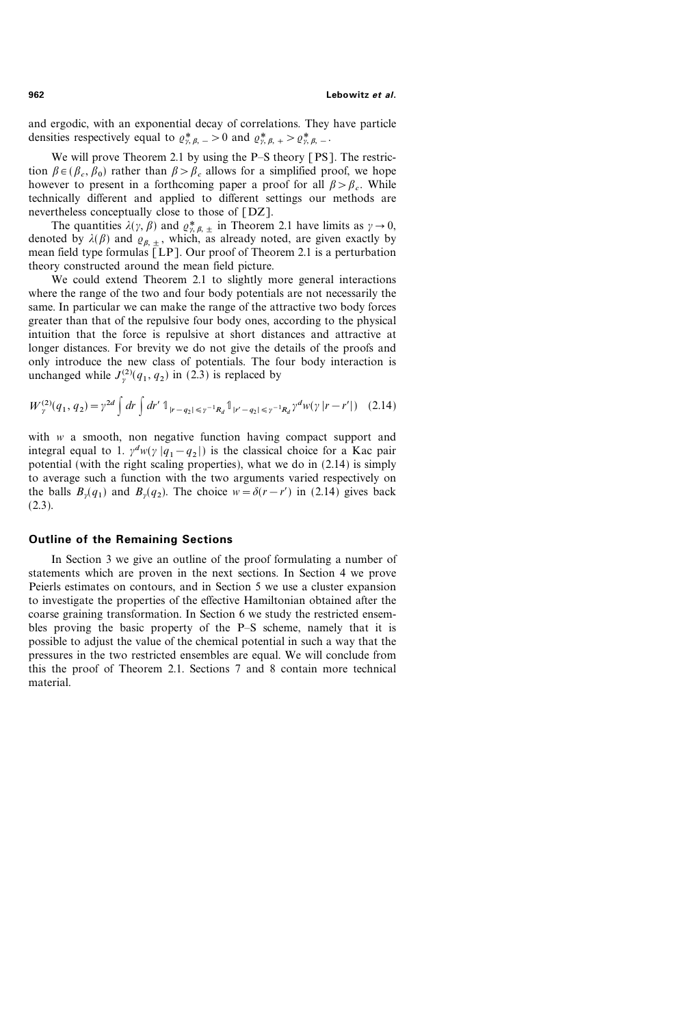and ergodic, with an exponential decay of correlations. They have particle densities respectively equal to  $\varrho^*_{\gamma,\beta,-} > 0$  and  $\varrho^*_{\gamma,\beta,+} > \varrho^*_{\gamma,\beta,-}$ .

We will prove Theorem 2.1 by using the  $P-S$  theory  $[PS]$ . The restriction  $\beta \in (\beta_c, \beta_0)$  rather than  $\beta > \beta_c$  allows for a simplified proof, we hope however to present in a forthcoming paper a proof for all  $\beta > \beta_c$ . While technically different and applied to different settings our methods are nevertheless conceptually close to those of [DZ].

The quantities  $\lambda(\gamma, \beta)$  and  $\varrho_{\gamma, \beta, +}^*$  in Theorem 2.1 have limits as  $\gamma \to 0$ , denoted by  $\lambda(\beta)$  and  $\varrho_{\beta,+}$ , which, as already noted, are given exactly by mean field type formulas [LP]. Our proof of Theorem 2.1 is a perturbation theory constructed around the mean field picture.

We could extend Theorem 2.1 to slightly more general interactions where the range of the two and four body potentials are not necessarily the same. In particular we can make the range of the attractive two body forces greater than that of the repulsive four body ones, according to the physical intuition that the force is repulsive at short distances and attractive at longer distances. For brevity we do not give the details of the proofs and only introduce the new class of potentials. The four body interaction is unchanged while  $J_{\gamma}^{(2)}(q_1, q_2)$  in (2.3) is replaced by

$$
W_{\gamma}^{(2)}(q_1, q_2) = \gamma^{2d} \int dr \int dr' \mathbb{1}_{|r-q_2| \leq \gamma^{-1}R_d} \mathbb{1}_{|r'-q_2| \leq \gamma^{-1}R_d} \gamma^d w(\gamma |r-r'|) \quad (2.14)
$$

with w a smooth, non negative function having compact support and integral equal to 1.  $\gamma^d w(\gamma |q_1-q_2|)$  is the classical choice for a Kac pair potential (with the right scaling properties), what we do in (2.14) is simply to average such a function with the two arguments varied respectively on the balls  $B_{\nu}(q_1)$  and  $B_{\nu}(q_2)$ . The choice  $w = \delta(r - r')$  in (2.14) gives back (2.3).

## Outline of the Remaining Sections

In Section 3 we give an outline of the proof formulating a number of statements which are proven in the next sections. In Section 4 we prove Peierls estimates on contours, and in Section 5 we use a cluster expansion to investigate the properties of the effective Hamiltonian obtained after the coarse graining transformation. In Section 6 we study the restricted ensembles proving the basic property of the P-S scheme, namely that it is possible to adjust the value of the chemical potential in such a way that the pressures in the two restricted ensembles are equal. We will conclude from this the proof of Theorem 2.1. Sections 7 and 8 contain more technical material.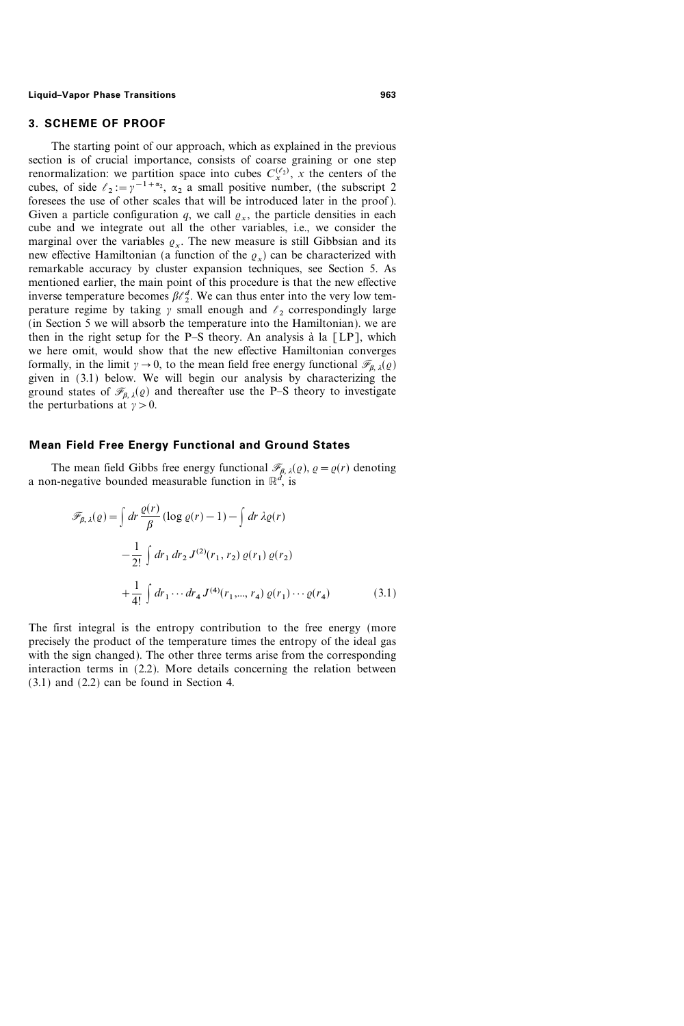## 3. SCHEME OF PROOF

The starting point of our approach, which as explained in the previous section is of crucial importance, consists of coarse graining or one step renormalization: we partition space into cubes  $C_x^{(\ell_2)}$ , x the centers of the cubes, of side  $\ell_2 := y^{-1+\alpha_2}$ ,  $\alpha_2$  a small positive number, (the subscript 2 foresees the use of other scales that will be introduced later in the proof ). Given a particle configuration q, we call  $\varrho_{x}$ , the particle densities in each cube and we integrate out all the other variables, i.e., we consider the marginal over the variables  $\varrho_x$ . The new measure is still Gibbsian and its new effective Hamiltonian (a function of the  $\varrho_x$ ) can be characterized with remarkable accuracy by cluster expansion techniques, see Section 5. As mentioned earlier, the main point of this procedure is that the new effective inverse temperature becomes  $\beta \ell_2^d$ . We can thus enter into the very low temperature regime by taking  $\gamma$  small enough and  $\ell_2$  correspondingly large (in Section 5 we will absorb the temperature into the Hamiltonian). we are then in the right setup for the P-S theory. An analysis  $\hat{a}$  la [LP], which we here omit, would show that the new effective Hamiltonian converges formally, in the limit  $\gamma \to 0$ , to the mean field free energy functional  $\mathcal{F}_{\beta, \lambda}(q)$ given in (3.1) below. We will begin our analysis by characterizing the ground states of  $\mathcal{F}_{\beta,\lambda}(q)$  and thereafter use the P-S theory to investigate the perturbations at  $y > 0$ .

### Mean Field Free Energy Functional and Ground States

The mean field Gibbs free energy functional  $\mathcal{F}_{\beta,\lambda}(\varrho), \varrho=\varrho(r)$  denoting a non-negative bounded measurable function in  $\mathbb{R}^d$ , is

$$
\mathscr{F}_{\beta,\lambda}(Q) = \int dr \, \frac{\varrho(r)}{\beta} \left( \log \varrho(r) - 1 \right) - \int dr \, \lambda \varrho(r)
$$

$$
- \frac{1}{2!} \int dr_1 \, dr_2 \, J^{(2)}(r_1, r_2) \, \varrho(r_1) \, \varrho(r_2)
$$

$$
+ \frac{1}{4!} \int dr_1 \cdots dr_4 \, J^{(4)}(r_1, ..., r_4) \, \varrho(r_1) \cdots \varrho(r_4) \tag{3.1}
$$

The first integral is the entropy contribution to the free energy (more precisely the product of the temperature times the entropy of the ideal gas with the sign changed). The other three terms arise from the corresponding interaction terms in (2.2). More details concerning the relation between (3.1) and (2.2) can be found in Section 4.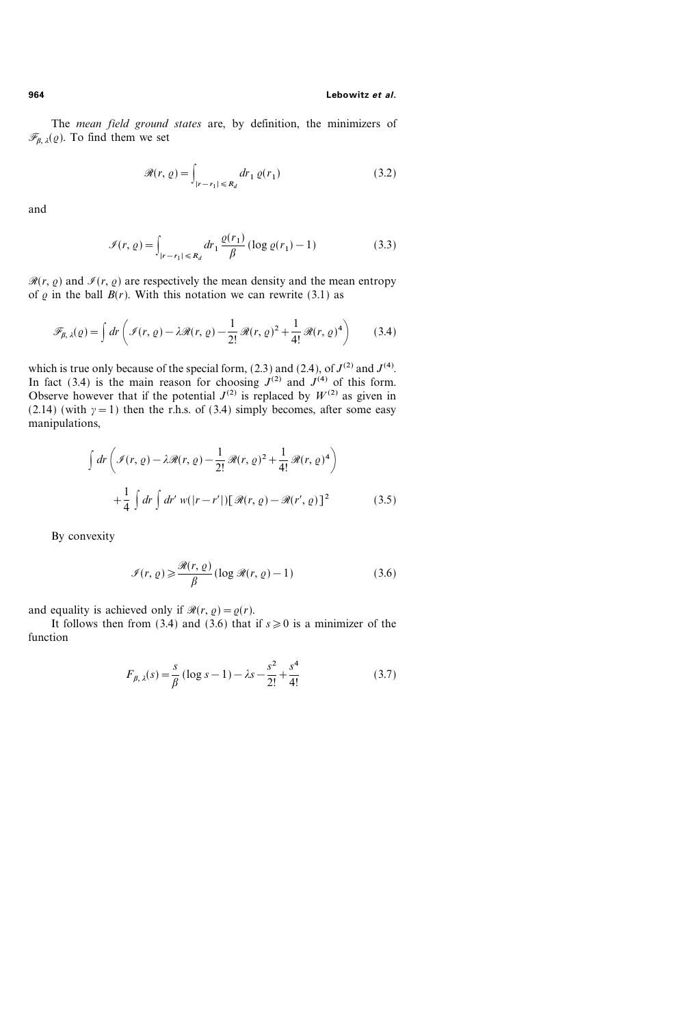#### 964 Lebowitz et al.

The mean field ground states are, by definition, the minimizers of  $\mathcal{F}_{\beta, \lambda}(\varrho)$ . To find them we set

$$
\mathcal{R}(r,\varrho) = \int_{|r-r_1| \le R_d} dr_1 \,\varrho(r_1) \tag{3.2}
$$

and

$$
\mathcal{I}(r, \varrho) = \int_{|r - r_1| \le R_d} dr_1 \frac{\varrho(r_1)}{\beta} (\log \varrho(r_1) - 1)
$$
 (3.3)

 $\mathcal{R}(r, \varrho)$  and  $\mathcal{I}(r, \varrho)$  are respectively the mean density and the mean entropy of  $\varrho$  in the ball  $B(r)$ . With this notation we can rewrite (3.1) as

$$
\mathscr{F}_{\beta,\lambda}(\varrho) = \int dr \left( \mathscr{I}(r,\varrho) - \lambda \mathscr{R}(r,\varrho) - \frac{1}{2!} \mathscr{R}(r,\varrho)^2 + \frac{1}{4!} \mathscr{R}(r,\varrho)^4 \right) \tag{3.4}
$$

which is true only because of the special form, (2.3) and (2.4), of  $J^{(2)}$  and  $J^{(4)}$ . In fact (3.4) is the main reason for choosing  $J^{(2)}$  and  $J^{(4)}$  of this form. Observe however that if the potential  $J^{(2)}$  is replaced by  $W^{(2)}$  as given in (2.14) (with  $y = 1$ ) then the r.h.s. of (3.4) simply becomes, after some easy manipulations,

$$
\int dr \left( \mathcal{I}(r, \varrho) - \lambda \mathcal{R}(r, \varrho) - \frac{1}{2!} \mathcal{R}(r, \varrho)^2 + \frac{1}{4!} \mathcal{R}(r, \varrho)^4 \right) + \frac{1}{4} \int dr \int dr' w(|r - r'|) \left[ \mathcal{R}(r, \varrho) - \mathcal{R}(r', \varrho) \right]^2
$$
(3.5)

By convexity

$$
\mathcal{I}(r,\varrho) \geqslant \frac{\mathcal{R}(r,\varrho)}{\beta} \left(\log \mathcal{R}(r,\varrho) - 1\right) \tag{3.6}
$$

and equality is achieved only if  $\mathcal{R}(r, \rho) = \rho(r)$ .

It follows then from (3.4) and (3.6) that if  $s\geq0$  is a minimizer of the function

$$
F_{\beta, \lambda}(s) = \frac{s}{\beta} \left( \log s - 1 \right) - \lambda s - \frac{s^2}{2!} + \frac{s^4}{4!} \tag{3.7}
$$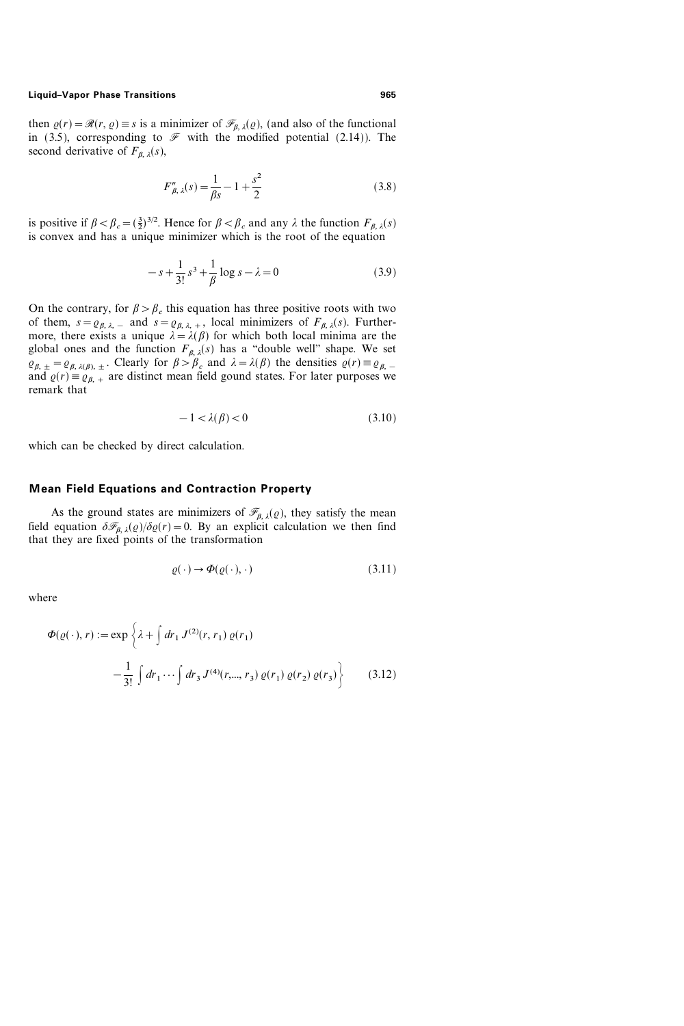#### Liquid–Vapor Phase Transitions 865

then  $\varrho(r)=\mathcal{R}(r, \varrho)\equiv s$  is a minimizer of  $\mathcal{F}_{\beta,\lambda}(\varrho)$ , (and also of the functional in (3.5), corresponding to  $\mathscr F$  with the modified potential (2.14)). The second derivative of  $F_{\beta, \lambda}(s)$ ,

$$
F''_{\beta,\lambda}(s) = \frac{1}{\beta s} - 1 + \frac{s^2}{2}
$$
\n(3.8)

is positive if  $\beta < \beta_c = (\frac{3}{2})^{3/2}$ . Hence for  $\beta < \beta_c$  and any  $\lambda$  the function  $F_{\beta, \lambda}(s)$ is convex and has a unique minimizer which is the root of the equation

$$
-s + \frac{1}{3!} s^3 + \frac{1}{\beta} \log s - \lambda = 0
$$
 (3.9)

On the contrary, for  $\beta > \beta_c$  this equation has three positive roots with two of them,  $s = \varrho_{\beta, \lambda}$  and  $s = \varrho_{\beta, \lambda}$ , to al minimizers of  $F_{\beta, \lambda}(s)$ . Furthermore, there exists a unique  $\lambda = \lambda(\beta)$  for which both local minima are the global ones and the function  $F_{n, \lambda}(s)$  has a "double well" shape. We set  $\varrho_{\beta,+}=\varrho_{\beta,\lambda(\beta), +}$ . Clearly for  $\beta > \beta_c$  and  $\lambda = \lambda(\beta)$  the densities  $\varrho(r) \equiv \varrho_{\beta,-}$ and  $\varrho(r) \equiv \varrho_{\beta,+}$  are distinct mean field gound states. For later purposes we remark that

$$
-1 < \lambda(\beta) < 0 \tag{3.10}
$$

which can be checked by direct calculation.

## Mean Field Equations and Contraction Property

As the ground states are minimizers of  $\mathcal{F}_{\beta,\lambda}(q)$ , they satisfy the mean field equation  $\delta \mathcal{F}_{\beta, \lambda}(q)/\delta q(r)=0$ . By an explicit calculation we then find that they are fixed points of the transformation

$$
\varrho(\cdot) \to \varPhi(\varrho(\cdot), \cdot) \tag{3.11}
$$

where

$$
\Phi(\varrho(\cdot), r) := \exp \left\{ \lambda + \int dr_1 J^{(2)}(r, r_1) \varrho(r_1) - \frac{1}{3!} \int dr_1 \cdots \int dr_3 J^{(4)}(r, ..., r_3) \varrho(r_1) \varrho(r_2) \varrho(r_3) \right\}
$$
(3.12)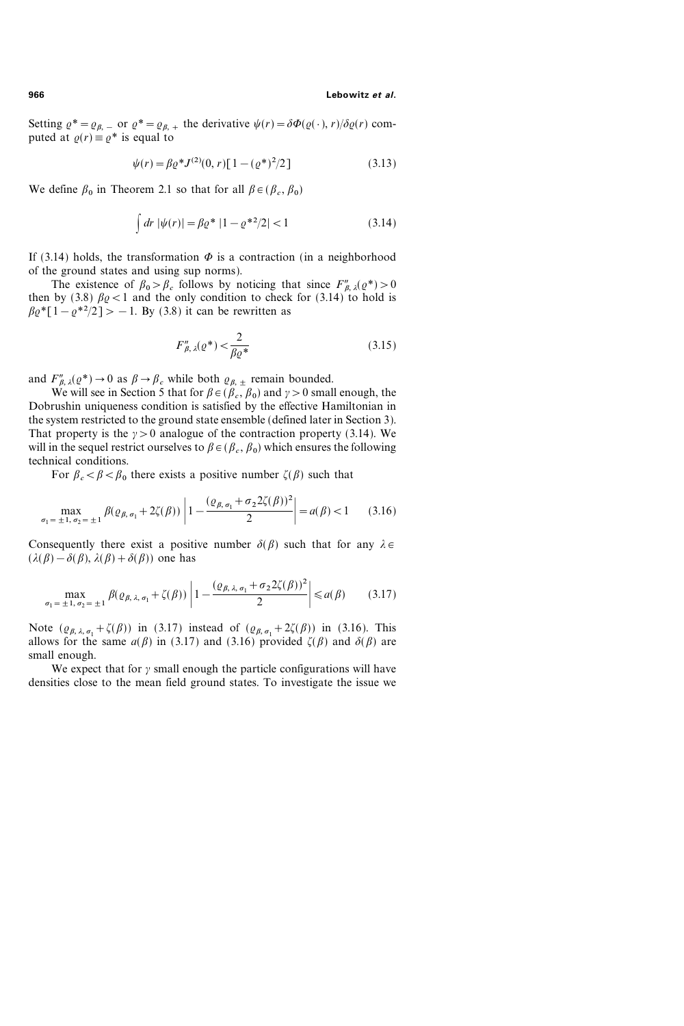#### 966 Lebowitz et al.

Setting  $\varrho^*=\varrho_{\beta,-}$  or  $\varrho^*=\varrho_{\beta,+}$  the derivative  $\psi(r)=\delta\Phi(\varrho(\cdot), r)/\delta\varrho(r)$  computed at  $\rho(r) \equiv \rho^*$  is equal to

$$
\psi(r) = \beta \varrho^* J^{(2)}(0, r) [1 - (\varrho^*)^2 / 2]
$$
\n(3.13)

We define  $\beta_0$  in Theorem 2.1 so that for all  $\beta \in (\beta_c, \beta_0)$ 

$$
\int dr \, |\psi(r)| = \beta \varrho^* \, |1 - \varrho^{*2}/2| < 1 \tag{3.14}
$$

If (3.14) holds, the transformation  $\Phi$  is a contraction (in a neighborhood of the ground states and using sup norms).

The existence of  $\beta_0 > \beta_c$  follows by noticing that since  $F''_{\beta, \lambda}(e^*) > 0$ then by (3.8)  $\beta \varrho$  < 1 and the only condition to check for (3.14) to hold is  $\beta \varrho^* [1 - \varrho^{*2}/2] > -1$ . By (3.8) it can be rewritten as

$$
F''_{\beta,\lambda}(\varrho^*) < \frac{2}{\beta \varrho^*} \tag{3.15}
$$

and  $F''_{\beta, \lambda}(e^*) \to 0$  as  $\beta \to \beta_c$  while both  $\varrho_{\beta, \pm}$  remain bounded.

We will see in Section 5 that for  $\beta \in (\beta_c, \beta_0)$  and  $\gamma > 0$  small enough, the Dobrushin uniqueness condition is satisfied by the effective Hamiltonian in the system restricted to the ground state ensemble (defined later in Section 3). That property is the  $y > 0$  analogue of the contraction property (3.14). We will in the sequel restrict ourselves to  $\beta \in (\beta_c, \beta_0)$  which ensures the following technical conditions.

For  $\beta_c < \beta < \beta_0$  there exists a positive number  $\zeta(\beta)$  such that

$$
\max_{\sigma_1 = \pm 1, \sigma_2 = \pm 1} \beta(\varrho_{\beta, \sigma_1} + 2\zeta(\beta)) \left| 1 - \frac{(\varrho_{\beta, \sigma_1} + \sigma_2 2\zeta(\beta))^2}{2} \right| = a(\beta) < 1 \tag{3.16}
$$

Consequently there exist a positive number  $\delta(\beta)$  such that for any  $\lambda \in$  $(\lambda(\beta) - \delta(\beta), \lambda(\beta) + \delta(\beta))$  one has

$$
\max_{\sigma_1 = \pm 1, \sigma_2 = \pm 1} \beta(\varrho_{\beta, \lambda, \sigma_1} + \zeta(\beta)) \left| 1 - \frac{(\varrho_{\beta, \lambda, \sigma_1} + \sigma_2 2\zeta(\beta))^2}{2} \right| \leq a(\beta) \qquad (3.17)
$$

Note  $(\varrho_{\beta,\lambda,\sigma_1}+\zeta(\beta))$  in (3.17) instead of  $(\varrho_{\beta,\sigma_1}+2\zeta(\beta))$  in (3.16). This allows for the same  $a(\beta)$  in (3.17) and (3.16) provided  $\zeta(\beta)$  and  $\delta(\beta)$  are small enough.

We expect that for  $\gamma$  small enough the particle configurations will have densities close to the mean field ground states. To investigate the issue we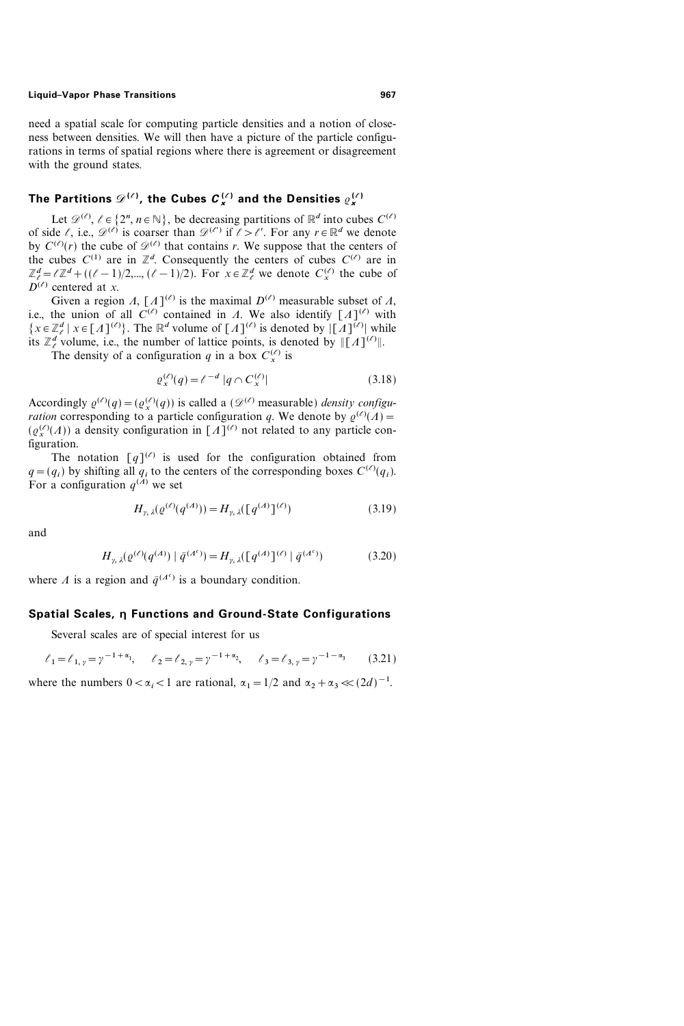#### Liquid–Vapor Phase Transitions 867 (1996) 1967 (1996) 1967 (1998) 1967 (1998) 1967

need a spatial scale for computing particle densities and a notion of closeness between densities. We will then have a picture of the particle configurations in terms of spatial regions where there is agreement or disagreement with the ground states.

# The Partitions  $\mathscr{D}^{\left(\ell\right)}$ , the Cubes  $\mathcal{C}_{\mathbf{x}}^{\left(\ell\right)}$  and the Densities  $\varrho_{\mathbf{x}}^{\left(\ell\right)}$

Let  $\mathscr{D}^{(\ell)}$ ,  $\ell \in \{2^n, n \in \mathbb{N}\}\,$ , be decreasing partitions of  $\mathbb{R}^d$  into cubes  $C^{(\ell)}$ of side  $\ell$ , i.e.,  $\mathscr{D}^{(\ell)}$  is coarser than  $\mathscr{D}^{(\ell')}$  if  $\ell > \ell'$ . For any  $r \in \mathbb{R}^d$  we denote by  $C^{(\ell)}(r)$  the cube of  $\mathscr{D}^{(\ell)}$  that contains r. We suppose that the centers of the cubes  $C^{(1)}$  are in  $\mathbb{Z}^d$ . Consequently the centers of cubes  $C^{(\ell)}$  are in  $\mathbb{Z}_{\ell}^d = \ell \mathbb{Z}^d + ((\ell-1)/2, ..., (\ell-1)/2)$ . For  $x \in \mathbb{Z}_{\ell}^d$  we denote  $C_x^{(\ell)}$  the cube of  $D^{(\ell)}$  centered at x.

Given a region  $\Lambda$ ,  $[A]^{(\ell)}$  is the maximal  $D^{(\ell)}$  measurable subset of  $\Lambda$ , i.e., the union of all  $C^{(\ell)}$  contained in A. We also identify  $[A]^{(\ell)}$  with  $\{x \in \mathbb{Z}_\ell^d | x \in [A]^{(\ell)}\}.$  The  $\mathbb{R}^d$  volume of  $[A]^{(\ell)}$  is denoted by  $|[A]^{(\ell)}|$  while its  $\mathbb{Z}_{\ell}^{d}$  volume, i.e., the number of lattice points, is denoted by  $\Vert [A]^{(\ell)} \Vert$ .

The density of a configuration q in a box  $C_x^{(\ell)}$  is

$$
\varrho_x^{(\ell)}(q) = \ell^{-d} |q \cap C_x^{(\ell)}| \tag{3.18}
$$

Accordingly  $\varrho^{(\ell)}(q) = (\varrho_{x}^{(\ell)}(q))$  is called a ( $\mathscr{D}^{(\ell)}$  measurable) *density configuration* corresponding to a particle configuration q. We denote by  $\varrho^{(\ell)}(A)$  =  $(\varrho_{x}^{(\ell)}(A))$  a density configuration in  $[A]^{(\ell)}$  not related to any particle configuration.

The notation  $[q]^{(\ell)}$  is used for the configuration obtained from  $q = (q_i)$  by shifting all  $q_i$  to the centers of the corresponding boxes  $C^{(\ell)}(q_i)$ . For a configuration  $q^{(\overline{A})}$  we set

$$
H_{\gamma,\lambda}(\varrho^{(\ell)}(q^{(\Lambda)})) = H_{\gamma,\lambda}(\big[q^{(\Lambda)}\big]^{(\ell)})\tag{3.19}
$$

and

$$
H_{\gamma,\lambda}(e^{(\ell)}(q^{(\Lambda)}) \mid \bar{q}^{(\Lambda^c)}) = H_{\gamma,\lambda}(\left[q^{(\Lambda)}\right]^{(\ell)} \mid \bar{q}^{(\Lambda^c)})\tag{3.20}
$$

where A is a region and  $\bar{q}^{(A^c)}$  is a boundary condition.

## Spatial Scales,  $\eta$  Functions and Ground-State Configurations

Several scales are of special interest for us

$$
\ell_1 = \ell_{1,\gamma} = \gamma^{-1 + \alpha_1}, \qquad \ell_2 = \ell_{2,\gamma} = \gamma^{-1 + \alpha_2}, \qquad \ell_3 = \ell_{3,\gamma} = \gamma^{-1 - \alpha_3} \tag{3.21}
$$

where the numbers  $0 < \alpha_i < 1$  are rational,  $\alpha_1 = 1/2$  and  $\alpha_2 + \alpha_3 \ll (2d)^{-1}$ .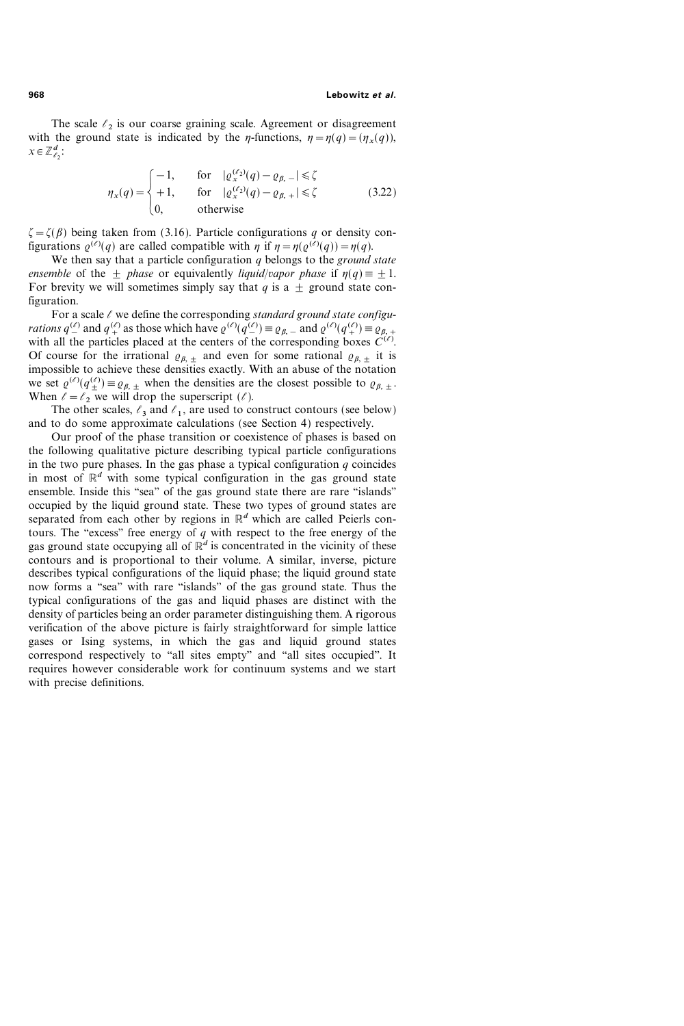The scale  $\ell_2$  is our coarse graining scale. Agreement or disagreement with the ground state is indicated by the  $\eta$ -functions,  $\eta = \eta(q) = (\eta_x(q)),$  $x \in \mathbb{Z}_{\ell_2}^d$ :

$$
\eta_x(q) = \begin{cases}\n-1, & \text{for} \quad | \varrho_x^{(\ell_2)}(q) - \varrho_{\beta, -} | \leq \zeta \\
+1, & \text{for} \quad | \varrho_x^{(\ell_2)}(q) - \varrho_{\beta, +} | \leq \zeta \\
0, & \text{otherwise}\n\end{cases} \tag{3.22}
$$

 $\zeta = \zeta(\beta)$  being taken from (3.16). Particle configurations q or density configurations  $\varrho^{(\ell)}(q)$  are called compatible with  $\eta$  if  $\eta = \eta(\varrho^{(\ell)}(q)) = \eta(q)$ .

We then say that a particle configuration  $q$  belongs to the ground state ensemble of the  $\pm$  phase or equivalently liquid/vapor phase if  $\eta(q) \equiv +1$ . For brevity we will sometimes simply say that q is a  $\pm$  ground state configuration.

For a scale  $\ell$  we define the corresponding standard ground state configurations  $q_{-}^{(\ell)}$  and  $q_{+}^{(\ell)}$  as those which have  $\varrho_{\ell}^{(\ell)}(q_{-}^{(\ell)}) \equiv \varrho_{\beta,-}$  and  $\varrho_{\ell}^{(\ell)}(q_{+}^{(\ell)}) \equiv \varrho_{\beta,+}$ with all the particles placed at the centers of the corresponding boxes  $\dot{C}^{(\ell)}$ . Of course for the irrational  $\varrho_{\beta, \pm}$  and even for some rational  $\varrho_{\beta, \pm}$  it is impossible to achieve these densities exactly. With an abuse of the notation we set  $\varrho^{(\ell)}(q_{\pm}^{(\ell)}) \equiv \varrho_{\beta, \pm}$  when the densities are the closest possible to  $\varrho_{\beta, \pm}$ . When  $\ell = \ell_2$  we will drop the superscript  $(\ell)$ .

The other scales,  $\ell_3$  and  $\ell_1$ , are used to construct contours (see below) and to do some approximate calculations (see Section 4) respectively.

Our proof of the phase transition or coexistence of phases is based on the following qualitative picture describing typical particle configurations in the two pure phases. In the gas phase a typical configuration  $q$  coincides in most of  $\mathbb{R}^d$  with some typical configuration in the gas ground state ensemble. Inside this "sea" of the gas ground state there are rare "islands" occupied by the liquid ground state. These two types of ground states are separated from each other by regions in  $\mathbb{R}^d$  which are called Peierls contours. The "excess" free energy of q with respect to the free energy of the gas ground state occupying all of  $\mathbb{R}^d$  is concentrated in the vicinity of these contours and is proportional to their volume. A similar, inverse, picture describes typical configurations of the liquid phase; the liquid ground state now forms a "sea" with rare "islands" of the gas ground state. Thus the typical configurations of the gas and liquid phases are distinct with the density of particles being an order parameter distinguishing them. A rigorous verification of the above picture is fairly straightforward for simple lattice gases or Ising systems, in which the gas and liquid ground states correspond respectively to "all sites empty" and "all sites occupied". It requires however considerable work for continuum systems and we start with precise definitions.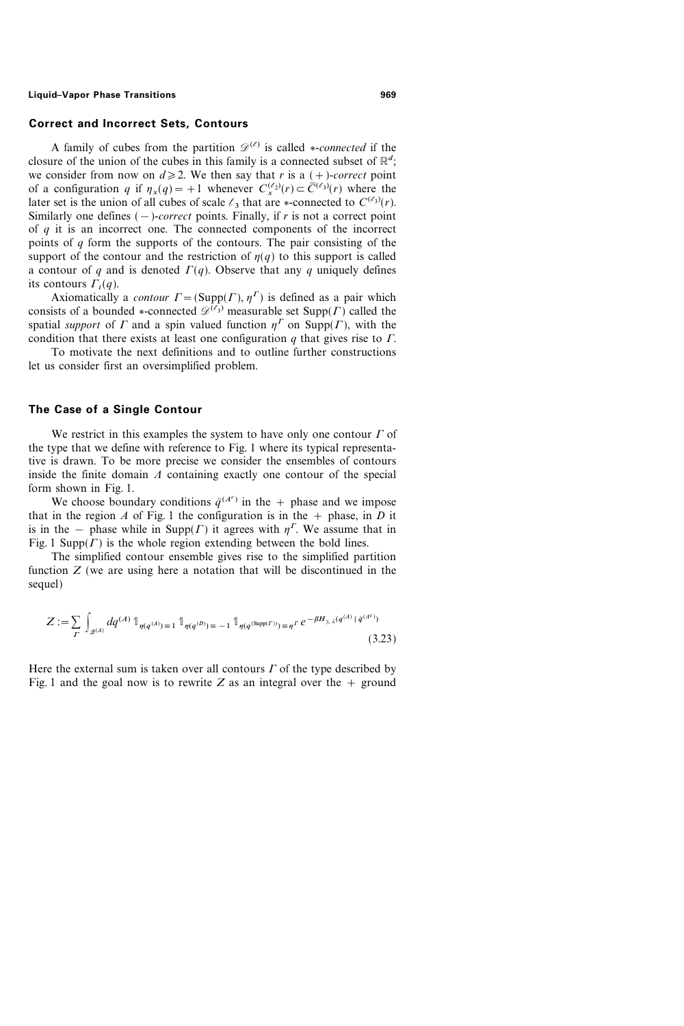#### Liquid–Vapor Phase Transitions **1989** (1996) 1989 (1998) 1989 (1998)

## Correct and Incorrect Sets, Contours

A family of cubes from the partition  $\mathscr{D}^{(\ell)}$  is called \*-connected if the closure of the union of the cubes in this family is a connected subset of  $\mathbb{R}^d$ ; we consider from now on  $d \ge 2$ . We then say that r is a  $(+)$ -correct point of a configuration q if  $\eta_x(q) = +1$  whenever  $C_x^{(\ell_2)}(r) \subset \overline{C}^{(\ell_3)}(r)$  where the later set is the union of all cubes of scale  $\ell_3$  that are \*-connected to  $C^{(\ell_3)}(r)$ . Similarly one defines  $(-)$ -correct points. Finally, if r is not a correct point of  $q$  it is an incorrect one. The connected components of the incorrect points of  $q$  form the supports of the contours. The pair consisting of the support of the contour and the restriction of  $\eta(q)$  to this support is called a contour of q and is denoted  $\Gamma(q)$ . Observe that any q uniquely defines its contours  $\Gamma_i(q)$ .

Axiomatically a *contour*  $\Gamma = (\text{Supp}(\Gamma), \eta^T)$  is defined as a pair which consists of a bounded \*-connected  $\mathscr{D}^{(\ell_3)}$  measurable set Supp(T) called the spatial *support* of  $\Gamma$  and a spin valued function  $\eta^T$  on Supp( $\Gamma$ ), with the condition that there exists at least one configuration  $q$  that gives rise to  $\Gamma$ .

To motivate the next definitions and to outline further constructions let us consider first an oversimplified problem.

## The Case of a Single Contour

We restrict in this examples the system to have only one contour  $\Gamma$  of the type that we define with reference to Fig. 1 where its typical representative is drawn. To be more precise we consider the ensembles of contours inside the finite domain  $\Lambda$  containing exactly one contour of the special form shown in Fig. 1.

We choose boundary conditions  $\bar{q}^{(A^c)}$  in the + phase and we impose that in the region A of Fig. 1 the configuration is in the + phase, in D it is in the  $-$  phase while in Supp(T) it agrees with  $\eta^T$ . We assume that in Fig. 1 Supp $(\Gamma)$  is the whole region extending between the bold lines.

The simplified contour ensemble gives rise to the simplified partition function  $Z$  (we are using here a notation that will be discontinued in the sequel)

$$
Z := \sum_{\Gamma} \int_{\mathcal{Q}^{(A)}} dq^{(A)} \, \mathbb{1}_{\eta(q^{(A)}) \equiv 1} \, \mathbb{1}_{\eta(q^{(D)}) \equiv -1} \, \mathbb{1}_{\eta(q^{(\text{Supp}(\Gamma))}) \equiv \eta^{\Gamma}} \, e^{-\beta H_{\gamma, \lambda}(q^{(A)} \, | \, \bar{q}^{(A^c)})} \tag{3.23}
$$

Here the external sum is taken over all contours  $\Gamma$  of the type described by Fig. 1 and the goal now is to rewrite Z as an integral over the  $+$  ground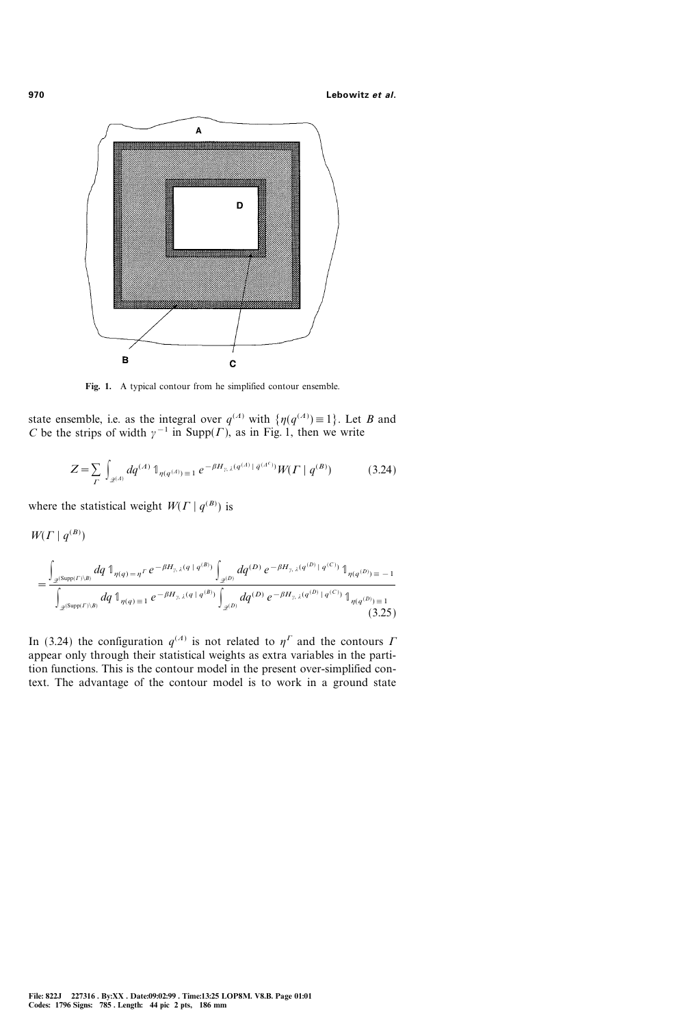

Fig. 1. A typical contour from he simplified contour ensemble.

state ensemble, i.e. as the integral over  $q^{(A)}$  with  $\{\eta(q^{(A)})\equiv 1\}$ . Let B and C be the strips of width  $\gamma^{-1}$  in Supp(T), as in Fig. 1, then we write

$$
Z = \sum_{\Gamma} \int_{\mathcal{Q}^{(A)}} dq^{(A)} \, \mathbb{1}_{\eta(q^{(A)}) = 1} \, e^{-\beta H_{\gamma, \lambda}(q^{(A)} + \bar{q}^{(A^c)})} W(\Gamma \mid q^{(B)}) \tag{3.24}
$$

where the statistical weight  $W(\Gamma | q^{(B)})$  is

$$
W(\Gamma \mid q^{(B)}) = \frac{\int_{\mathcal{Q}(\text{Supp}(\Gamma) \backslash B)} dq \, \mathbb{1}_{\eta(q) = \eta^{\Gamma}} e^{-\beta H_{\gamma, \lambda}(q \mid q^{(B)})} \int_{\mathcal{Q}^{(D)}} dq^{(D)} e^{-\beta H_{\gamma, \lambda}(q^{(D)} \mid q^{(C)})} \mathbb{1}_{\eta(q^{(D)}) = -1}}{\int_{\mathcal{Q}^{(\text{Supp}(\Gamma) \backslash B)}} dq \, \mathbb{1}_{\eta(q) = 1} e^{-\beta H_{\gamma, \lambda}(q \mid q^{(B)})} \int_{\mathcal{Q}^{(D)}} dq^{(D)} e^{-\beta H_{\gamma, \lambda}(q^{(D)} \mid q^{(C)})} \mathbb{1}_{\eta(q^{(D)}) = 1}} (3.25)
$$

In (3.24) the configuration  $q^{(A)}$  is not related to  $\eta^T$  and the contours  $\Gamma$ appear only through their statistical weights as extra variables in the partition functions. This is the contour model in the present over-simplified context. The advantage of the contour model is to work in a ground state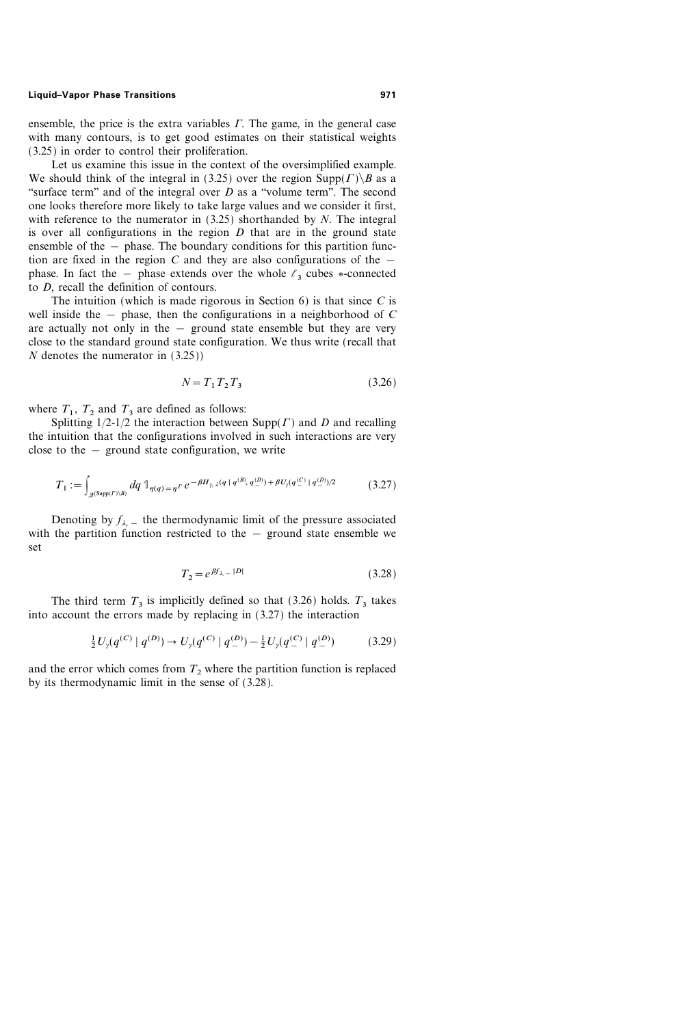#### LiquidVapor Phase Transitions 971

ensemble, the price is the extra variables  $\Gamma$ . The game, in the general case with many contours, is to get good estimates on their statistical weights (3.25) in order to control their proliferation.

Let us examine this issue in the context of the oversimplified example. We should think of the integral in (3.25) over the region  $\text{Supp}(T) \setminus B$  as a "surface term" and of the integral over  $D$  as a "volume term". The second one looks therefore more likely to take large values and we consider it first, with reference to the numerator in  $(3.25)$  shorthanded by N. The integral is over all configurations in the region  $D$  that are in the ground state ensemble of the  $-$  phase. The boundary conditions for this partition function are fixed in the region C and they are also configurations of the  $$ phase. In fact the  $-$  phase extends over the whole  $\ell_3$  cubes \*-connected to D, recall the definition of contours.

The intuition (which is made rigorous in Section  $6$ ) is that since C is well inside the  $-$  phase, then the configurations in a neighborhood of  $C$ are actually not only in the  $-$  ground state ensemble but they are very close to the standard ground state configuration. We thus write (recall that  $N$  denotes the numerator in  $(3.25)$ 

$$
N = T_1 T_2 T_3 \tag{3.26}
$$

where  $T_1$ ,  $T_2$  and  $T_3$  are defined as follows:

Splitting  $1/2-1/2$  the interaction between Supp(T) and D and recalling the intuition that the configurations involved in such interactions are very close to the  $-$  ground state configuration, we write

$$
T_1 := \int_{\mathcal{Q}(\text{Supp}(F)\backslash B)} dq \, \mathbb{1}_{\eta(q) = \eta^F} e^{-\beta H_{\gamma, \lambda}(q \, | \, q^{(B)}, \, q^{(D)}_-) + \beta U_{\gamma}(q^{(C)} \, | \, q^{(D)})/2} \tag{3.27}
$$

Denoting by  $f_{\lambda}$  – the thermodynamic limit of the pressure associated with the partition function restricted to the  $-$  ground state ensemble we set

$$
T_2 = e^{\beta f_{\lambda, -} |D|} \tag{3.28}
$$

The third term  $T_3$  is implicitly defined so that (3.26) holds.  $T_3$  takes into account the errors made by replacing in (3.27) the interaction

$$
\frac{1}{2}U_{\gamma}(q^{(C)} \mid q^{(D)}) \to U_{\gamma}(q^{(C)} \mid q^{(D)}_{-}) - \frac{1}{2}U_{\gamma}(q^{(C)} \mid q^{(D)}_{-})
$$
(3.29)

and the error which comes from  $T_2$  where the partition function is replaced by its thermodynamic limit in the sense of (3.28).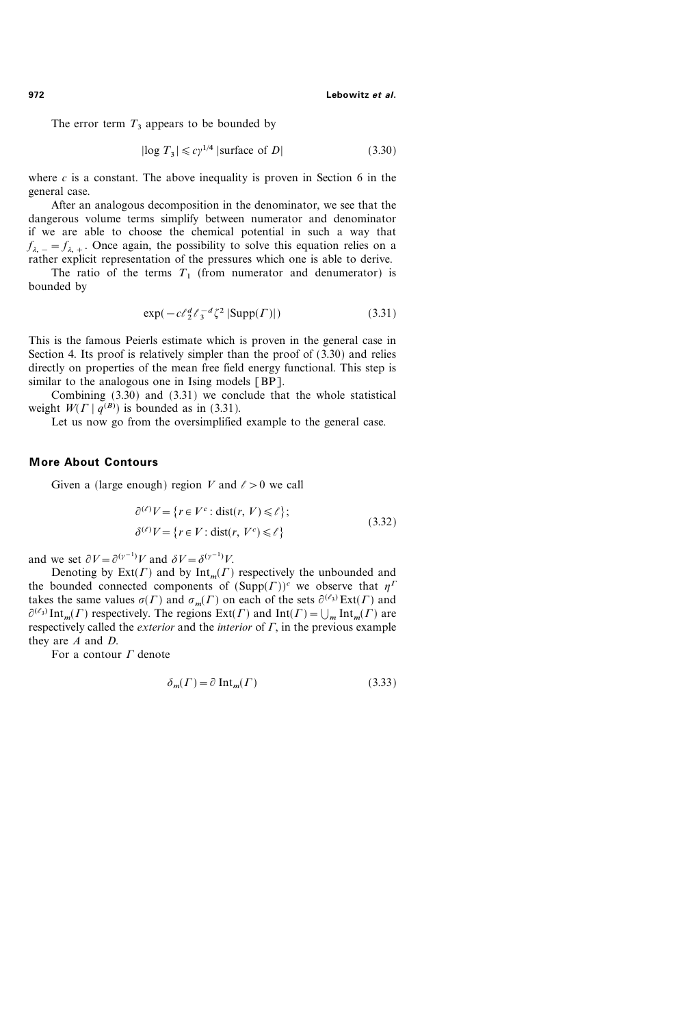The error term  $T_3$  appears to be bounded by

$$
|\log T_3| \leq c\gamma^{1/4} |\text{surface of } D|
$$
 (3.30)

where  $c$  is a constant. The above inequality is proven in Section 6 in the general case.

After an analogous decomposition in the denominator, we see that the dangerous volume terms simplify between numerator and denominator if we are able to choose the chemical potential in such a way that  $f_{\lambda} = f_{\lambda,+}$ . Once again, the possibility to solve this equation relies on a rather explicit representation of the pressures which one is able to derive.

The ratio of the terms  $T_1$  (from numerator and denumerator) is bounded by

$$
\exp(-c\ell_2^d\ell_3^{-d}\zeta^2\left|\text{Supp}(\Gamma)\right|)\tag{3.31}
$$

This is the famous Peierls estimate which is proven in the general case in Section 4. Its proof is relatively simpler than the proof of (3.30) and relies directly on properties of the mean free field energy functional. This step is similar to the analogous one in Ising models [BP].

Combining (3.30) and (3.31) we conclude that the whole statistical weight  $W(\Gamma | q^{(B)})$  is bounded as in (3.31).

Let us now go from the oversimplified example to the general case.

#### More About Contours

Given a (large enough) region V and  $\ell > 0$  we call

$$
\partial^{(\ell)} V = \{ r \in V^c : \text{dist}(r, V) \leq \ell \};
$$
  

$$
\partial^{(\ell)} V = \{ r \in V : \text{dist}(r, V^c) \leq \ell \}
$$
 (3.32)

and we set  $\partial V = \partial^{(\gamma^{-1})} V$  and  $\partial V = \partial^{(\gamma^{-1})} V$ .

Denoting by  $Ext(\Gamma)$  and by  $Int_m(\Gamma)$  respectively the unbounded and the bounded connected components of  $(Supp(\Gamma))^c$  we observe that  $\eta^T$ takes the same values  $\sigma(\Gamma)$  and  $\sigma_m(\Gamma)$  on each of the sets  $\partial^{(\ell_3)} \text{Ext}(\Gamma)$  and  $\partial^{(\ell_3)} \text{Int}_{m}(\Gamma)$  respectively. The regions  $\text{Ext}(\Gamma)$  and  $\text{Int}(\Gamma) = \bigcup_{m} \text{Int}_{m}(\Gamma)$  are respectively called the *exterior* and the *interior* of  $\Gamma$ , in the previous example they are A and D.

For a contour  $\Gamma$  denote

$$
\delta_m(\Gamma) = \partial \text{Int}_m(\Gamma) \tag{3.33}
$$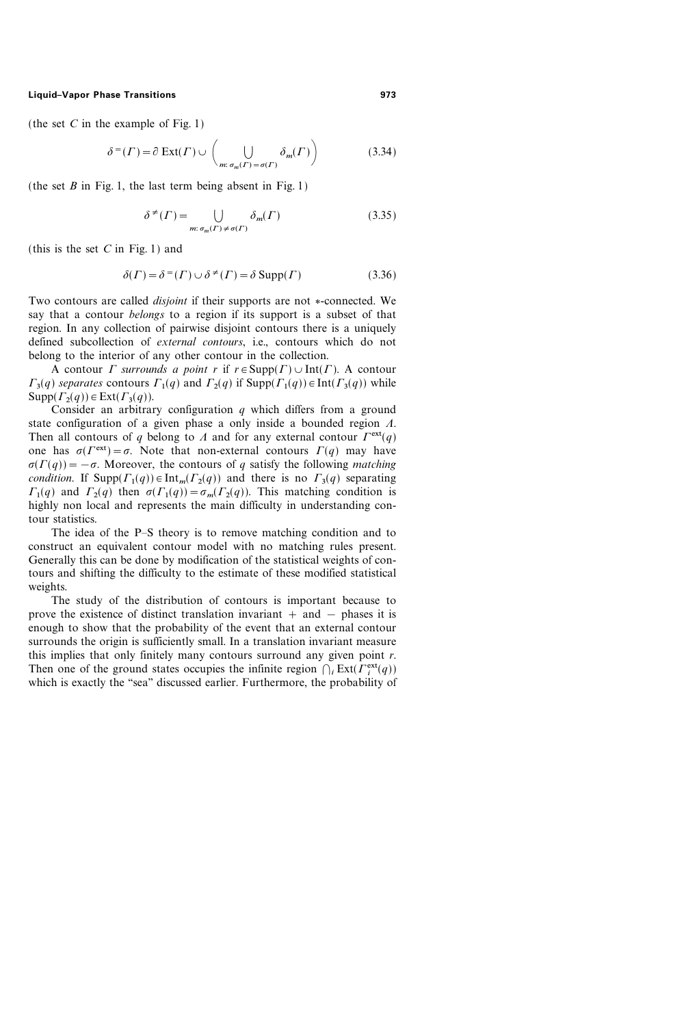#### Liquid–Vapor Phase Transitions **Example 2018** 973

(the set C in the example of Fig. 1)

$$
\delta^=(\Gamma) = \partial \operatorname{Ext}(\Gamma) \cup \left( \bigcup_{m:\,\sigma_m(\Gamma) = \sigma(\Gamma)} \delta_m(\Gamma) \right) \tag{3.34}
$$

(the set B in Fig. 1, the last term being absent in Fig. 1)

$$
\delta^{\neq}(F) = \bigcup_{m:\,\sigma_m(F)\neq\sigma(F)} \delta_m(F) \tag{3.35}
$$

(this is the set  $C$  in Fig. 1) and

$$
\delta(\Gamma) = \delta^{\dagger}(\Gamma) \cup \delta^{\neq}(\Gamma) = \delta \operatorname{Supp}(\Gamma) \tag{3.36}
$$

Two contours are called *disjoint* if their supports are not \*-connected. We say that a contour belongs to a region if its support is a subset of that region. In any collection of pairwise disjoint contours there is a uniquely defined subcollection of external contours, i.e., contours which do not belong to the interior of any other contour in the collection.

A contour *Γ* surrounds a point r if  $r \in \text{Supp}(T) \cup \text{Int}(T)$ . A contour  $\Gamma_3(q)$  separates contours  $\Gamma_1(q)$  and  $\Gamma_2(q)$  if Supp( $\Gamma_1(q)$ )  $\in$  Int( $\Gamma_3(q)$ ) while  $Supp(\Gamma_2(q)) \in \text{Ext}(\Gamma_3(q)).$ 

Consider an arbitrary configuration  $q$  which differs from a ground state configuration of a given phase a only inside a bounded region  $\Lambda$ . Then all contours of q belong to A and for any external contour  $\Gamma^{\text{ext}}(q)$ one has  $\sigma(\Gamma^{\text{ext}})=\sigma$ . Note that non-external contours  $\Gamma(q)$  may have  $\sigma(\Gamma(q))=-\sigma$ . Moreover, the contours of q satisfy the following matching *condition.* If Supp $(\Gamma_1(q)) \in \text{Int}_m(\Gamma_2(q))$  and there is no  $\Gamma_3(q)$  separating  $\Gamma_1(q)$  and  $\Gamma_2(q)$  then  $\sigma(\Gamma_1(q))=\sigma_m(\Gamma_2(q))$ . This matching condition is highly non local and represents the main difficulty in understanding contour statistics.

The idea of the P–S theory is to remove matching condition and to construct an equivalent contour model with no matching rules present. Generally this can be done by modification of the statistical weights of contours and shifting the difficulty to the estimate of these modified statistical weights.

The study of the distribution of contours is important because to prove the existence of distinct translation invariant  $+$  and  $-$  phases it is enough to show that the probability of the event that an external contour surrounds the origin is sufficiently small. In a translation invariant measure this implies that only finitely many contours surround any given point  $r$ . Then one of the ground states occupies the infinite region  $\bigcap_i \text{Ext}(T_i^{\text{ext}}(q))$ which is exactly the "sea" discussed earlier. Furthermore, the probability of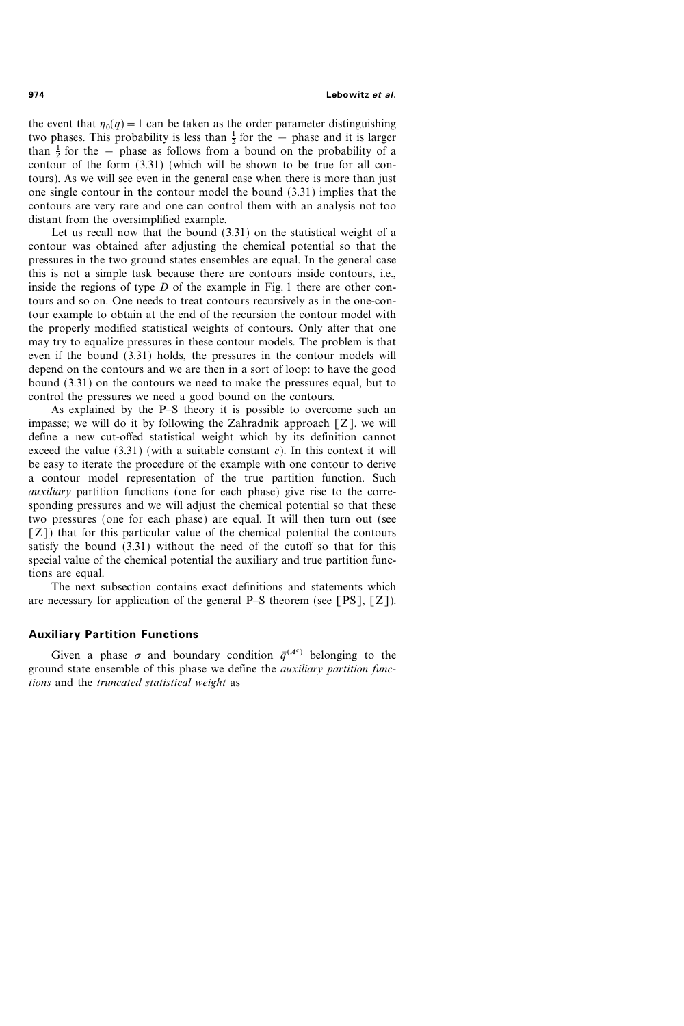**974 Lebowitz** *et al.* 

the event that  $\eta_0(q)=1$  can be taken as the order parameter distinguishing two phases. This probability is less than  $\frac{1}{2}$  for the  $-$  phase and it is larger than  $\frac{1}{2}$  for the + phase as follows from a bound on the probability of a contour of the form (3.31) (which will be shown to be true for all contours). As we will see even in the general case when there is more than just one single contour in the contour model the bound (3.31) implies that the contours are very rare and one can control them with an analysis not too distant from the oversimplified example.

Let us recall now that the bound (3.31) on the statistical weight of a contour was obtained after adjusting the chemical potential so that the pressures in the two ground states ensembles are equal. In the general case this is not a simple task because there are contours inside contours, i.e., inside the regions of type  $D$  of the example in Fig. 1 there are other contours and so on. One needs to treat contours recursively as in the one-contour example to obtain at the end of the recursion the contour model with the properly modified statistical weights of contours. Only after that one may try to equalize pressures in these contour models. The problem is that even if the bound (3.31) holds, the pressures in the contour models will depend on the contours and we are then in a sort of loop: to have the good bound (3.31) on the contours we need to make the pressures equal, but to control the pressures we need a good bound on the contours.

As explained by the P-S theory it is possible to overcome such an impasse; we will do it by following the Zahradnik approach  $[Z]$ . we will define a new cut-offed statistical weight which by its definition cannot exceed the value (3.31) (with a suitable constant c). In this context it will be easy to iterate the procedure of the example with one contour to derive a contour model representation of the true partition function. Such auxiliary partition functions (one for each phase) give rise to the corresponding pressures and we will adjust the chemical potential so that these two pressures (one for each phase) are equal. It will then turn out (see  $\lceil Z \rceil$ ) that for this particular value of the chemical potential the contours satisfy the bound (3.31) without the need of the cutoff so that for this special value of the chemical potential the auxiliary and true partition functions are equal.

The next subsection contains exact definitions and statements which are necessary for application of the general P–S theorem (see [PS], [Z]).

## Auxiliary Partition Functions

Given a phase  $\sigma$  and boundary condition  $\bar{q}^{(A^c)}$  belonging to the ground state ensemble of this phase we define the auxiliary partition functions and the truncated statistical weight as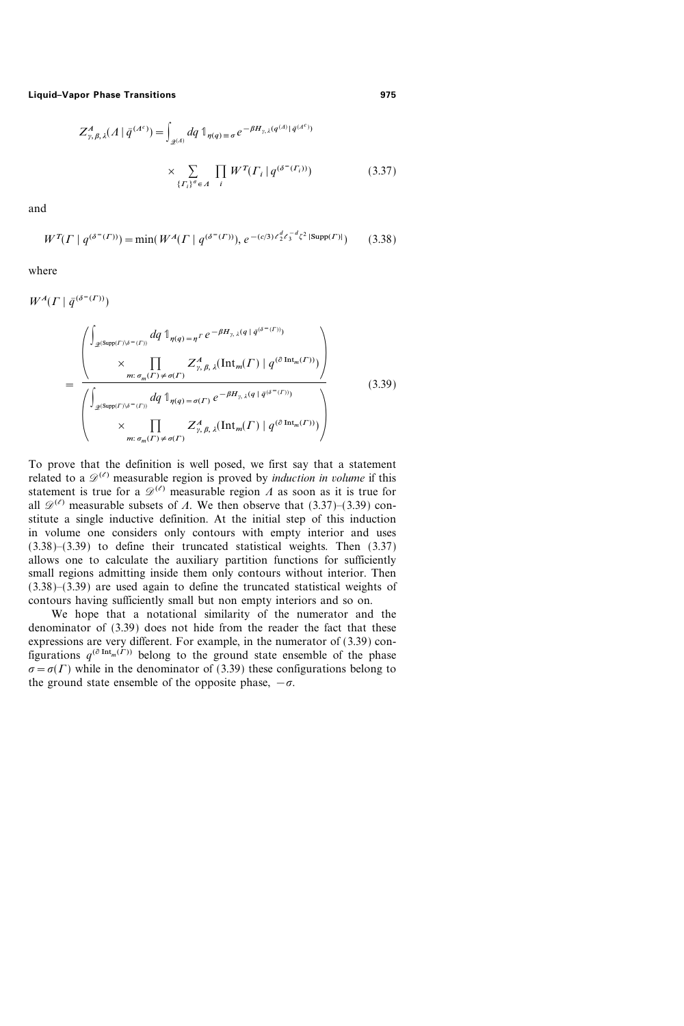$$
Z_{\gamma,\beta,\lambda}^{A}(A \mid \bar{q}^{(A^c)}) = \int_{\mathcal{Q}^{(A)}} dq \; \mathbb{1}_{\eta(q) \equiv \sigma} e^{-\beta H_{\gamma,\lambda}(q^{(A)} \mid \bar{q}^{(A^c)})}
$$

$$
\times \sum_{\{T_i\}^{\sigma} \in A} \prod_{i} W^{T}(\Gamma_i \mid q^{(\delta^{-}(T_i))})
$$
(3.37)

and

$$
W^{T}(\Gamma \mid q^{(\delta^{=}(\Gamma))}) = \min(W^{A}(\Gamma \mid q^{(\delta^{=}(\Gamma))}), e^{-(c/3)\ell_{2}^{d}\ell_{3}^{-d}\zeta^{2}} | \text{Supp}(\Gamma) |)
$$
(3.38)

where

 $W^A(\Gamma | \bar{q}^{(\delta^=(\Gamma))})$ 

$$
= \frac{\left(\int_{\mathcal{Q}(\text{Supp}(F))\delta^=(T))} dq \mathbb{1}_{\eta(q) = \eta^F} e^{-\beta H_{\gamma,\lambda}(q + \bar{q}(\delta^=(T)))}\right)}{\left(\int_{\mathcal{Q}(\text{Supp}(F))\delta^=(T))} dq \mathbb{1}_{\eta(q) = \sigma(\Gamma)} e^{-\beta H_{\gamma,\lambda}(q + \bar{q}(\delta^=(T)))}\right)}\right)
$$
\n
$$
\times \prod_{m:\ \sigma_m(\Gamma) \neq \sigma(\Gamma)} Z_{\gamma,\beta,\lambda}^A(\text{Int}_m(\Gamma) + q^{(\delta^=(T))})
$$
\n
$$
\times \prod_{m:\ \sigma_m(\Gamma) \neq \sigma(\Gamma)} Z_{\gamma,\beta,\lambda}^A(\text{Int}_m(\Gamma) + q^{(\delta^=(\text{Int}_m(\Gamma)))})\right)
$$
\n(3.39)

To prove that the definition is well posed, we first say that a statement related to a  $\mathcal{D}^{(\ell)}$  measurable region is proved by *induction in volume* if this statement is true for a  $\mathscr{D}^{(\ell)}$  measurable region A as soon as it is true for all  $\mathscr{D}^{(\ell)}$  measurable subsets of A. We then observe that (3.37)–(3.39) constitute a single inductive definition. At the initial step of this induction in volume one considers only contours with empty interior and uses  $(3.38)$ – $(3.39)$  to define their truncated statistical weights. Then  $(3.37)$ allows one to calculate the auxiliary partition functions for sufficiently small regions admitting inside them only contours without interior. Then  $(3.38)-(3.39)$  are used again to define the truncated statistical weights of contours having sufficiently small but non empty interiors and so on.

We hope that a notational similarity of the numerator and the denominator of (3.39) does not hide from the reader the fact that these expressions are very different. For example, in the numerator of (3.39) configurations  $q^{(\partial \text{Int}_m(\tilde{\Gamma}))}$  belong to the ground state ensemble of the phase  $\sigma = \sigma(\Gamma)$  while in the denominator of (3.39) these configurations belong to the ground state ensemble of the opposite phase,  $-\sigma$ .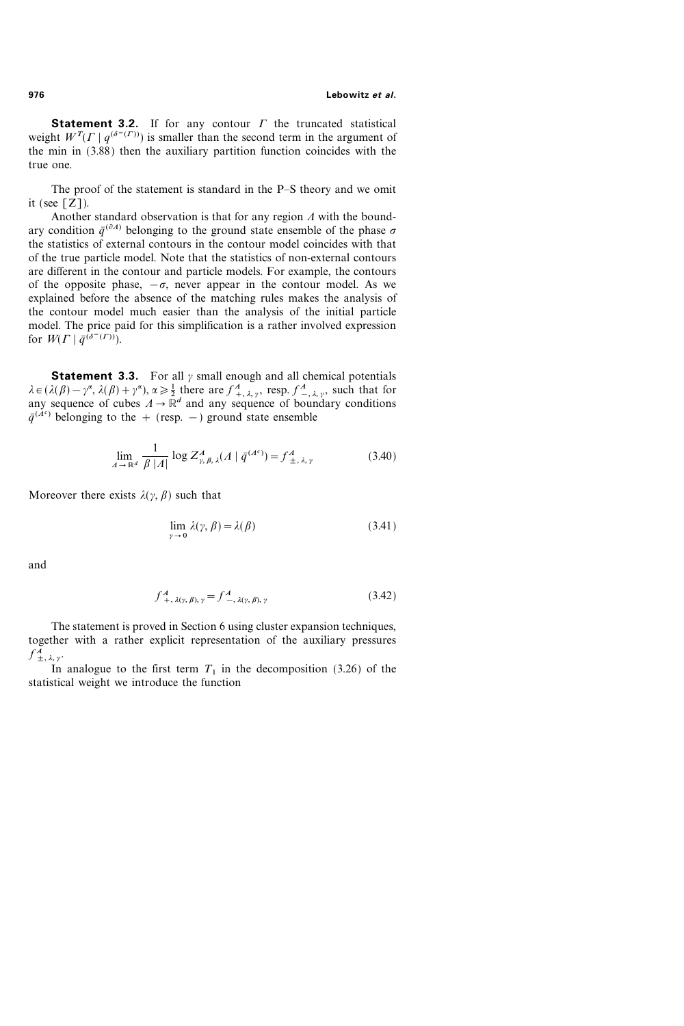**Statement 3.2.** If for any contour  $\Gamma$  the truncated statistical weight  $W^{T}( \Gamma | q^{(\delta^{=}(T))})$  is smaller than the second term in the argument of the min in (3.88) then the auxiliary partition function coincides with the true one.

The proof of the statement is standard in the P–S theory and we omit it (see  $\lceil Z \rceil$ ).

Another standard observation is that for any region  $\Lambda$  with the boundary condition  $\bar{q}^{(\partial A)}$  belonging to the ground state ensemble of the phase  $\sigma$ the statistics of external contours in the contour model coincides with that of the true particle model. Note that the statistics of non-external contours are different in the contour and particle models. For example, the contours of the opposite phase,  $-\sigma$ , never appear in the contour model. As we explained before the absence of the matching rules makes the analysis of the contour model much easier than the analysis of the initial particle model. The price paid for this simplification is a rather involved expression for  $W(\Gamma | \bar{q}^{(\delta^=(\Gamma))}).$ 

**Statement 3.3.** For all  $\gamma$  small enough and all chemical potentials  $\lambda \in (\lambda(\beta) - \gamma^{\alpha}, \lambda(\beta) + \gamma^{\alpha}), \alpha \geq \frac{1}{2}$  there are  $f^{A}_{+,\lambda,\gamma}$ , resp.  $f^{A}_{-,\lambda,\gamma}$ , such that for any sequence of cubes  $A \rightarrow \mathbb{R}^d$  and any sequence of boundary conditions  $\bar{q}^{(\bar{A}^c)}$  belonging to the + (resp. –) ground state ensemble

$$
\lim_{A \to \mathbb{R}^d} \frac{1}{\beta |A|} \log Z_{\gamma, \beta, \lambda}^A(A | \bar{q}^{(A^c)}) = f_{\pm, \lambda, \gamma}^A \tag{3.40}
$$

Moreover there exists  $\lambda(\gamma, \beta)$  such that

$$
\lim_{\gamma \to 0} \lambda(\gamma, \beta) = \lambda(\beta) \tag{3.41}
$$

and

$$
f_{+, \lambda(\gamma, \beta), \gamma}^A = f_{-, \lambda(\gamma, \beta), \gamma}^A
$$
 (3.42)

The statement is proved in Section 6 using cluster expansion techniques, together with a rather explicit representation of the auxiliary pressures  $f^A_{\pm,\,\lambda,\,\gamma}$ .

In analogue to the first term  $T_1$  in the decomposition (3.26) of the statistical weight we introduce the function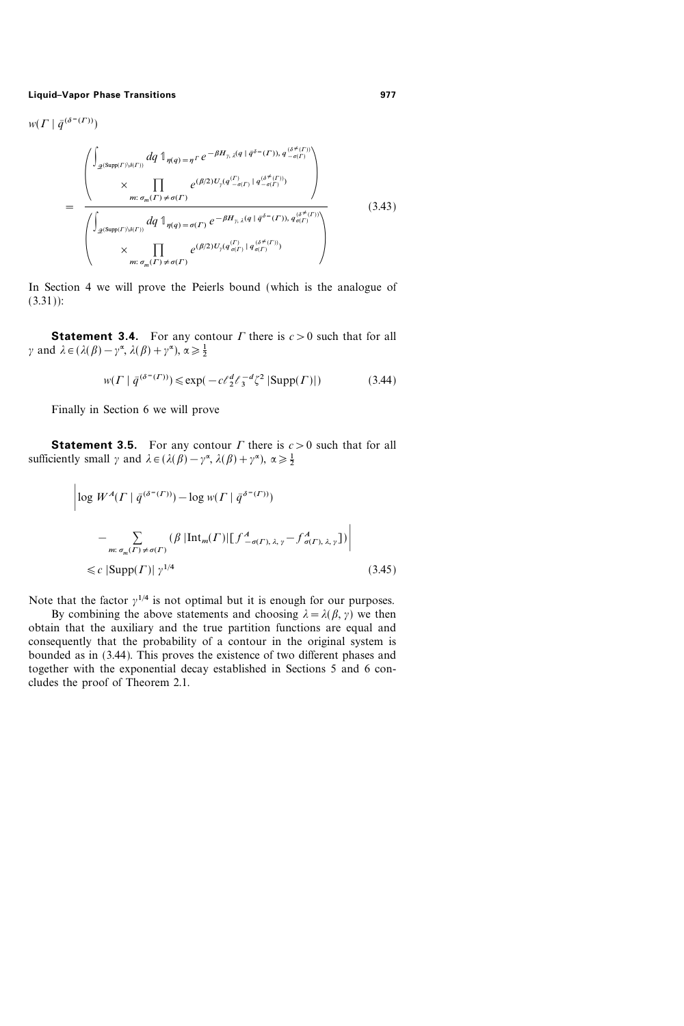#### Liquid–Vapor Phase Transitions **977**

$$
w(\Gamma \mid \bar{q}^{(\delta^{=}(T))})
$$
\n
$$
= \frac{\left(\int_{\mathcal{Q}(\text{Supp}(T))\delta(T))} dq \mathbb{1}_{\eta(q) = \eta^{\Gamma}} e^{-\beta H_{\gamma, \lambda}(q \mid \bar{q}^{\delta^{=}}(T)), q^{(\delta^{=}(T))}}\right)}{\prod_{m: \sigma_m(\Gamma) \neq \sigma(\Gamma)} e^{(\beta/2)U_{\gamma}(q_{-\sigma(T)}^{\left(\Gamma\right)} \mid q_{-\sigma(T)}^{\left(\delta^{=}(T)\right)})}}\right)}
$$
\n
$$
= \frac{\left(\int_{\mathcal{Q}(\text{Supp}(T))\delta(T))} dq \mathbb{1}_{\eta(q) = \sigma(T)} e^{-\beta H_{\gamma, \lambda}(q \mid \bar{q}^{\delta^{=}}(T)), q_{\sigma(T)}^{\left(\delta^{=}(T)\right)}}\right)}{\left(\sum_{m: \sigma_m(\Gamma) \neq \sigma(T)} e^{(\beta/2)U_{\gamma}(q_{\sigma(T)}^{\left(\Gamma\right)} \mid q_{\sigma(T)}^{\left(\delta^{=}(T)\right)})}\right)}
$$
\n
$$
= \frac{\left(\int_{\mathcal{Q}(\text{Supp}(T))\delta(T)} \frac{dq \mathbb{1}_{\eta(q) = \sigma(T)} e^{-\beta H_{\gamma, \lambda}(q \mid \bar{q}^{\delta^{=}}(T)), q_{\sigma(T)}^{\left(\delta^{=}(T)\right)}}\right)}{\left(\sum_{m: \sigma_m(\Gamma) \neq \sigma(T)} e^{(\beta/2)U_{\gamma}(q_{\sigma(T)}^{\left(\Gamma\right)} \mid q_{\sigma(T)}^{\left(\delta^{=}(T)\right)})}\right)}
$$
\n
$$
(3.43)
$$

In Section 4 we will prove the Peierls bound (which is the analogue of (3.31)):

**Statement 3.4.** For any contour  $\Gamma$  there is  $c > 0$  such that for all  $\gamma$  and  $\lambda \in (\lambda(\beta) - \gamma^{\alpha}, \lambda(\beta) + \gamma^{\alpha}), \alpha \geq \frac{1}{2}$ 

$$
w(\Gamma \mid \bar{q}^{(\delta^=(\Gamma))}) \le \exp(-c\ell_2^d \ell_3^{-d} \zeta^2 \left| \text{Supp}(\Gamma) \right|)
$$
 (3.44)

Finally in Section 6 we will prove

**Statement 3.5.** For any contour  $\Gamma$  there is  $c > 0$  such that for all sufficiently small  $\gamma$  and  $\lambda \in (\lambda(\beta) - \gamma^{\alpha}, \lambda(\beta) + \gamma^{\alpha}), \alpha \geq \frac{1}{2}$ 

$$
\left| \log W^A(\Gamma \mid \bar{q}^{(\delta^=(\Gamma))}) - \log w(\Gamma \mid \bar{q}^{\delta^=(\Gamma))}) \right|
$$
  

$$
- \sum_{m: \sigma_m(\Gamma) \neq \sigma(\Gamma)} (\beta \mid \text{Int}_m(\Gamma) \mid [\int_{-\sigma(\Gamma), \lambda, \gamma}^A - f^A_{\sigma(\Gamma), \lambda, \gamma}]) \right|
$$
  

$$
\leq c \mid \text{Supp}(\Gamma) \mid \gamma^{1/4}
$$
 (3.45)

Note that the factor  $\gamma^{1/4}$  is not optimal but it is enough for our purposes.

By combining the above statements and choosing  $\lambda = \lambda(\beta, \gamma)$  we then obtain that the auxiliary and the true partition functions are equal and consequently that the probability of a contour in the original system is bounded as in (3.44). This proves the existence of two different phases and together with the exponential decay established in Sections 5 and 6 concludes the proof of Theorem 2.1.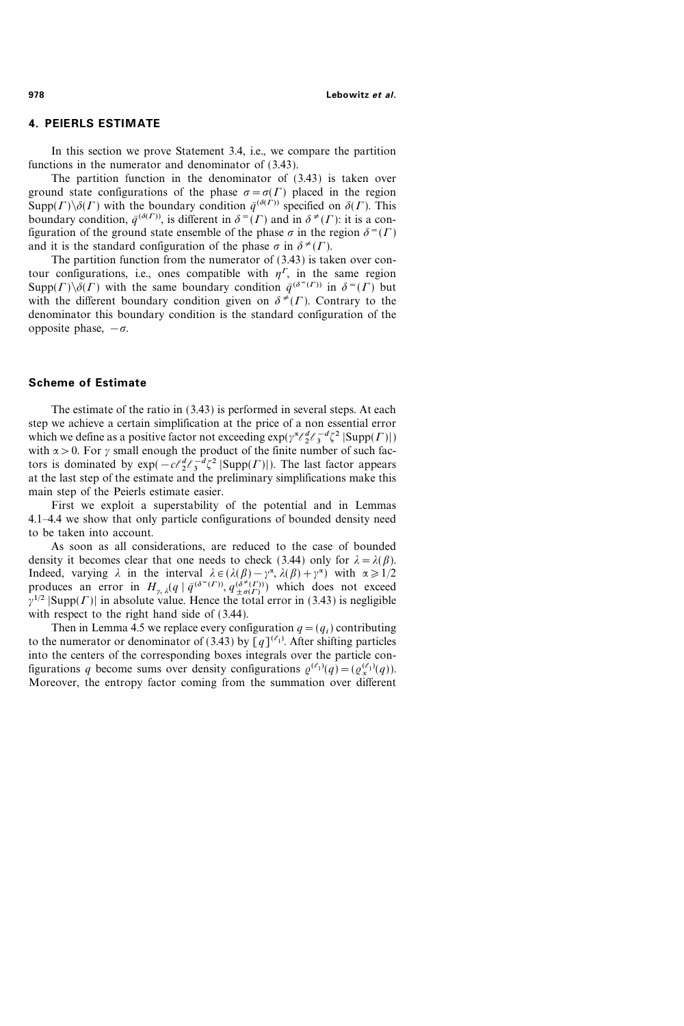## 4. PEIERLS ESTIMATE

In this section we prove Statement 3.4, i.e., we compare the partition functions in the numerator and denominator of (3.43).

The partition function in the denominator of (3.43) is taken over ground state configurations of the phase  $\sigma = \sigma(\Gamma)$  placed in the region Supp( $\Gamma$ ) $\delta$ ( $\Gamma$ ) with the boundary condition  $\bar{q}^{(\delta(\Gamma))}$  specified on  $\delta(\Gamma)$ . This boundary condition,  $\bar{q}^{(\delta(\Gamma))}$ , is different in  $\delta^{=}(\Gamma)$  and in  $\delta^{*}(\Gamma)$ : it is a configuration of the ground state ensemble of the phase  $\sigma$  in the region  $\delta^=(\Gamma)$ and it is the standard configuration of the phase  $\sigma$  in  $\delta^{\neq}(T)$ .

The partition function from the numerator of (3.43) is taken over contour configurations, i.e., ones compatible with  $\eta^T$ , in the same region Supp( $\Gamma$ )  $\delta(\Gamma)$  with the same boundary condition  $\bar{q}^{(\delta^{-1})}$  in  $\delta^{-1}(\Gamma)$  but with the different boundary condition given on  $\delta^{\neq}(T)$ . Contrary to the denominator this boundary condition is the standard configuration of the opposite phase,  $-\sigma$ .

## Scheme of Estimate

The estimate of the ratio in (3.43) is performed in several steps. At each step we achieve a certain simplification at the price of a non essential error which we define as a positive factor not exceeding  $\exp(\gamma^{\alpha} \ell_2^d \ell_3^{-d} \zeta^2 | \text{Supp}(\Gamma) |)$ with  $\alpha > 0$ . For y small enough the product of the finite number of such factors is dominated by  $exp(-c\ell_2^d \ell_3^{-d} \zeta^2 | Supp(\Gamma)|)$ . The last factor appears at the last step of the estimate and the preliminary simplifications make this main step of the Peierls estimate easier.

First we exploit a superstability of the potential and in Lemmas 4.1–4.4 we show that only particle configurations of bounded density need to be taken into account.

As soon as all considerations, are reduced to the case of bounded density it becomes clear that one needs to check (3.44) only for  $\lambda = \lambda(\beta)$ . Indeed, varying  $\lambda$  in the interval  $\lambda \in (\lambda(\beta) - \gamma^{\alpha}, \lambda(\beta) + \gamma^{\alpha})$  with  $\alpha \geq 1/2$ produces an error in  $H_{\gamma,\lambda}(q | \bar{q}^{(\delta^=(T))}, q_{\pm \sigma(T)}^{(\delta^+(T))})$  which does not exceed  $\gamma^{1/2}$  |Supp(T)| in absolute value. Hence the total error in (3.43) is negligible with respect to the right hand side of (3.44).

Then in Lemma 4.5 we replace every configuration  $q=(q_i)$  contributing to the numerator or denominator of (3.43) by  $\llbracket q \rrbracket^{(\ell_1)}$ . After shifting particles into the centers of the corresponding boxes integrals over the particle configurations q become sums over density configurations  $\varrho^{(\ell_1)}(q) = (\varrho_{x_1}^{(\ell_1)}(q))$ . Moreover, the entropy factor coming from the summation over different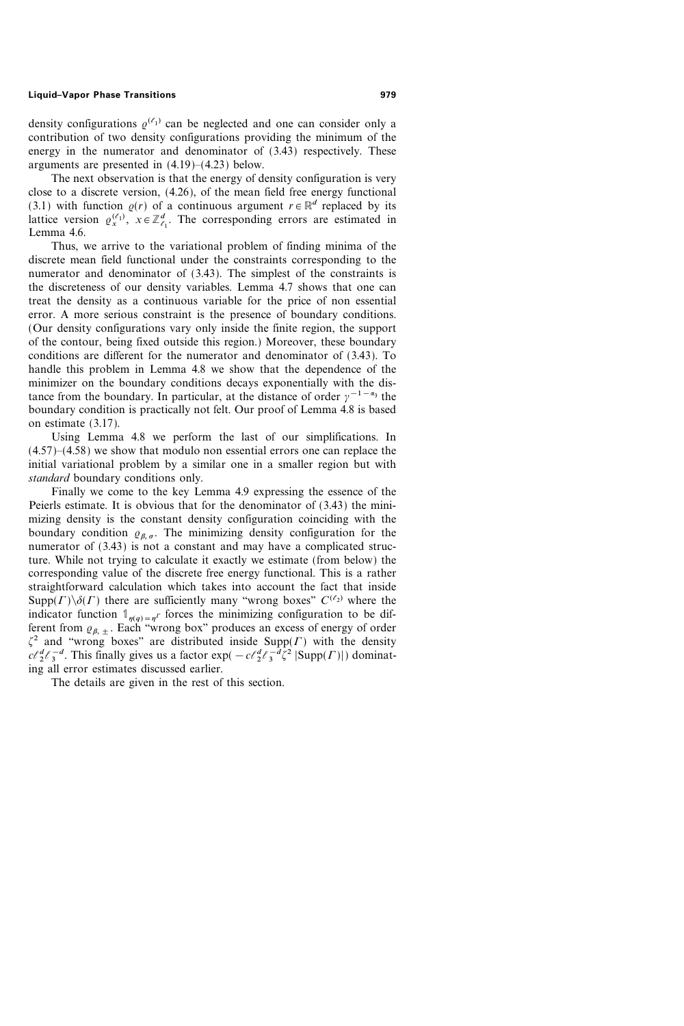#### Liquid–Vapor Phase Transitions **Example 2018** 979

density configurations  $\rho^{(\ell_1)}$  can be neglected and one can consider only a contribution of two density configurations providing the minimum of the energy in the numerator and denominator of (3.43) respectively. These arguments are presented in  $(4.19)-(4.23)$  below.

The next observation is that the energy of density configuration is very close to a discrete version, (4.26), of the mean field free energy functional (3.1) with function  $\varrho(r)$  of a continuous argument  $r \in \mathbb{R}^d$  replaced by its lattice version  $\varrho_{x}^{(\ell_1)}$ ,  $x \in \mathbb{Z}_{\ell_1}^d$ . The corresponding errors are estimated in Lemma 4.6.

Thus, we arrive to the variational problem of finding minima of the discrete mean field functional under the constraints corresponding to the numerator and denominator of (3.43). The simplest of the constraints is the discreteness of our density variables. Lemma 4.7 shows that one can treat the density as a continuous variable for the price of non essential error. A more serious constraint is the presence of boundary conditions. (Our density configurations vary only inside the finite region, the support of the contour, being fixed outside this region.) Moreover, these boundary conditions are different for the numerator and denominator of (3.43). To handle this problem in Lemma 4.8 we show that the dependence of the minimizer on the boundary conditions decays exponentially with the distance from the boundary. In particular, at the distance of order  $\gamma^{-1-\alpha_3}$  the boundary condition is practically not felt. Our proof of Lemma 4.8 is based on estimate (3.17).

Using Lemma 4.8 we perform the last of our simplifications. In  $(4.57)-(4.58)$  we show that modulo non essential errors one can replace the initial variational problem by a similar one in a smaller region but with standard boundary conditions only.

Finally we come to the key Lemma 4.9 expressing the essence of the Peierls estimate. It is obvious that for the denominator of (3.43) the minimizing density is the constant density configuration coinciding with the boundary condition  $\rho_{\beta,\sigma}$ . The minimizing density configuration for the numerator of (3.43) is not a constant and may have a complicated structure. While not trying to calculate it exactly we estimate (from below) the corresponding value of the discrete free energy functional. This is a rather straightforward calculation which takes into account the fact that inside Supp( $\Gamma$ ) $\delta$ ( $\Gamma$ ) there are sufficiently many "wrong boxes"  $C^{(\ell_2)}$  where the indicator function  $\mathbb{1}_{n(q)=n^r}$  forces the minimizing configuration to be different from  $\varrho_{\beta, \pm}$ . Each "wrong box" produces an excess of energy of order  $\zeta^2$  and "wrong boxes" are distributed inside Supp(T) with the density  $c\ell_2^d\ell_3^{-d}$ . This finally gives us a factor  $\exp(-c\ell_2^d\ell_3^{-d}\zeta^2 | \text{Supp}( \Gamma) |)$  dominating all error estimates discussed earlier.

The details are given in the rest of this section.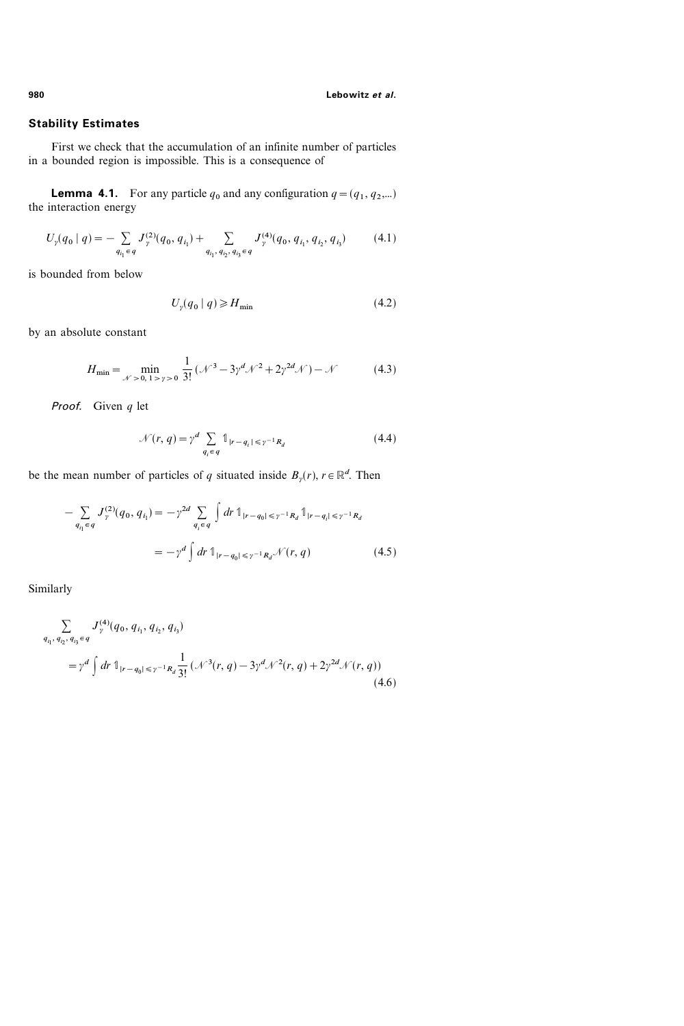980 Lebowitz et al.

## Stability Estimates

First we check that the accumulation of an infinite number of particles in a bounded region is impossible. This is a consequence of

**Lemma 4.1.** For any particle  $q_0$  and any configuration  $q = (q_1, q_2, ...)$ the interaction energy

$$
U_{\gamma}(q_0 \mid q) = -\sum_{q_{i_1} \in q} J_{\gamma}^{(2)}(q_0, q_{i_1}) + \sum_{q_{i_1}, q_{i_2}, q_{i_3} \in q} J_{\gamma}^{(4)}(q_0, q_{i_1}, q_{i_2}, q_{i_3}) \tag{4.1}
$$

is bounded from below

$$
U_{\gamma}(q_0 \mid q) \geqslant H_{\min} \tag{4.2}
$$

by an absolute constant

$$
H_{\min} = \min_{\mathcal{N} > 0, \ 1 > \gamma > 0} \frac{1}{3!} \left( \mathcal{N}^3 - 3 \gamma^d \mathcal{N}^2 + 2 \gamma^{2d} \mathcal{N} \right) - \mathcal{N} \tag{4.3}
$$

**Proof.** Given  $q$  let

$$
\mathcal{N}(r, q) = \gamma^d \sum_{q_i \in q} \mathbb{1}_{|r - q_i| \leq \gamma^{-1} R_d}
$$
\n(4.4)

be the mean number of particles of q situated inside  $B_{\gamma}(r)$ ,  $r \in \mathbb{R}^d$ . Then

$$
- \sum_{q_{i_1} \in q} J_{\gamma}^{(2)}(q_0, q_{i_1}) = -\gamma^{2d} \sum_{q_i \in q} \int dr \, \mathbb{1}_{|r - q_0| \leq \gamma^{-1} R_d} \mathbb{1}_{|r - q_i| \leq \gamma^{-1} R_d}
$$

$$
= -\gamma^d \int dr \, \mathbb{1}_{|r - q_0| \leq \gamma^{-1} R_d} \mathcal{N}(r, q) \tag{4.5}
$$

Similarly

$$
\sum_{q_{i_1}, q_{i_2}, q_{i_3} \in q} J_{\gamma}^{(4)}(q_0, q_{i_1}, q_{i_2}, q_{i_3})
$$
\n
$$
= \gamma^d \int dr \, \mathbb{1}_{|r - q_0| \le \gamma^{-1} R_d} \frac{1}{3!} (\mathcal{N}^3(r, q) - 3\gamma^d \mathcal{N}^2(r, q) + 2\gamma^{2d} \mathcal{N}(r, q))
$$
\n(4.6)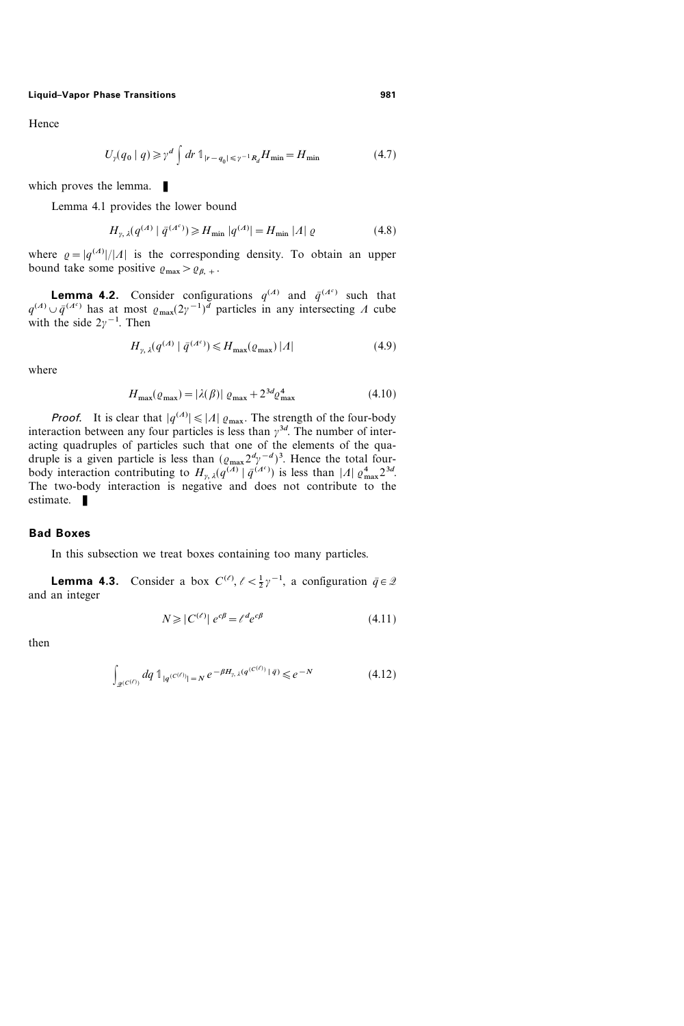#### Liquid–Vapor Phase Transitions 881 (1996) 1981 (1996) 1981 (1997) 1981 (1998) 1981

Hence

$$
U_{\gamma}(q_0 \mid q) \geqslant \gamma^d \int dr \, \mathbb{1}_{|r - q_0| \leqslant \gamma^{-1} R_d} H_{\min} = H_{\min}
$$
\n
$$
(4.7)
$$

which proves the lemma.  $\blacksquare$ 

Lemma 4.1 provides the lower bound

$$
H_{\gamma,\lambda}(q^{(A)} \mid \bar{q}^{(A^c)}) \ge H_{\min} |q^{(A)}| = H_{\min} |A| \varrho \tag{4.8}
$$

where  $\varrho = |q^{(A)}|/|A|$  is the corresponding density. To obtain an upper bound take some positive  $\varrho_{\text{max}} > \varrho_{\beta,+}$ .

**Lemma 4.2.** Consider configurations  $q^{(A)}$  and  $\bar{q}^{(A^c)}$  such that  $q^{(A)} \cup \bar{q}^{(A^c)}$  has at most  $\varrho_{\text{max}}(2\gamma^{-1})^d$  particles in any intersecting  $A$  cube with the side  $2\gamma^{-1}$ . Then

$$
H_{\gamma,\lambda}(q^{(A)} \mid \bar{q}^{(A^c)}) \leq H_{\text{max}}(\varrho_{\text{max}}) |A| \tag{4.9}
$$

where

$$
H_{\text{max}}(\varrho_{\text{max}}) = |\lambda(\beta)| \varrho_{\text{max}} + 2^{3d} \varrho_{\text{max}}^4 \tag{4.10}
$$

**Proof.** It is clear that  $|q^{(A)}| \leq |A| \varrho_{\text{max}}$ . The strength of the four-body interaction between any four particles is less than  $\gamma^{3d}$ . The number of interacting quadruples of particles such that one of the elements of the quadruple is a given particle is less than  $(\varrho_{\text{max}} 2^d \gamma^{-d})^3$ . Hence the total fourbody interaction contributing to  $H_{\gamma,\lambda}(q^{(A)} | \bar{q}^{(A^c)})$  is less than  $|A| \varrho_{\text{max}}^4 2^{3d}$ . The two-body interaction is negative and does not contribute to the estimate.  $\blacksquare$ 

#### Bad Boxes

In this subsection we treat boxes containing too many particles.

**Lemma 4.3.** Consider a box  $C^{(\ell)}$ ,  $\ell < \frac{1}{2}\gamma^{-1}$ , a configuration  $\bar{q} \in \mathcal{Q}$ and an integer

$$
N \geq |C^{(\ell)}| \, e^{c\beta} = \ell^d e^{c\beta} \tag{4.11}
$$

then

$$
\int_{\mathcal{Q}(C^{(\ell)})} dq \, \mathbb{1}_{|q^{(C^{(\ell)})}| = N} \, e^{-\beta H_{\gamma, \lambda}(q^{(C^{(\ell)})} \, | \, \bar{q})} \leqslant e^{-N} \tag{4.12}
$$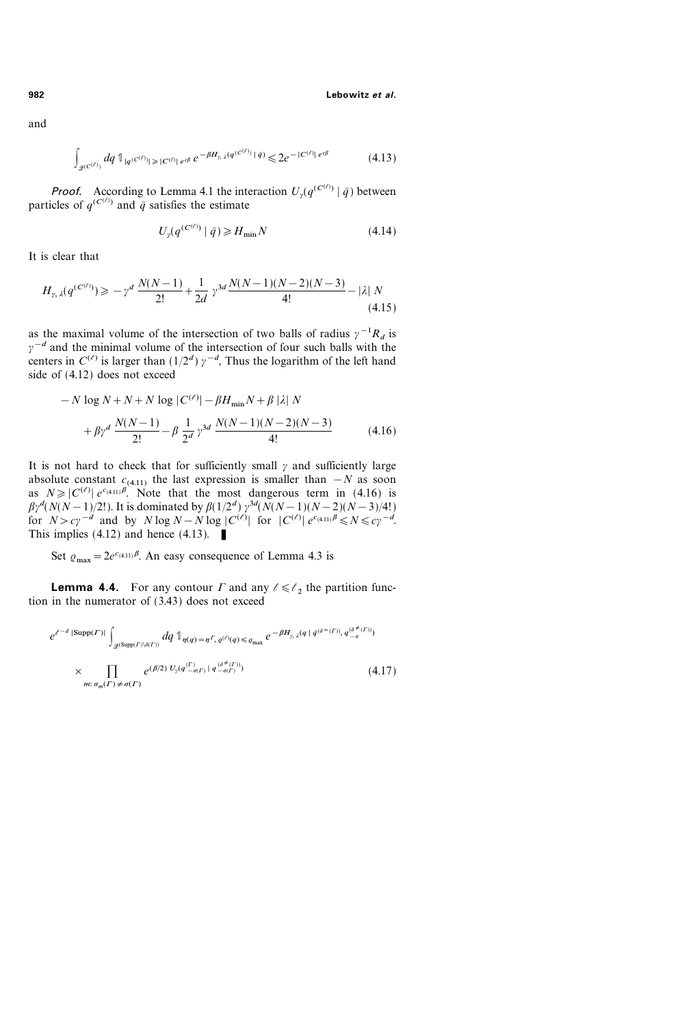and

$$
\int_{\mathcal{Q}(C^{(\ell)})} dq \, \mathbb{1}_{|q^{(C^{(\ell)})}| \geq |C^{(\ell)}| \, e^{c\beta}} \, e^{-\beta H_{\gamma, \, \lambda}(q^{(C^{(\ell)})} \, | \, \bar{q})} \leq 2e^{-|C^{(\ell)}| \, e^{c\beta}} \tag{4.13}
$$

**Proof.** According to Lemma 4.1 the interaction  $U_{\nu}(q^{(C^{(\ell)})} | \bar{q})$  between particles of  $q^{(C^{(\ell)})}$  and  $\tilde{q}$  satisfies the estimate

$$
U_{\gamma}(q^{(C^{(\ell)})} \mid \bar{q}) \geqslant H_{\min} N \tag{4.14}
$$

It is clear that

$$
H_{\gamma,\lambda}(q^{(C^{(\ell)})}) \ge -\gamma^d \frac{N(N-1)}{2!} + \frac{1}{2d} \gamma^{3d} \frac{N(N-1)(N-2)(N-3)}{4!} - |\lambda| N \tag{4.15}
$$

as the maximal volume of the intersection of two balls of radius  $\gamma^{-1}R_d$  is  $\gamma^{-d}$  and the minimal volume of the intersection of four such balls with the centers in  $C^{(\ell)}$  is larger than  $(1/2^d) \gamma^{-d}$ , Thus the logarithm of the left hand side of (4.12) does not exceed

$$
- N \log N + N + N \log |C^{(\ell)}| - \beta H_{\min} N + \beta |\lambda| N
$$
  
+  $\beta \gamma^d \frac{N(N-1)}{2!} - \beta \frac{1}{2^d} \gamma^{3d} \frac{N(N-1)(N-2)(N-3)}{4!}$  (4.16)

It is not hard to check that for sufficiently small  $\gamma$  and sufficiently large absolute constant  $c_{(4,11)}$  the last expression is smaller than  $-N$  as soon as  $N \geq |C^{(\ell)}| e^{c_{(4,11)}\beta}$ . Note that the most dangerous term in (4.16) is  $\beta \gamma^d (N(N-1)/2!)$ . It is dominated by  $\beta (1/2^d) \gamma^{3d} (N(N-1)(N-2)(N-3)/4!)$ for  $N > c\gamma^{-d}$  and by  $N \log N - N \log |C^{(\ell)}|$  for  $|C^{(\ell)}| e^{c_{(4.11)}\beta} \le N \le c\gamma^{-d}$ . This implies  $(4.12)$  and hence  $(4.13)$ .

Set 
$$
\varrho_{\text{max}} = 2e^{c_{(4.11)}\beta}
$$
. An easy consequence of Lemma 4.3 is

**Lemma 4.4.** For any contour  $\Gamma$  and any  $\ell \leq \ell_2$  the partition function in the numerator of (3.43) does not exceed

$$
e^{\ell^{-d} |\text{Supp}(T)|} \int_{\mathcal{Q}(\text{Supp}(T)\setminus\delta(T))} dq \mathbb{1}_{\eta(q) = \eta^T, \varrho^{(\ell)}(q) \leq \varrho_{\text{max}}} e^{-\beta H_{\gamma, \lambda}(q) |\bar{q}^{(\delta^=(T))}, q_{-\sigma}^{(\delta^+(T))})}
$$
  
 
$$
\times \prod_{m: \sigma_m(\Gamma) \neq \sigma(\Gamma)} e^{(\beta/2) U_{\gamma}(q_{-\sigma(T)}^{\left(\Gamma\right)} + q_{-\sigma(T)}^{\left(\delta^+(T)\right)})}
$$
(4.17)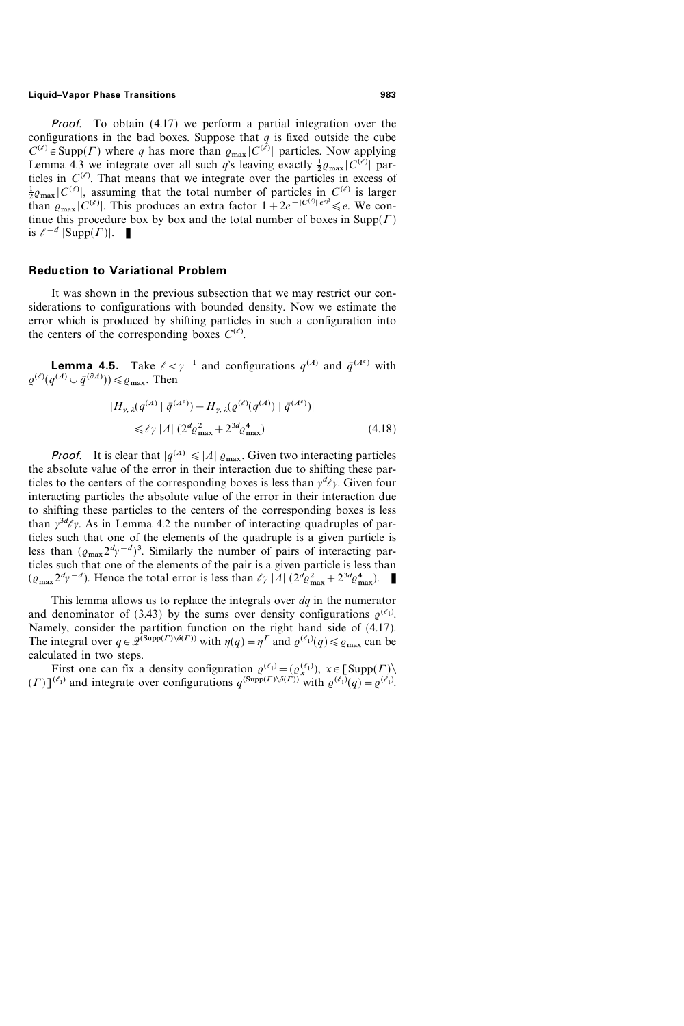#### Liquid–Vapor Phase Transitions **Example 283** 983

Proof. To obtain (4.17) we perform a partial integration over the configurations in the bad boxes. Suppose that  $q$  is fixed outside the cube  $C^{(\ell)}$   $\in$  Supp(*Γ*) where *q* has more than  $\varrho_{\text{max}} |C^{(\ell)}|$  particles. Now applying Lemma 4.3 we integrate over all such q's leaving exactly  $\frac{1}{2} \varrho_{\text{max}} |C^{(\ell)}|$  particles in  $C^{(\ell)}$ . That means that we integrate over the particles in excess of  $\frac{1}{2}\varrho_{\text{max}}|C^{(\ell)}|$ , assuming that the total number of particles in  $C^{(\ell)}$  is larger than  $\varrho_{\text{max}} |C^{(\ell)}|$ . This produces an extra factor  $1+2e^{-|C^{(\ell)}| \epsilon^{c\beta}} \leq e$ . We continue this procedure box by box and the total number of boxes in  $\text{Supp}(T)$ is  $\ell^{-d}$  |Supp $(\Gamma)$ |.  $\blacksquare$ 

## Reduction to Variational Problem

It was shown in the previous subsection that we may restrict our considerations to configurations with bounded density. Now we estimate the error which is produced by shifting particles in such a configuration into the centers of the corresponding boxes  $C^{(\ell)}$ .

**Lemma 4.5.** Take  $\ell < \gamma^{-1}$  and configurations  $q^{(A)}$  and  $\bar{q}^{(A^c)}$  with  $\varrho^{(\ell)}(q^{(\Lambda)} \cup \bar{q}^{(\partial \Lambda)})) \leq \varrho_{\text{max}}$ . Then

$$
|H_{\gamma,\lambda}(q^{(A)} | \bar{q}^{(A^c)}) - H_{\gamma,\lambda}(q^{(\ell)}(q^{(A)}) | \bar{q}^{(A^c)})|
$$
  

$$
\leq \ell \gamma |A| (2^d \varrho_{\text{max}}^2 + 2^{3d} \varrho_{\text{max}}^4)
$$
 (4.18)

**Proof.** It is clear that  $|q^{(A)}| \leq |A| \varrho_{\text{max}}$ . Given two interacting particles the absolute value of the error in their interaction due to shifting these particles to the centers of the corresponding boxes is less than  $\gamma^d \ell \gamma$ . Given four interacting particles the absolute value of the error in their interaction due to shifting these particles to the centers of the corresponding boxes is less than  $\gamma^{3d}$ / $\gamma$ . As in Lemma 4.2 the number of interacting quadruples of particles such that one of the elements of the quadruple is a given particle is less than  $(\varrho_{\text{max}} 2^d \gamma^{-d})^3$ . Similarly the number of pairs of interacting particles such that one of the elements of the pair is a given particle is less than  $(\varrho_{\text{max}} 2^d \gamma^{-d})$ . Hence the total error is less than  $\ell \gamma |\vec{A}| (2^d \varrho_{\text{max}}^2 + 2^{3d} \varrho_{\text{max}}^4)$ .

This lemma allows us to replace the integrals over  $dq$  in the numerator and denominator of (3.43) by the sums over density configurations  $\varrho^{(\ell_1)}$ . Namely, consider the partition function on the right hand side of (4.17). The integral over  $q \in \mathcal{Q}^{(\text{Supp}(T)\setminus \delta(T))}$  with  $\eta(q) = \eta^T$  and  $\varrho^{(\ell_1)}(q) \leq \varrho_{\text{max}}$  can be calculated in two steps.

First one can fix a density configuration  $\varrho^{(\ell_1)} = (\varrho_{x}^{(\ell_1)}), x \in [\text{Supp}(T)]$  $(T)$ ]<sup>( $\ell_1$ )</sup> and integrate over configurations  $q^{(\text{Supp}(T)\setminus \delta(T))}$  with  $\varrho^{(\ell_1)}(q) = \varrho^{(\ell_1)}$ .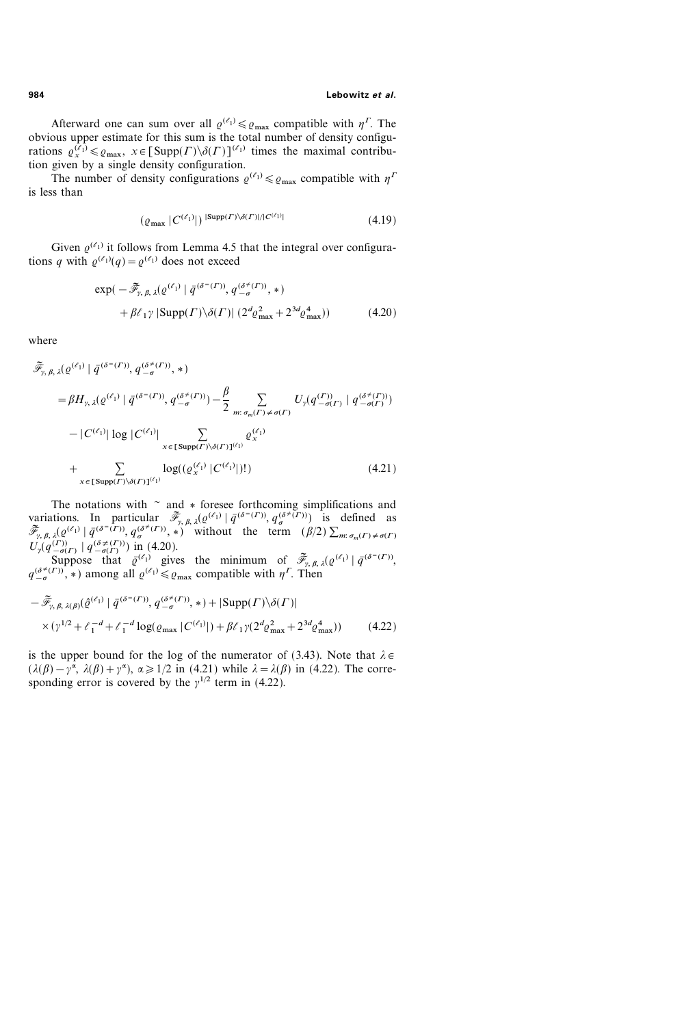Afterward one can sum over all  $\varrho^{(\ell_1)} \leq \varrho_{\text{max}}$  compatible with  $\eta^T$ . The obvious upper estimate for this sum is the total number of density configurations  $\varrho_{x}^{(\ell_1)} \leq \varrho_{\max}$ ,  $x \in \left[\text{Supp}(T) \setminus \delta(T)\right]^{(\ell_1)}$  times the maximal contribution given by a single density configuration.

The number of density configurations  $\varrho^{(\ell_1)} \leq \varrho_{\text{max}}$  compatible with  $\eta^T$ is less than

$$
\left(\varrho_{\max} |C^{(\ell_1)}|\right) |\text{Supp}(T) \backslash \delta(T)| / |C^{(\ell_1)}| \tag{4.19}
$$

Given  $\varrho^{(\ell_1)}$  it follows from Lemma 4.5 that the integral over configurations q with  $\varrho^{(\ell_1)}(q) = \varrho^{(\ell_1)}$  does not exceed

$$
\exp(-\widetilde{\mathcal{F}}_{\gamma,\beta,\lambda}(e^{(\ell_1)}\mid \bar{q}^{(\delta^=(\Gamma))}, q^{(\delta^{\neq}(\Gamma))}, *)
$$
  
+  $\beta\ell_1\gamma$  | $\text{Supp}(\Gamma)\backslash\delta(\Gamma)$  |  $(2^d\varrho_{\text{max}}^2 + 2^{3d}\varrho_{\text{max}}^4)$ ) (4.20)

where

$$
\widetilde{\mathcal{F}}_{\gamma,\beta,\lambda}(e^{(\ell_1)} | \bar{q}^{(\delta^=(\Gamma))}, q_{-\sigma}^{(\delta^{\neq}(\Gamma))}, *)
$$
\n
$$
= \beta H_{\gamma,\lambda}(e^{(\ell_1)} | \bar{q}^{(\delta^=(\Gamma))}, q_{-\sigma}^{(\delta^{\neq}(\Gamma))}) - \frac{\beta}{2} \sum_{m:\sigma_m(\Gamma) \neq \sigma(\Gamma)} U_{\gamma}(q_{-\sigma(\Gamma)}^{(\Gamma))} | q_{-\sigma(\Gamma)}^{(\delta^{\neq}(\Gamma))})
$$
\n
$$
- |C^{(\ell_1)}| \log |C^{(\ell_1)}| \sum_{x \in [\text{Supp}(\Gamma) \setminus \delta(\Gamma)]^{(\ell_1)}} e^{(\ell_1)}_x
$$
\n
$$
+ \sum_{x \in [\text{Supp}(\Gamma) \setminus \delta(\Gamma)]^{(\ell_1)}} \log((e^{(\ell_1)}_x | C^{(\ell_1)}|)!) \tag{4.21}
$$

The notations with  $\sim$  and  $*$  foresee forthcoming simplifications and variations. In particular  $\tilde{\mathcal{F}}_{\gamma,\beta,\lambda}(\varrho^{(\ell_1)} | \bar{q}^{(\delta^=(\Gamma))}, q_{\sigma}^{(\delta^+(\Gamma))})$  is defined as  $\widetilde{\mathcal{F}}_{\gamma,\beta,\lambda}(\varrho^{(\ell_1)}\mid \bar{q}^{(\delta^=(\Gamma))},q^{(\delta^{\neq}(\Gamma))},*)$  without the term  $(\beta/2)\sum_{m:\,\sigma_m(\Gamma)\neq \sigma(\Gamma)}$  $U_{\gamma}(q_{-\sigma(\Gamma)}^{(T)}) | q_{-\sigma(\Gamma)}^{(\delta \neq (\Gamma))})$  in (4.20).

Suppose that  $\bar{\varrho}^{(\ell_1)}$  gives the minimum of  $\tilde{\mathcal{F}}_{\gamma, \beta, \lambda}(\varrho^{(\ell_1)} | \bar{q}^{(\delta^{=}(T))},$  $q_{-\sigma}^{(\delta \neq (T))}, *$ ) among all  $\varrho^{(\ell_1)} \leq \varrho_{\text{max}}$  compatible with  $\eta^T$ . Then

$$
- \tilde{\mathcal{F}}_{\gamma, \beta, \lambda(\beta)}(\hat{\varrho}^{(\ell_1)} | \bar{q}^{(\delta^=(\Gamma))}, q^{(\delta^*(\Gamma))}_{-\sigma}, *) + |\text{Supp}(\Gamma) \backslash \delta(\Gamma)|
$$
  
 
$$
\times (\gamma^{1/2} + \ell_1^{-d} + \ell_1^{-d} \log(\varrho_{\text{max}} | C^{(\ell_1)}|) + \beta \ell_1 \gamma (2^d \varrho_{\text{max}}^2 + 2^{3d} \varrho_{\text{max}}^4))
$$
(4.22)

is the upper bound for the log of the numerator of (3.43). Note that  $\lambda \in$  $(\lambda(\beta) - \gamma^{\alpha}, \lambda(\beta) + \gamma^{\alpha}), \ \alpha \geq 1/2 \text{ in (4.21) while } \lambda = \lambda(\beta) \text{ in (4.22). The corre$ sponding error is covered by the  $\gamma^{1/2}$  term in (4.22).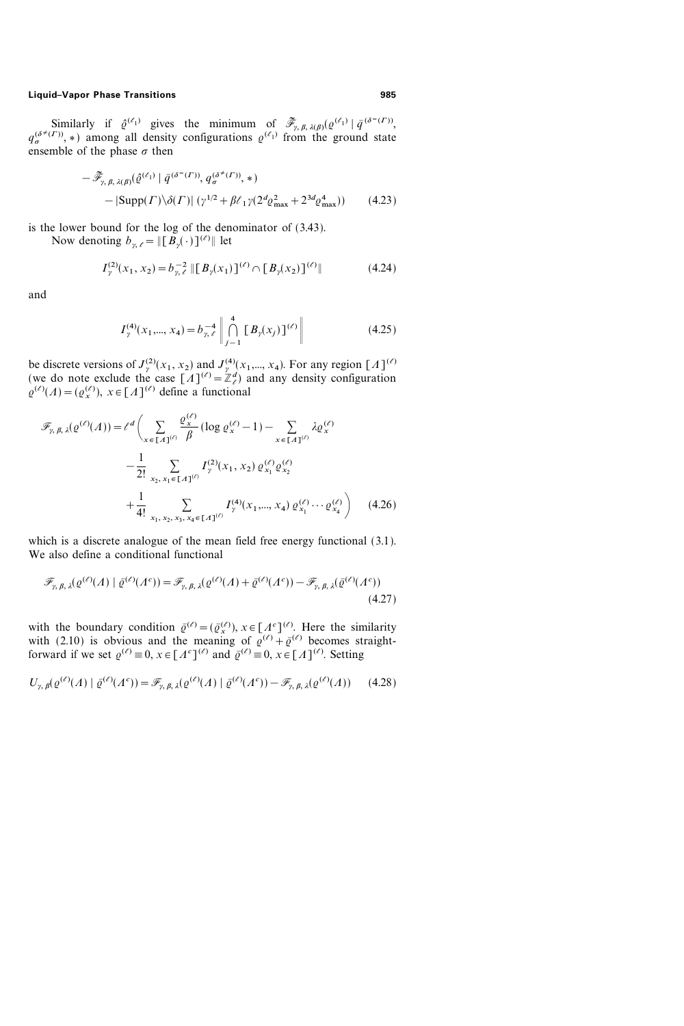#### Liquid–Vapor Phase Transitions **Example 285** Section 1 and 285

Similarly if  $\hat{\varrho}^{(\ell_1)}$  gives the minimum of  $\tilde{\mathscr{F}}_{\gamma, \beta, \lambda(\beta)}( \varrho^{(\ell_1)} | \bar{q}^{(\delta^{(2)}(T))},$  $q_{\sigma}^{(\delta^{*}(T))},\ast)$  among all density configurations  $\varrho^{(\ell_1)}$  from the ground state ensemble of the phase  $\sigma$  then

$$
- \widetilde{\mathcal{F}}_{\gamma,\beta,\lambda(\beta)}(\hat{\varrho}^{(\ell_1)} | \bar{q}^{(\delta^=(\Gamma))}, q_{\sigma}^{(\delta^+(T))}, *)
$$
  
- |Supp(*\Gamma*)\delta(*\Gamma*) | ( $\gamma^{1/2}$  +  $\beta\ell_1\gamma(2^d\varrho_{\text{max}}^2 + 2^{3d}\varrho_{\text{max}}^4))$  (4.23)

is the lower bound for the log of the denominator of (3.43).

Now denoting  $b_{\gamma, \ell} = ||[B_{\gamma}(\cdot)]^{(\ell)}||$  let

$$
I_{\gamma}^{(2)}(x_1, x_2) = b_{\gamma, \ell}^{-2} \| [B_{\gamma}(x_1)]^{(\ell)} \cap [B_{\gamma}(x_2)]^{(\ell)} \|
$$
 (4.24)

and

$$
I_{\gamma}^{(4)}(x_1, \dots, x_4) = b_{\gamma, \ell}^{-4} \left\| \bigcap_{j=1}^4 \left[ B_{\gamma}(x_j) \right]^{(\ell)} \right\| \tag{4.25}
$$

be discrete versions of  $J_{\gamma}^{(2)}(x_1, x_2)$  and  $J_{\gamma}^{(4)}(x_1, ..., x_4)$ . For any region  $[A]^{(\ell)}$ (we do note exclude the case  $[A](\ell) = \mathbb{Z}_{\ell}^{d}$ ) and any density configuration  $\varrho^{(\ell)}(\Lambda) = (\varrho_{x}^{(\ell)}), x \in [\Lambda]^{(\ell)}$  define a functional

$$
\mathcal{F}_{\gamma, \beta, \lambda}(e^{(\ell)}(A)) = \ell^d \left( \sum_{x \in [A]^{(\ell)}} \frac{\varrho_x^{(\ell)}}{\beta} (\log \varrho_x^{(\ell)} - 1) - \sum_{x \in [A]^{(\ell)}} \lambda \varrho_x^{(\ell)} - \frac{1}{2!} \sum_{x_2, x_1 \in [A]^{(\ell)}} I_{\gamma}^{(2)}(x_1, x_2) \varrho_{x_1}^{(\ell)} \varrho_{x_2}^{(\ell)} - \frac{1}{4!} \sum_{x_1, x_2, x_3, x_4 \in [A]^{(\ell)}} I_{\gamma}^{(4)}(x_1, \dots, x_4) \varrho_{x_1}^{(\ell)} \cdots \varrho_{x_4}^{(\ell)} \right) \tag{4.26}
$$

which is a discrete analogue of the mean field free energy functional (3.1). We also define a conditional functional

$$
\mathscr{F}_{\gamma,\beta,\lambda}(\varrho^{(\ell)}(\varLambda) \mid \bar{\varrho}^{(\ell)}(\varLambda^c)) = \mathscr{F}_{\gamma,\beta,\lambda}(\varrho^{(\ell)}(\varLambda) + \bar{\varrho}^{(\ell)}(\varLambda^c)) - \mathscr{F}_{\gamma,\beta,\lambda}(\bar{\varrho}^{(\ell)}(\varLambda^c))
$$
\n(4.27)

with the boundary condition  $\bar{\varrho}^{(\ell)} = (\bar{\varrho}_x^{(\ell)}), x \in [A^c]^{(\ell)}$ . Here the similarity with (2.10) is obvious and the meaning of  $\varrho^{(\ell)} + \bar{\varrho}^{(\ell)}$  becomes straightforward if we set  $\varrho^{(\ell)} \equiv 0$ ,  $x \in [A^{\ell}]^{(\ell)}$  and  $\bar{\varrho}^{(\ell)} \equiv 0$ ,  $x \in [A]^{(\ell)}$ . Setting

$$
U_{\gamma,\beta}(\varrho^{(\ell)}(A)) \mid \bar{\varrho}^{(\ell)}(A^c)) = \mathscr{F}_{\gamma,\beta,\lambda}(\varrho^{(\ell)}(A)) \mid \bar{\varrho}^{(\ell)}(A^c)) - \mathscr{F}_{\gamma,\beta,\lambda}(\varrho^{(\ell)}(A)) \tag{4.28}
$$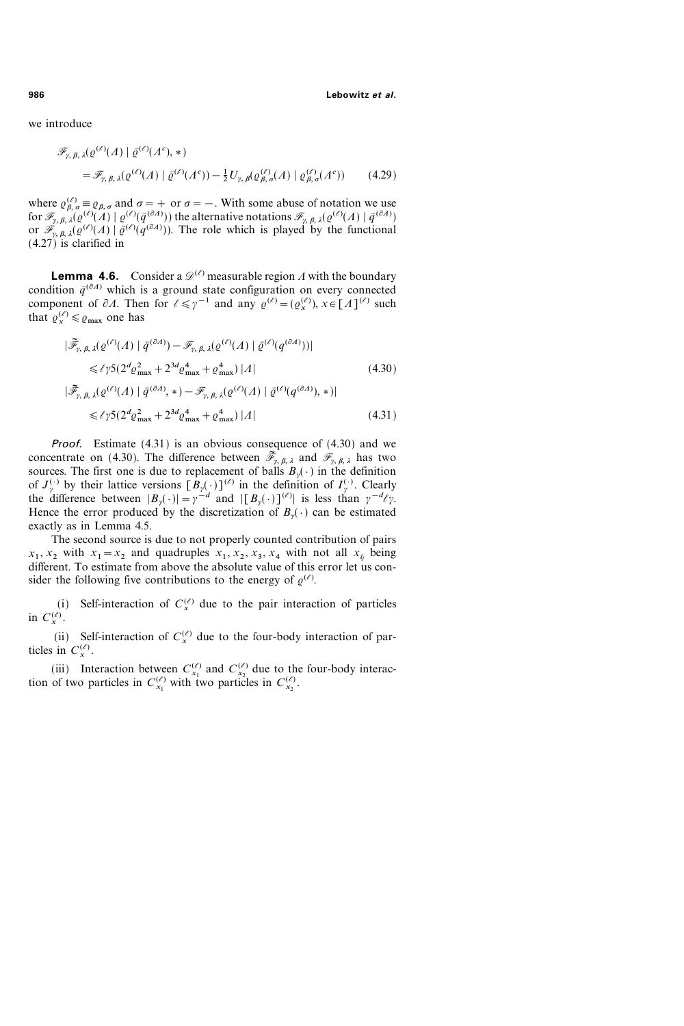we introduce

$$
\mathcal{F}_{\gamma,\beta,\lambda}(\varrho^{(\ell)}(\varLambda) \mid \bar{\varrho}^{(\ell)}(\varLambda^c), *)
$$
\n
$$
= \mathcal{F}_{\gamma,\beta,\lambda}(\varrho^{(\ell)}(\varLambda) \mid \bar{\varrho}^{(\ell)}(\varLambda^c)) - \frac{1}{2} U_{\gamma,\beta}(\varrho^{(\ell)}_{\beta,\sigma}(\varLambda) \mid \varrho^{(\ell)}_{\beta,\sigma}(\varLambda^c))
$$
\n(4.29)

where  $\varrho_{\beta,\sigma}^{(\ell)} \equiv \varrho_{\beta,\sigma}$  and  $\sigma=+$  or  $\sigma=-$ . With some abuse of notation we use for  $\mathscr{F}_{\gamma,\beta,\lambda}(\varrho^{(\ell)}(A) \mid \varrho^{(\ell)}(\bar{q}^{(\partial A)}))$  the alternative notations  $\mathscr{F}_{\gamma,\beta,\lambda}(\varrho^{(\ell)}(A) \mid \bar{q}^{(\partial A)})$ or  $\mathscr{F}_{\gamma,\beta,\lambda}(\varrho^{(\ell)}(A) | \bar{\varrho}^{(\ell)}(q^{(\partial A)}))$ . The role which is played by the functional (4.27) is clarified in

**Lemma 4.6.** Consider a  $\mathcal{D}^{(\ell)}$  measurable region  $\Lambda$  with the boundary condition  $\bar{q}^{(\partial A)}$  which is a ground state configuration on every connected component of  $\partial \Lambda$ . Then for  $\ell \le \gamma^{-1}$  and any  $\varrho^{(\ell)} = (\varrho_{x}^{(\ell)}), x \in [\Lambda]^{(\ell)}$  such that  $\varrho_{x}^{(\ell)} \leq \varrho_{\text{max}}$  one has

$$
|\widetilde{\mathcal{F}}_{\gamma,\beta,\lambda}(\varrho^{(\ell)}(\varLambda) \mid \bar{q}^{(\partial\varLambda)}) - \mathcal{F}_{\gamma,\beta,\lambda}(\varrho^{(\ell)}(\varLambda) \mid \bar{\varrho}^{(\ell)}(q^{(\partial\varLambda)}))|
$$
  
\n
$$
\leq \ell \gamma 5(2^d \varrho_{\text{max}}^2 + 2^{3d} \varrho_{\text{max}}^4 + \varrho_{\text{max}}^4) |\varLambda|
$$
  
\n
$$
|\widetilde{\mathcal{F}}_{\gamma,\beta,\lambda}(\varrho^{(\ell)}(\varLambda) \mid \bar{q}^{(\partial\varLambda)}, *) - \mathcal{F}_{\gamma,\beta,\lambda}(\varrho^{(\ell)}(\varLambda) \mid \bar{\varrho}^{(\ell)}(q^{(\partial\varLambda)}), *)|
$$
  
\n
$$
\leq \ell \gamma 5(2^d \varrho_{\text{max}}^2 + 2^{3d} \varrho_{\text{max}}^4 + \varrho_{\text{max}}^4) |\varLambda|
$$
\n(4.31)

Proof. Estimate (4.31) is an obvious consequence of (4.30) and we concentrate on (4.30). The difference between  $\mathscr{F}_{y,\beta,\lambda}$  and  $\mathscr{F}_{y,\beta,\lambda}$  has two sources. The first one is due to replacement of balls  $B_y(·)$  in the definition of  $J_{\gamma}^{(\cdot)}$  by their lattice versions  $[B_{\gamma}(\cdot)]^{(\ell)}$  in the definition of  $I_{\gamma}^{(\cdot)}$ . Clearly the difference between  $|B_{\gamma}(\cdot)| = \gamma^{-d}$  and  $|[B_{\gamma}(\cdot)]^{(\ell)}|$  is less than  $\gamma^{-d} \ell \gamma$ . Hence the error produced by the discretization of  $B_{\nu}(\cdot)$  can be estimated exactly as in Lemma 4.5.

The second source is due to not properly counted contribution of pairs  $x_1, x_2$  with  $x_1 = x_2$  and quadruples  $x_1, x_2, x_3, x_4$  with not all  $x_i$  being different. To estimate from above the absolute value of this error let us consider the following five contributions to the energy of  $\varrho^{(\ell)}$ .

(i) Self-interaction of  $C_x^{(\ell)}$  due to the pair interaction of particles in  $C_x^{(\ell)}$ .

(ii) Self-interaction of  $C_x^{(\ell)}$  due to the four-body interaction of particles in  $C_x^{(\ell)}$ .

(iii) Interaction between  $C_{x_1}^{(\ell)}$  and  $C_{x_2}^{(\ell)}$  due to the four-body interaction of two particles in  $C_{x_1}^{(\ell)}$  with two particles in  $C_{x_2}^{(\ell)}$ .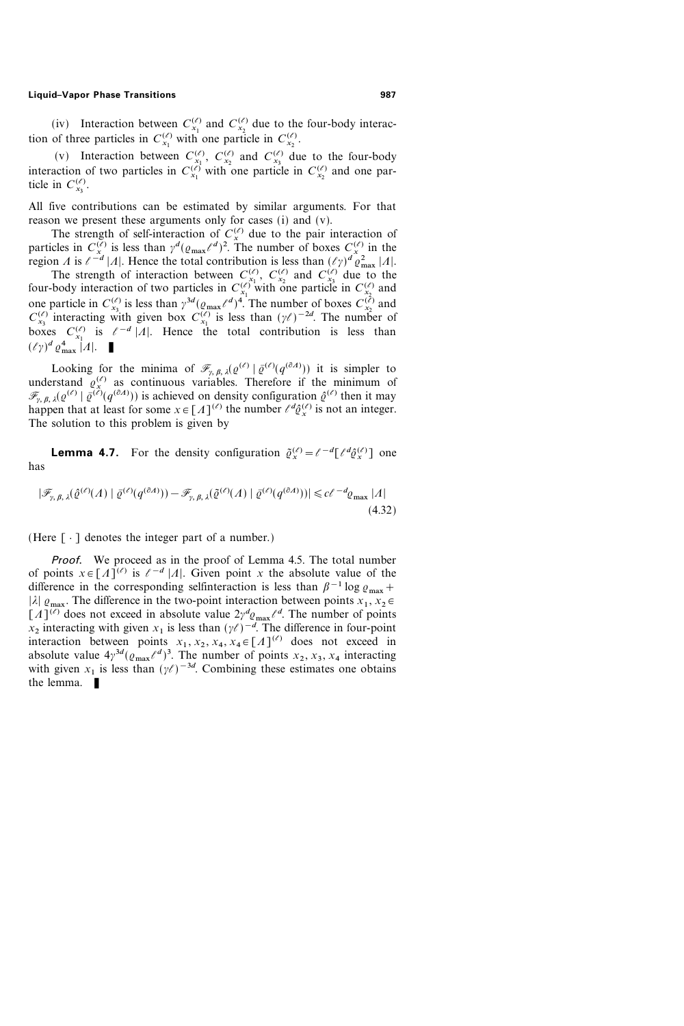#### Liquid–Vapor Phase Transitions 887 (1996) 1987 (1998) 1987 (1998) 1987 (1998) 1987

(iv) Interaction between  $C_{x_1}^{(\ell)}$  and  $C_{x_2}^{(\ell)}$  due to the four-body interaction of three particles in  $C_{x_1}^{(\ell)}$  with one particle in  $C_{x_2}^{(\ell)}$ .

(v) Interaction between  $C_{x_1}^{(\ell)}$ ,  $C_{x_2}^{(\ell)}$  and  $C_{x_3}^{(\ell)}$  due to the four-body interaction of two particles in  $C_{x_1}^{(\ell)}$  with one particle in  $C_{x_2}^{(\ell)}$  and one particle in  $C_{x_3}^{(\ell)}$ .

All five contributions can be estimated by similar arguments. For that reason we present these arguments only for cases (i) and (v).

The strength of self-interaction of  $C_x^{(\ell)}$  due to the pair interaction of particles in  $C_x^{(\ell)}$  is less than  $\gamma^d(\varrho_{\max} \ell^d)^2$ . The number of boxes  $C_x^{(\ell)}$  in the region  $\Lambda$  is  $\ell^{-d} |\Lambda|$ . Hence the total contribution is less than  $(\ell \gamma)^d \varrho_{\max}^2 |\Lambda|$ .

The strength of interaction between  $C_{x_1}^{(\ell)}$ ,  $C_{x_2}^{(\ell)}$  and  $C_{x_3}^{(\ell)}$  due to the four-body interaction of two particles in  $C_{x_1}^{(\ell)}$  with one particle in  $C_{x_2}^{(\ell)}$  and one particle in  $C_{x_3}^{(\ell)}$  is less than  $\gamma^{3d}(\varrho_{\text{max}} \ell^d)^4$ . The number of boxes  $C_{x_2}^{(\ell)}$  and  $C_{x_3}^{(\ell)}$  interacting with given box  $C_{x_1}^{(\ell)}$  is less than  $(\gamma \ell)^{-2d}$ . The number of boxes  $C_{x_1}^{(\ell)}$  is  $\ell^{-d} |A|$ . Hence the total contribution is less than  $(\ell \gamma)^d \varrho_{\max}^4 |A|.$ 

Looking for the minima of  $\mathcal{F}_{\gamma,\beta,\lambda}(e^{(\ell)} | \bar{e}^{(\ell)}(q^{(\partial \Lambda)}))$  it is simpler to understand  $\varrho_{x}^{(\ell)}$  as continuous variables. Therefore if the minimum of  $\mathscr{F}_{\gamma,\beta,\lambda}(\varrho^{(\ell)} | \bar{\varrho}^{(\ell)}(q^{(\partial \Lambda)}))$  is achieved on density configuration  $\hat{\varrho}^{(\ell)}$  then it may happen that at least for some  $x \in [A]^{(\ell)}$  the number  $\ell^d \hat{Q}_x^{(\ell)}$  is not an integer. The solution to this problem is given by

**Lemma 4.7.** For the density configuration  $\tilde{\varrho}_x^{(\ell)} = \ell^{-d} [\ell^d \tilde{\varrho}_x^{(\ell)}]$  one has

$$
|\mathscr{F}_{\gamma,\beta,\lambda}(\hat{\varrho}^{(\ell)}(A) \mid \bar{\varrho}^{(\ell)}(q^{(\partial A)})) - \mathscr{F}_{\gamma,\beta,\lambda}(\tilde{\varrho}^{(\ell)}(A) \mid \bar{\varrho}^{(\ell)}(q^{(\partial A)}))| \le c\ell^{-d}\varrho_{\max}|A|
$$
\n(4.32)

(Here  $\lceil \cdot \rceil$  denotes the integer part of a number.)

Proof. We proceed as in the proof of Lemma 4.5. The total number of points  $x \in [A]^{(\ell)}$  is  $\ell^{-d} |A|$ . Given point x the absolute value of the difference in the corresponding selfinteraction is less than  $\beta^{-1} \log \varrho_{\text{max}} +$  $|\lambda|$   $\varrho_{\text{max}}$ . The difference in the two-point interaction between points  $x_1, x_2 \in$  $[A]^{(\ell)}$  does not exceed in absolute value  $2\gamma^d \varrho_{\text{max}} \ell^d$ . The number of points  $x_2$  interacting with given  $x_1$  is less than  $(\gamma \ell)^{-d}$ . The difference in four-point interaction between points  $x_1, x_2, x_4, x_4 \in [A]^{(\ell)}$  does not exceed in absolute value  $4y^{3d}(\varrho_{\text{max}} \ell^d)^3$ . The number of points  $x_2, x_3, x_4$  interacting with given  $x_1$  is less than  $(\gamma \ell)^{-3d}$ . Combining these estimates one obtains the lemma.  $\blacksquare$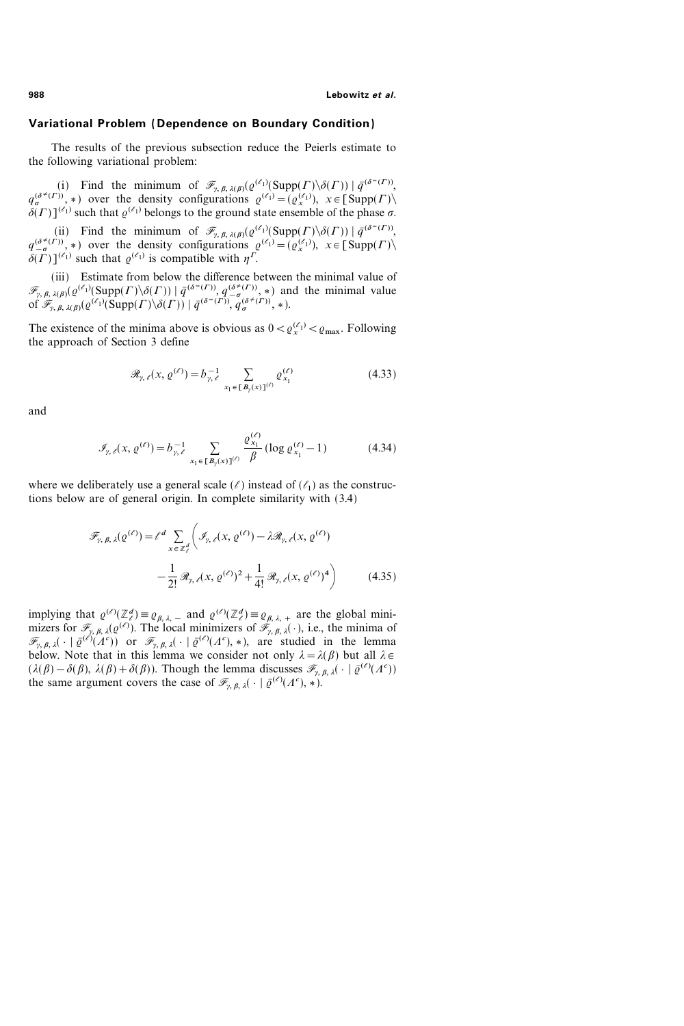## Variational Problem (Dependence on Boundary Condition)

The results of the previous subsection reduce the Peierls estimate to the following variational problem:

(i) Find the minimum of  $\mathcal{F}_{\gamma, \beta, \lambda(\beta)}(\varrho^{(\ell_1)}(\text{Supp}(T)\setminus \delta(T)) | \bar{q}^{(\delta^{(2)}(T))}$ ,  $q_{\sigma}^{(\delta^{*}(T))}, *$ ) over the density configurations  $\varrho^{(\ell_1)} = (\varrho_{x}^{(\ell_1)}), x \in [\text{Supp}(T))$  $\delta(\Gamma)$ ]<sup>( $\ell_1$ )</sup> such that  $\varrho^{(\ell_1)}$  belongs to the ground state ensemble of the phase  $\sigma$ .

(ii) Find the minimum of  $\mathcal{F}_{\gamma, \beta, \lambda(\beta)}(\varrho^{(\ell_1)}(\text{Supp}(T)\setminus \delta(T)) | \bar{q}^{(\delta^{(2)}(T))},$  $q_{-\sigma}^{(\delta^*(\Gamma))}, *$ ) over the density configurations  $\varrho^{(\ell_1)} = (\varrho_{x}^{(\ell_1)}), x \in [\text{Supp}(\Gamma))$  $\delta(\tilde{\Gamma})$ ]<sup>( $\ell_1$ )</sup> such that  $\varrho^{(\ell_1)}$  is compatible with  $\eta^T$ .

(iii) Estimate from below the difference between the minimal value of  $\mathscr{F}_{\gamma,\beta,\lambda(\beta)}(\varrho^{(\ell_1)}(\text{Supp}(\Gamma)\setminus\delta(\Gamma)) | \bar{q}^{(\delta^=(\Gamma))},q^{(\delta^=(\Gamma))},\ast)$  and the minimal value of  $\mathscr{F}_{\gamma, \beta, \lambda(\beta)}(\varrho^{(\ell_1)}(\text{Supp}(\Gamma)\backslash \delta(\Gamma)) | \bar{q}^{(\delta^{\pm}(\Gamma))}, q_{\sigma}^{(\delta^{\pm}(\Gamma))}, *)$ .

The existence of the minima above is obvious as  $0 < \varrho_{x}^{(\ell_1)} < \varrho_{\text{max}}$ . Following the approach of Section 3 define

$$
\mathcal{R}_{\gamma, \ell}(x, \varrho^{(\ell)}) = b_{\gamma, \ell}^{-1} \sum_{x_1 \in [B_{\gamma}(x)]^{(\ell)}} \varrho_{x_1}^{(\ell)} \tag{4.33}
$$

and

$$
\mathcal{I}_{\gamma,\ell}(x,\varrho^{(\ell)}) = b_{\gamma,\ell}^{-1} \sum_{x_1 \in [B_{\gamma}(x)]^{(\ell)}} \frac{\varrho_{x_1}^{(\ell)}}{\beta} (\log \varrho_{x_1}^{(\ell)} - 1) \tag{4.34}
$$

where we deliberately use a general scale ( $\ell$ ) instead of ( $\ell_1$ ) as the constructions below are of general origin. In complete similarity with (3.4)

$$
\mathcal{F}_{\gamma,\beta,\lambda}(e^{(\ell)}) = \ell^d \sum_{x \in \mathbb{Z}_{\ell}^d} \left( \mathcal{I}_{\gamma,\ell}(x, e^{(\ell)}) - \lambda \mathcal{R}_{\gamma,\ell}(x, e^{(\ell)}) - \frac{1}{2!} \mathcal{R}_{\gamma,\ell}(x, e^{(\ell)})^2 + \frac{1}{4!} \mathcal{R}_{\gamma,\ell}(x, e^{(\ell)})^4 \right)
$$
(4.35)

implying that  $\varrho^{(\ell)}(\mathbb{Z}_{\ell}^d) \equiv \varrho_{\beta,\lambda,-}$  and  $\varrho^{(\ell)}(\mathbb{Z}_{\ell}^d) \equiv \varrho_{\beta,\lambda,+}$  are the global minimizers for  $\mathcal{F}_{\gamma,\beta,\lambda}(\varrho^{(\ell)})$ . The local minimizers of  $\mathcal{F}_{\gamma,\beta,\lambda}(\cdot)$ , i.e., the minima of  $\mathscr{F}_{\gamma,\beta,\lambda}(\cdot \mid \bar{\varrho}^{(\ell)}(A^c))$  or  $\mathscr{F}_{\gamma,\beta,\lambda}(\cdot \mid \bar{\varrho}^{(\ell)}(A^c), *)$ , are studied in the lemma below. Note that in this lemma we consider not only  $\lambda = \lambda(\beta)$  but all  $\lambda \in$  $(\lambda(\beta) - \delta(\beta), \lambda(\beta) + \delta(\beta))$ . Though the lemma discusses  $\mathscr{F}_{\gamma, \beta, \lambda}(\cdot | \bar{\varrho}^{(\ell)}(\Lambda^c))$ the same argument covers the case of  $\mathscr{F}_{\gamma, \beta, \lambda}(\cdot | \bar{\varrho}^{(\ell)}(A^c), \star).$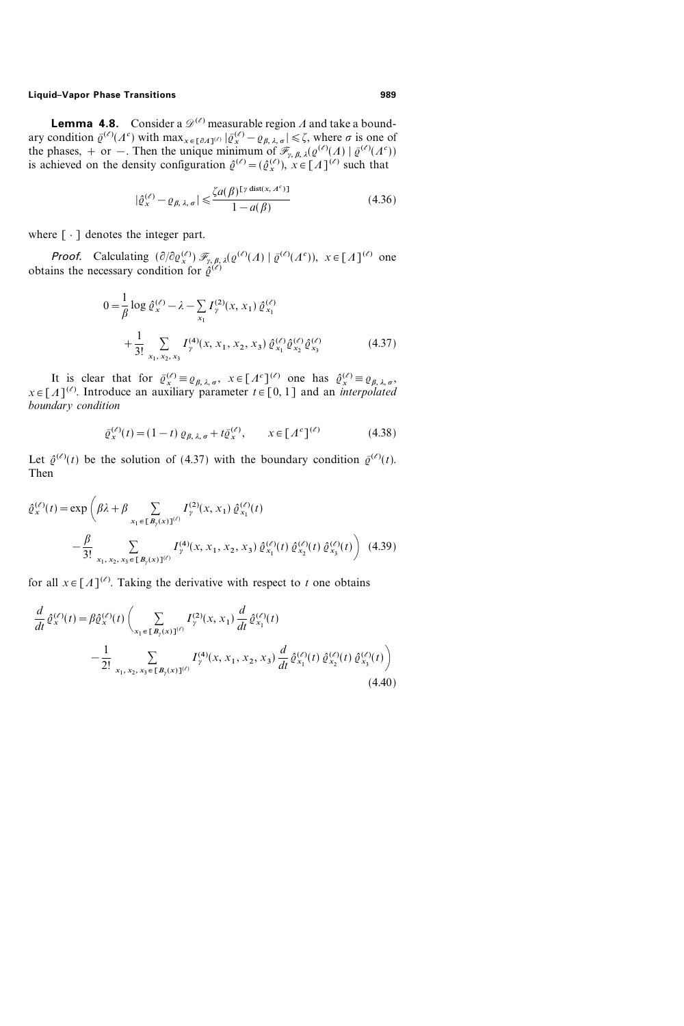#### Liquid–Vapor Phase Transitions **Example 289** Section 1 and 289

**Lemma 4.8.** Consider a  $\mathcal{D}^{(\ell)}$  measurable region  $\Lambda$  and take a boundary condition  $\bar{\varrho}^{(\ell)}(A^c)$  with  $\max_{x \in [\partial A]^{(\ell)}} |\bar{\varrho}_x^{(\ell)} - \varrho_{\beta,\lambda,\sigma}| \leq \zeta$ , where  $\sigma$  is one of the phases, + or –. Then the unique minimum of  $\mathcal{F}_{\gamma, \beta, \lambda}(e^{(\ell)}(A) | \bar{e}^{(\ell)}(A^c))$ is achieved on the density configuration  $\hat{\varrho}^{(\ell)} = (\hat{\varrho}_x^{(\ell)}), x \in [A]^{(\ell)}$  such that

$$
|\hat{\varrho}_x^{(\ell)} - \varrho_{\beta,\,\lambda,\,\sigma}| \leq \frac{\zeta a(\beta)^{\lceil \gamma \text{ dist}(x,\,A^c) \rceil}}{1 - a(\beta)}
$$
(4.36)

where  $\lceil \cdot \rceil$  denotes the integer part.

**Proof.** Calculating  $(\partial/\partial \varrho_x^{(\ell)}) \mathcal{F}_{\gamma, \beta, \lambda}(\varrho^{(\ell)}(A) | \bar{\varrho}^{(\ell)}(A^c)), x \in [A]^{(\ell)}$  one obtains the necessary condition for  $\hat{\varrho}^{(\ell)}$ 

$$
0 = \frac{1}{\beta} \log \hat{\varrho}_x^{(\ell)} - \lambda - \sum_{x_1} I_y^{(2)}(x, x_1) \hat{\varrho}_{x_1}^{(\ell)} + \frac{1}{3!} \sum_{x_1, x_2, x_3} I_y^{(4)}(x, x_1, x_2, x_3) \hat{\varrho}_{x_1}^{(\ell)} \hat{\varrho}_{x_2}^{(\ell)} \hat{\varrho}_{x_3}^{(\ell)} \tag{4.37}
$$

It is clear that for  $\bar{\varrho}_x^{(\ell)} \equiv \varrho_{\beta,\lambda,\sigma}$ ,  $x \in [A^c]^{(\ell)}$  one has  $\hat{\varrho}_x^{(\ell)} \equiv \varrho_{\beta,\lambda,\sigma}$ ,  $x \in [A]^{(\ell)}$ . Introduce an auxiliary parameter  $t \in [0, 1]$  and an *interpolated* boundary condition

$$
\bar{\varrho}_x^{(\ell)}(t) = (1-t)\,\varrho_{\beta,\,\lambda,\,\sigma} + t\bar{\varrho}_x^{(\ell)}, \qquad x \in [A^c]^{(\ell)} \tag{4.38}
$$

Let  $\hat{\varrho}^{(\ell)}(t)$  be the solution of (4.37) with the boundary condition  $\bar{\varrho}^{(\ell)}(t)$ . Then

$$
\hat{\varrho}_{x}^{(\ell)}(t) = \exp\left(\beta\lambda + \beta \sum_{x_1 \in [B_{\gamma}(x)]^{(\ell)}} I_{\gamma}^{(2)}(x, x_1) \hat{\varrho}_{x_1}^{(\ell)}(t) - \frac{\beta}{3!} \sum_{x_1, x_2, x_3 \in [B_{\gamma}(x)]^{(\ell)}} I_{\gamma}^{(4)}(x, x_1, x_2, x_3) \hat{\varrho}_{x_1}^{(\ell)}(t) \hat{\varrho}_{x_2}^{(\ell)}(t) \hat{\varrho}_{x_3}^{(\ell)}(t) \right)
$$
(4.39)

for all  $x \in [A]^{(\ell)}$ . Taking the derivative with respect to t one obtains

$$
\frac{d}{dt}\hat{\varrho}_{x}^{(\ell)}(t) = \beta \hat{\varrho}_{x}^{(\ell)}(t) \left( \sum_{x_1 \in [B_{\gamma}(x)]^{(\ell)}} I_{\gamma}^{(2)}(x, x_1) \frac{d}{dt} \hat{\varrho}_{x_1}^{(\ell)}(t) - \frac{1}{2!} \sum_{x_1, x_2, x_3 \in [B_{\gamma}(x)]^{(\ell)}} I_{\gamma}^{(4)}(x, x_1, x_2, x_3) \frac{d}{dt} \hat{\varrho}_{x_1}^{(\ell)}(t) \hat{\varrho}_{x_2}^{(\ell)}(t) \hat{\varrho}_{x_3}^{(\ell)}(t) \right)
$$
\n(4.40)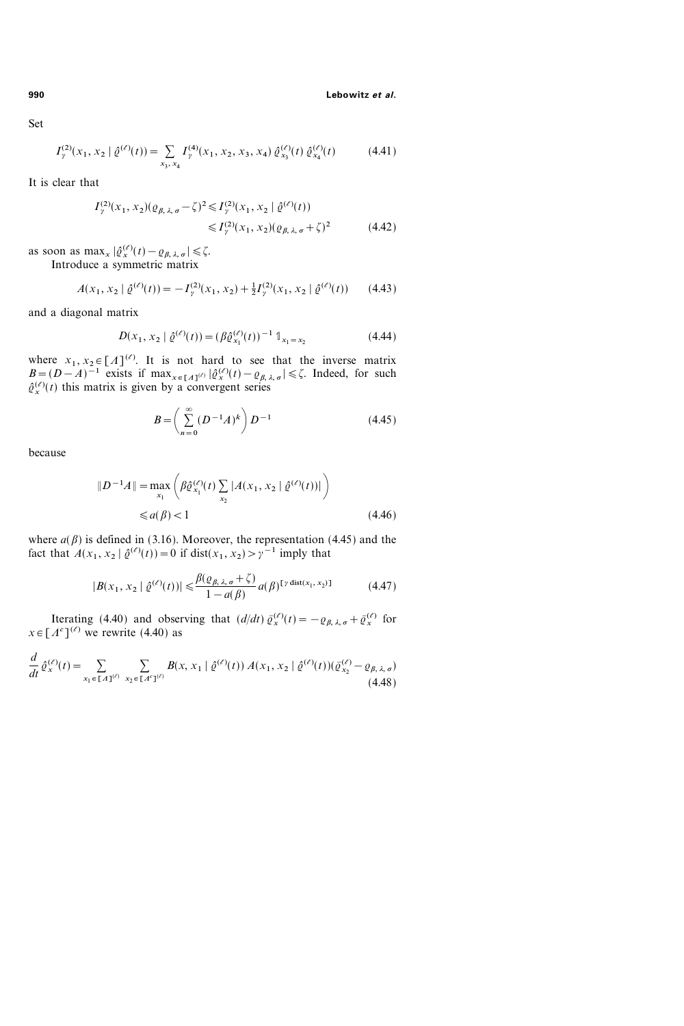#### 990 Lebowitz et al.

Set

$$
I_{\gamma}^{(2)}(x_1, x_2 \mid \hat{\varrho}^{(\ell)}(t)) = \sum_{x_3, x_4} I_{\gamma}^{(4)}(x_1, x_2, x_3, x_4) \hat{\varrho}_{x_3}^{(\ell)}(t) \hat{\varrho}_{x_4}^{(\ell)}(t) \tag{4.41}
$$

It is clear that

$$
I_{\gamma}^{(2)}(x_1, x_2)(\varrho_{\beta, \lambda, \sigma} - \zeta)^2 \le I_{\gamma}^{(2)}(x_1, x_2 \mid \hat{\varrho}^{(\ell)}(t))
$$
  

$$
\le I_{\gamma}^{(2)}(x_1, x_2)(\varrho_{\beta, \lambda, \sigma} + \zeta)^2
$$
 (4.42)

as soon as  $\max_x |\hat{\varrho}_x^{(\ell)}(t) - \varrho_{\beta,\lambda,\sigma}| \leq \zeta$ .

Introduce a symmetric matrix

$$
A(x_1, x_2 | \hat{\varrho}^{(\ell)}(t)) = -I_{\gamma}^{(2)}(x_1, x_2) + \frac{1}{2}I_{\gamma}^{(2)}(x_1, x_2 | \hat{\varrho}^{(\ell)}(t))
$$
 (4.43)

and a diagonal matrix

$$
D(x_1, x_2 \mid \hat{\varrho}^{(\ell)}(t)) = (\beta \hat{\varrho}_{x_1}^{(\ell)}(t))^{-1} \mathbb{1}_{x_1 = x_2}
$$
\n(4.44)

where  $x_1, x_2 \in [A]^{(\ell)}$ . It is not hard to see that the inverse matrix  $B = (D-A)^{-1}$  exists if  $\max_{x \in [A]} |\hat{\varrho}_x^{(\ell)}(t) - \varrho_{\beta,\lambda,\sigma}| \leq \zeta$ . Indeed, for such  $\hat{\varrho}_x^{(\ell)}(t)$  this matrix is given by a convergent series

$$
B = \left(\sum_{n=0}^{\infty} (D^{-1}A)^k\right) D^{-1}
$$
 (4.45)

because

d

$$
||D^{-1}A|| = \max_{x_1} \left( \beta \hat{\varrho}_{x_1}^{(\ell)}(t) \sum_{x_2} |A(x_1, x_2 | \hat{\varrho}^{(\ell)}(t))| \right)
$$
  
\$\leq a(\beta) < 1\$ (4.46)

where  $a(\beta)$  is defined in (3.16). Moreover, the representation (4.45) and the fact that  $A(x_1, x_2 | \hat{\varrho}^{(\ell)}(t)) = 0$  if dist $(x_1, x_2) > \gamma^{-1}$  imply that

$$
|B(x_1, x_2 | \hat{\varrho}^{(\ell)}(t))| \leq \frac{\beta(\varrho_{\beta, \lambda, \sigma} + \zeta)}{1 - a(\beta)} a(\beta)^{[\gamma \text{ dist}(x_1, x_2)]}
$$
(4.47)

Iterating (4.40) and observing that  $(d/dt) \bar{g}_x^{(\ell)}(t) = -\varrho_{\beta,\lambda,\sigma} + \bar{\varrho}_x^{(\ell)}$  for  $x \in [A^c]^{(\ell)}$  we rewrite (4.40) as

$$
\frac{d}{dt}\,\hat{\varrho}_{x}^{(\ell)}(t) = \sum_{x_1 \in [A]^{(\ell)}} \sum_{x_2 \in [A^c]^{(\ell)}} B(x, x_1 \mid \hat{\varrho}^{(\ell)}(t)) A(x_1, x_2 \mid \hat{\varrho}^{(\ell)}(t)) (\bar{\varrho}_{x_2}^{(\ell)} - \varrho_{\beta, \lambda, \sigma})
$$
\n(4.48)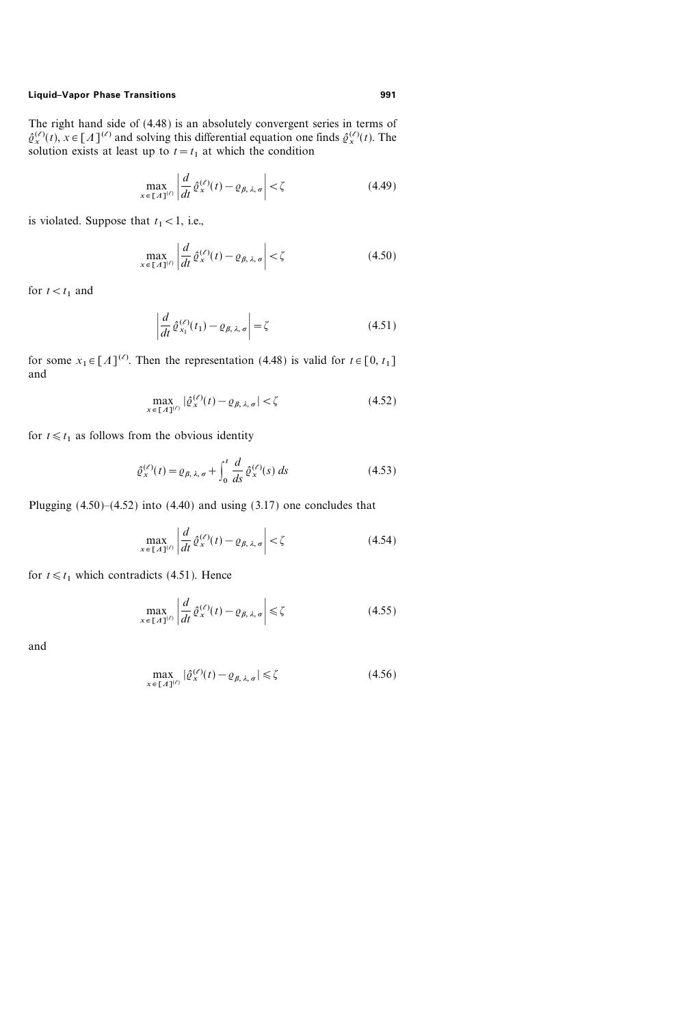#### Liquid–Vapor Phase Transitions **891** (1991)

The right hand side of (4.48) is an absolutely convergent series in terms of  $\hat{\varrho}_x^{(\ell)}(t), x \in [A]^{(\ell)}$  and solving this differential equation one finds  $\hat{\varrho}_x^{(\ell)}(t)$ . The solution exists at least up to  $t=t_1$  at which the condition

$$
\max_{x \in [A]^{(\ell)}} \left| \frac{d}{dt} \hat{\varrho}_x^{(\ell)}(t) - \varrho_{\beta, \lambda, \sigma} \right| < \zeta \tag{4.49}
$$

is violated. Suppose that  $t<sub>1</sub> < 1$ , i.e.,

$$
\max_{x \in [A]^{(\ell)}} \left| \frac{d}{dt} \hat{\varrho}_x^{(\ell)}(t) - \varrho_{\beta, \lambda, \sigma} \right| < \zeta \tag{4.50}
$$

for  $t < t_1$  and

$$
\left| \frac{d}{dt} \hat{\varrho}_{x_1}^{(\ell)}(t_1) - \varrho_{\beta, \lambda, \sigma} \right| = \zeta \tag{4.51}
$$

for some  $x_1 \in [A]^{(\ell)}$ . Then the representation (4.48) is valid for  $t \in [0, t_1]$ and

$$
\max_{x \in [A]} |\hat{\varrho}_x^{(\ell)}(t) - \varrho_{\beta, \lambda, \sigma}| < \zeta \tag{4.52}
$$

for  $t \leq t_1$  as follows from the obvious identity

$$
\hat{\varrho}_x^{(\ell)}(t) = \varrho_{\beta,\,\lambda,\,\sigma} + \int_0^t \frac{d}{ds} \,\hat{\varrho}_x^{(\ell)}(s) \,ds \tag{4.53}
$$

Plugging  $(4.50)$ – $(4.52)$  into  $(4.40)$  and using  $(3.17)$  one concludes that

$$
\max_{x \in [A]^{(\ell)}} \left| \frac{d}{dt} \hat{\varrho}_x^{(\ell)}(t) - \varrho_{\beta, \lambda, \sigma} \right| < \zeta \tag{4.54}
$$

for  $t \le t_1$  which contradicts (4.51). Hence

$$
\max_{x \in [A]^{(\ell)}} \left| \frac{d}{dt} \hat{\varrho}_x^{(\ell)}(t) - \varrho_{\beta, \lambda, \sigma} \right| \le \zeta \tag{4.55}
$$

and

$$
\max_{x \in [A]} |\hat{\varrho}_x^{(\ell)}(t) - \varrho_{\beta, \lambda, \sigma}| \le \zeta
$$
\n(4.56)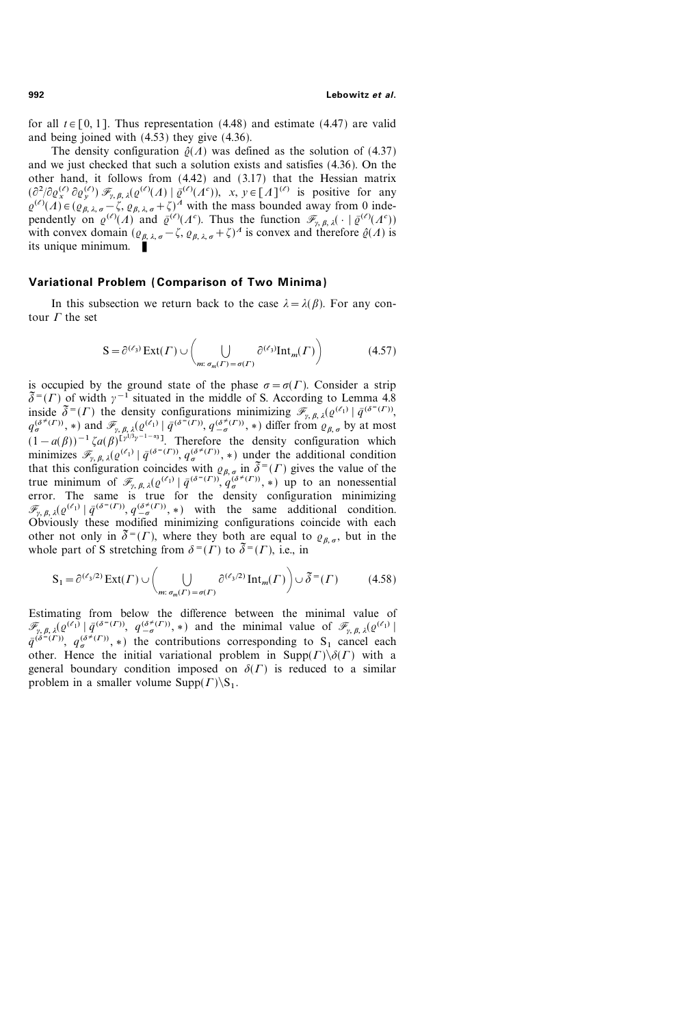for all  $t \in [0, 1]$ . Thus representation (4.48) and estimate (4.47) are valid and being joined with (4.53) they give (4.36).

The density configuration  $\hat{\rho}(A)$  was defined as the solution of (4.37) and we just checked that such a solution exists and satisfies (4.36). On the other hand, it follows from (4.42) and (3.17) that the Hessian matrix  $(\partial^2/\partial \varrho_x^{(\ell)} \partial \varrho_y^{(\ell)}) \mathcal{F}_{\gamma,\beta,\lambda}(\varrho^{(\ell)}(A) | \bar{\varrho}^{(\ell)}(A^c)), x, y \in [A]^{(\ell)}$  is positive for any  $\varrho^{(\ell)}(\Lambda) \in (\varrho_{\beta,\lambda,\sigma} - \zeta, \varrho_{\beta,\lambda,\sigma} + \zeta)^{\Lambda}$  with the mass bounded away from 0 independently on  $\varrho^{(\ell)}(A)$  and  $\bar{\varrho}^{(\ell)}(A^c)$ . Thus the function  $\mathscr{F}_{\gamma,\beta,\lambda}(\cdot | \bar{\varrho}^{(\ell)}(A^c))$ with convex domain  $(\varrho_{\beta,\lambda,\sigma} - \zeta, \varrho_{\beta,\lambda,\sigma} + \zeta)^A$  is convex and therefore  $\hat{\varrho}(A)$  is its unique minimum.  $\blacksquare$ 

### Variational Problem (Comparison of Two Minima)

In this subsection we return back to the case  $\lambda = \lambda(\beta)$ . For any contour  $\Gamma$  the set

$$
S = \partial^{(\ell_3)} \operatorname{Ext}(\Gamma) \cup \left( \bigcup_{m: \sigma_m(\Gamma) = \sigma(\Gamma)} \partial^{(\ell_3)} \operatorname{Int}_m(\Gamma) \right) \tag{4.57}
$$

is occupied by the ground state of the phase  $\sigma = \sigma(\Gamma)$ . Consider a strip  $\tilde{\delta}^{\dagger}(T)$  of width  $\gamma^{-1}$  situated in the middle of S. According to Lemma 4.8 inside  $\tilde{\delta}^=(\Gamma)$  the density configurations minimizing  $\mathscr{F}_{\gamma,\beta,\lambda}(e^{(\ell_1)} | \bar{q}^{(\delta^=(\Gamma))},$  $q_{\sigma}^{(\delta^{*}(T))},\ast)$  and  $\mathscr{F}_{\gamma,\beta,\lambda}(e^{(\ell_1)}\mid \bar{q}^{(\delta^{=}(T))},q_{-\sigma}^{(\delta^{*}(T))},\ast)$  differ from  $\varrho_{\beta,\sigma}$  by at most  $(1-a(\beta))^{-1} \zeta a(\beta)^{[\gamma^{1/3}\gamma^{-1-\alpha_3}]}$ . Therefore the density configuration which minimizes  $\mathscr{F}_{\gamma,\beta,\lambda}(e^{(\ell_1)} | \bar{q}^{(\delta^{=}(T))}, q_{\sigma}^{(\delta^{=}(T))}, *)$  under the additional condition that this configuration coincides with  $\rho_{\beta,\sigma}$  in  $\tilde{\delta}^=(\Gamma)$  gives the value of the true minimum of  $\mathscr{F}_{\gamma,\beta,\lambda}(\varrho^{(\ell_1)} | \bar{q}^{(\delta^=(\Gamma))}, q^{(\delta^{\neq}(\Gamma))}_{\sigma}, *)$  up to an nonessential error. The same is true for the density configuration minimizing  $\mathscr{F}_{\gamma, \beta, \lambda}(e^{(\ell_1)} | \bar{q}^{(\delta^=(T))}, q_{-\sigma}^{(\delta^+(T))}, *)$  with the same additional condition. Obviously these modified minimizing configurations coincide with each other not only in  $\tilde{\delta}^{\dagger}(T)$ , where they both are equal to  $\varrho_{\beta,\sigma}$ , but in the whole part of S stretching from  $\delta^=(\Gamma)$  to  $\tilde{\delta}^=(\Gamma)$ , i.e., in

$$
S_1 = \partial^{(\ell_3/2)} \operatorname{Ext}(\Gamma) \cup \left( \bigcup_{m:\sigma_m(\Gamma) = \sigma(\Gamma)} \partial^{(\ell_3/2)} \operatorname{Int}_m(\Gamma) \right) \cup \widetilde{\delta}^=(\Gamma) \tag{4.58}
$$

Estimating from below the difference between the minimal value of  $\mathscr{F}_{\gamma,\beta,\lambda}(\varrho^{(\ell_1)} | \bar{q}^{(\delta^{\pm}(T))}, q_{-\sigma}^{(\delta^{\pm}(T))}, *)$  and the minimal value of  $\mathscr{F}_{\gamma,\beta,\lambda}(\varrho^{(\ell_1)} |$  $\bar{q}^{(\delta^=(T))}, q^{(\delta^+(T))}_\sigma, *)$  the contributions corresponding to S<sub>1</sub> cancel each other. Hence the initial variational problem in  $\text{Supp}(T) \setminus \delta(T)$  with a general boundary condition imposed on  $\delta(\Gamma)$  is reduced to a similar problem in a smaller volume  $\text{Supp}(T)\backslash \mathbf{S}_1$ .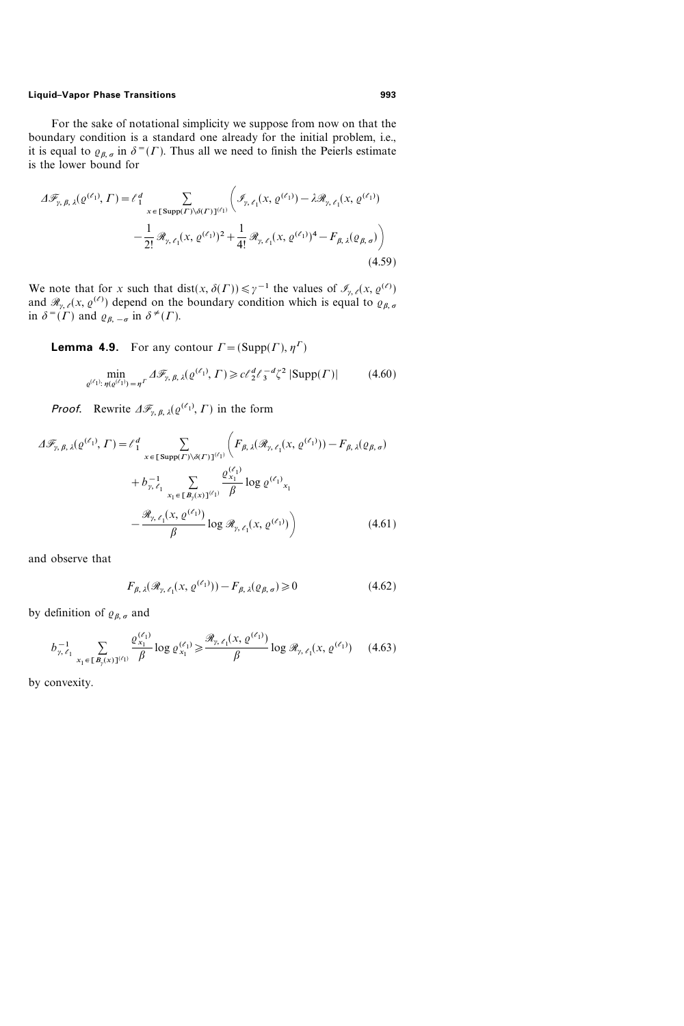#### Liquid–Vapor Phase Transitions **893 Contract Contract 1**

For the sake of notational simplicity we suppose from now on that the boundary condition is a standard one already for the initial problem, i.e., it is equal to  $\varrho_{\beta,\sigma}$  in  $\delta^=(\Gamma)$ . Thus all we need to finish the Peierls estimate is the lower bound for

$$
\Delta \mathcal{F}_{\gamma, \beta, \lambda}( \varrho^{(\ell_1)}, \Gamma) = \ell_1^d \sum_{x \in \text{[Supp}(T) \setminus \delta(\Gamma)]^{(\ell_1)}} \left( \mathcal{I}_{\gamma, \ell_1}(x, \varrho^{(\ell_1)}) - \lambda \mathcal{R}_{\gamma, \ell_1}(x, \varrho^{(\ell_1)}) - \frac{1}{2!} \mathcal{R}_{\gamma, \ell_1}(x, \varrho^{(\ell_1)})^2 + \frac{1}{4!} \mathcal{R}_{\gamma, \ell_1}(x, \varrho^{(\ell_1)})^4 - F_{\beta, \lambda}(\varrho_{\beta, \sigma}) \right)
$$
\n(4.59)

We note that for x such that dist(x,  $\delta(\Gamma)$ )  $\leq \gamma^{-1}$  the values of  $\mathcal{I}_{\gamma, \ell}(x, \varrho^{(\ell)})$ and  $\mathcal{R}_{\gamma, \ell}(x, \varrho^{(\ell)})$  depend on the boundary condition which is equal to  $\varrho_{\beta, \sigma}$ in  $\delta^{=}(T)$  and  $\varrho_{\beta,-\sigma}$  in  $\delta^{*}(T)$ .

**Lemma 4.9.** For any contour  $\Gamma = (\text{Supp}(F), \eta^T)$ 

$$
\min_{\varrho^{(\ell_1)}:\,\eta(\varrho^{(\ell_1)})=\eta^{\Gamma}}\varDelta\mathscr{F}_{\gamma,\,\beta,\,\lambda}(\varrho^{(\ell_1)},\,\Gamma)\geq c\ell^{\,d}_{\,2}\ell^{\,-d}_{\,3}\zeta^2\,|\text{Supp}(\varGamma)|\tag{4.60}
$$

**Proof.** Rewrite  $\Delta \mathcal{F}_{\gamma, \beta, \lambda}(e^{(\ell_1)}, \Gamma)$  in the form

$$
\Delta \mathcal{F}_{\gamma, \beta, \lambda}(e^{(\ell_1)}, \Gamma) = \ell_1^d \sum_{x \in \text{[Supp}(F) \setminus \delta(F) \mid \ell_1)} \left( F_{\beta, \lambda}(\mathcal{R}_{\gamma, \ell_1}(x, e^{(\ell_1)})) - F_{\beta, \lambda}(\varrho_{\beta, \sigma}) \right. \\
\left. + b_{\gamma, \ell_1}^{-1} \sum_{x_1 \in [B_{\gamma}(x)]^{(\ell_1)}} \frac{\varrho_{x_1}^{(\ell_1)}}{\beta} \log e^{(\ell_1)} \right. \\
\left. - \frac{\mathcal{R}_{\gamma, \ell_1}(x, e^{(\ell_1)})}{\beta} \log \mathcal{R}_{\gamma, \ell_1}(x, e^{(\ell_1)}) \right) \tag{4.61}
$$

and observe that

$$
F_{\beta,\lambda}(\mathcal{R}_{\gamma,\ell_1}(x,\varrho^{(\ell_1)})) - F_{\beta,\lambda}(\varrho_{\beta,\sigma}) \ge 0
$$
\n(4.62)

by definition of  $\varrho_{\beta,\,\sigma}$  and

$$
b_{\gamma,\ell_1}^{-1} \sum_{x_1 \in [B_{\gamma}(x)]^{(\ell_1)}} \frac{\varrho_{x_1}^{(\ell_1)}}{\beta} \log \varrho_{x_1}^{(\ell_1)} \ge \frac{\mathcal{R}_{\gamma,\ell_1}(x,\varrho^{(\ell_1)})}{\beta} \log \mathcal{R}_{\gamma,\ell_1}(x,\varrho^{(\ell_1)}) \tag{4.63}
$$

by convexity.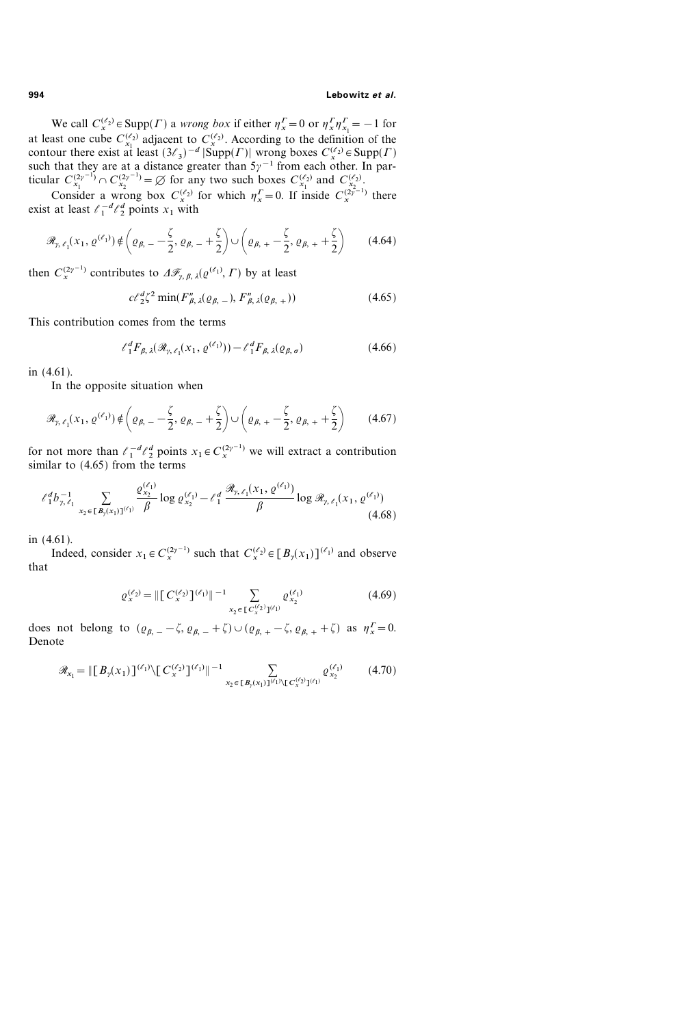We call  $C_x^{(\ell_2)} \in \text{Supp}(F)$  a *wrong box* if either  $\eta_x^F = 0$  or  $\eta_x^F \eta_{x_1}^F = -1$  for at least one cube  $C_{x_1}^{(\ell_2)}$  adjacent to  $C_x^{(\ell_2)}$ . According to the definition of the contour there exist at least  $(3\ell_3)^{-d}$   $|\text{Supp}(T)|$  wrong boxes  $C_x^{(\ell_2)} \in \text{Supp}(T)$ such that they are at a distance greater than  $5\gamma^{-1}$  from each other. In particular  $C_{x_1}^{(2\gamma-1)} \cap C_{x_2}^{(2\gamma-1)} = \emptyset$  for any two such boxes  $C_{x_1}^{(\ell_2)}$  and  $C_{x_2}^{(\ell_2)}$ .

Consider a wrong box  $C_x^{(\ell_2)}$  for which  $\eta_x^T = 0$ . If inside  $C_x^{(2\gamma-1)}$  there exist at least  $\ell_1^{-d} \ell_2^d$  points  $x_1$  with

$$
\mathscr{R}_{\gamma, \ell_1}(x_1, \varrho^{(\ell_1)}) \notin \left(\varrho_{\beta, -} - \frac{\zeta}{2}, \varrho_{\beta, -} + \frac{\zeta}{2}\right) \cup \left(\varrho_{\beta, +} - \frac{\zeta}{2}, \varrho_{\beta, +} + \frac{\zeta}{2}\right) \tag{4.64}
$$

then  $C_x^{(2\gamma^{-1})}$  contributes to  $\Delta \mathcal{F}_{\gamma, \beta, \lambda}( \varrho^{(\ell_1)}, \Gamma)$  by at least

$$
c\ell_2^d \zeta^2 \min(F''_{\beta,\lambda}(\varrho_{\beta,-}), F''_{\beta,\lambda}(\varrho_{\beta,+})) \tag{4.65}
$$

This contribution comes from the terms

$$
\ell_1^d F_{\beta,\lambda}(\mathcal{R}_{\gamma,\ell_1}(x_1,\varrho^{(\ell_1)})) - \ell_1^d F_{\beta,\lambda}(\varrho_{\beta,\sigma})
$$
\n(4.66)

in (4.61).

In the opposite situation when

$$
\mathcal{R}_{\gamma, \ell_1}(x_1, \varrho^{(\ell_1)}) \notin \left(\varrho_{\beta, -} - \frac{\zeta}{2}, \varrho_{\beta, -} + \frac{\zeta}{2}\right) \cup \left(\varrho_{\beta, +} - \frac{\zeta}{2}, \varrho_{\beta, +} + \frac{\zeta}{2}\right) \tag{4.67}
$$

for not more than  $\ell_1^{-d} \ell_2^d$  points  $x_1 \in C^{(2\gamma^{-1})}_x$  we will extract a contribution similar to (4.65) from the terms

$$
\ell_1^d b_{\gamma,\ell_1}^{-1} \sum_{x_2 \in [B_{\gamma}(x_1)]^{(\ell_1)}} \frac{\varrho_{x_2}^{(\ell_1)}}{\beta} \log \varrho_{x_2}^{(\ell_1)} - \ell_1^d \frac{\mathcal{R}_{\gamma,\ell_1}(x_1, \varrho^{(\ell_1)})}{\beta} \log \mathcal{R}_{\gamma,\ell_1}(x_1, \varrho^{(\ell_1)})
$$
\n(4.68)

in (4.61).

Indeed, consider  $x_1 \in C_x^{(2\gamma^{-1})}$  such that  $C_x^{(\ell_2)} \in [B_y(x_1)]^{(\ell_1)}$  and observe that

$$
\varrho_{x}^{(\ell_{2})} = \|\big[ C_{x}^{(\ell_{2})} \big]^{(\ell_{1})} \|\big]^{-1} \sum_{x_{2} \in \big[ C_{x}^{(\ell_{2})} \big]^{(\ell_{1})}} \varrho_{x_{2}}^{(\ell_{1})} \tag{4.69}
$$

does not belong to  $(\varrho_{\beta,-} - \zeta, \varrho_{\beta,-} + \zeta) \cup (\varrho_{\beta,+} - \zeta, \varrho_{\beta,+} + \zeta)$  as  $\eta_x^P = 0$ . Denote

$$
\mathcal{R}_{x_1} = \left\| \left[ \left[ B_{\gamma}(x_1) \right]^{(\ell_1)} \right\| \left[ \left[ \left[ C_x^{(\ell_2)} \right]^{(\ell_1)} \right] \right]^{-1} \sum_{x_2 \in \left[ \left[ B_{\gamma}(x_1) \right]^{(\ell_1)} \setminus \left[ \left[ \left[ C_x^{(\ell_2)} \right]^{(\ell_1)} \right] \right]} \varrho_{x_2}^{(\ell_1)} \tag{4.70}
$$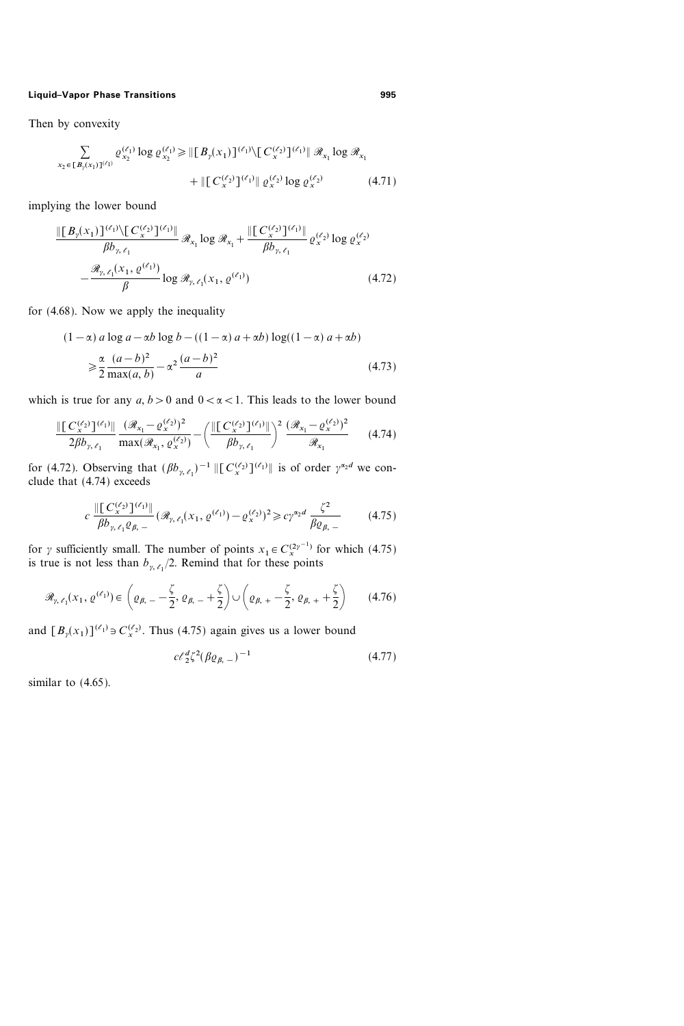#### Liquid–Vapor Phase Transitions **895** (1995)

Then by convexity

$$
\sum_{x_2 \in [B_{\gamma}(x_1)]^{(\ell_1)}} \varrho_{x_2}^{(\ell_1)} \log \varrho_{x_2}^{(\ell_1)} \geq ||[B_{\gamma}(x_1)]^{(\ell_1)} \setminus [C_x^{(\ell_2)}]^{(\ell_1)} || \mathcal{R}_{x_1} \log \mathcal{R}_{x_1}
$$

$$
+ ||[C_x^{(\ell_2)}]^{(\ell_1)} || \varrho_{x_2}^{(\ell_2)} \log \varrho_{x_2}^{(\ell_2)} \tag{4.71}
$$

implying the lower bound

$$
\frac{\left\| \left[ B_{\gamma}(x_1) \right]^{(\ell_1)} \right\| \left[ C_{x}^{(\ell_2)} \right]^{(\ell_1)} \left\|}{\beta b_{\gamma, \ell_1}} \mathcal{R}_{x_1} \log \mathcal{R}_{x_1} + \frac{\left\| \left[ C_{x}^{(\ell_2)} \right]^{(\ell_1)} \right\|}{\beta b_{\gamma, \ell_1}} \varrho_{x}^{(\ell_2)} \log \varrho_{x}^{(\ell_2)} - \frac{\mathcal{R}_{\gamma, \ell_1}(x_1, \varrho^{(\ell_1)})}{\beta} \log \mathcal{R}_{\gamma, \ell_1}(x_1, \varrho^{(\ell_1)}) \tag{4.72}
$$

for (4.68). Now we apply the inequality

$$
(1 - \alpha) a \log a - \alpha b \log b - ((1 - \alpha) a + \alpha b) \log((1 - \alpha) a + \alpha b)
$$
  

$$
\geq \frac{\alpha}{2} \frac{(a - b)^2}{\max(a, b)} - \alpha^2 \frac{(a - b)^2}{a}
$$
 (4.73)

which is true for any  $a, b > 0$  and  $0 < \alpha < 1$ . This leads to the lower bound

$$
\frac{\left\|\left[\ C_{x}^{(\ell_{2})}\right]^{(\ell_{1})}\right\|}{2\beta b_{\gamma,\ell_{1}}} \frac{(\mathcal{R}_{x_{1}}-\varrho_{x}^{(\ell_{2})})^{2}}{\max(\mathcal{R}_{x_{1}},\varrho_{x}^{(\ell_{2})})} - \left(\frac{\left\|\left[\ C_{x}^{(\ell_{2})}\right]^{(\ell_{1})}\right\|}{\beta b_{\gamma,\ell_{1}}}\right)^{2} \frac{(\mathcal{R}_{x_{1}}-\varrho_{x}^{(\ell_{2})})^{2}}{\mathcal{R}_{x_{1}}} \tag{4.74}
$$

for (4.72). Observing that  $(\beta b_{\gamma,\ell_1})^{-1} \|\big[ C_x^{(\ell_2)} \big]^{(\ell_1)} \|$  is of order  $\gamma^{\alpha_2 d}$  we conclude that (4.74) exceeds

$$
c \frac{\|\left[C_{x}^{(\ell_2)}\right]^{(\ell_1)}\|}{\beta b_{\gamma,\ell_1} \varrho_{\beta,-}} \left(\mathcal{R}_{\gamma,\ell_1}(x_1,\varrho^{(\ell_1)}) - \varrho_{x}^{(\ell_2)}\right)^2 \geq c\gamma^{\alpha_2 d} \frac{\zeta^2}{\beta \varrho_{\beta,-}}\tag{4.75}
$$

for  $\gamma$  sufficiently small. The number of points  $x_1 \in C_x^{(2\gamma^{-1})}$  for which (4.75) is true is not less than  $b_{\gamma, \ell_1}/2$ . Remind that for these points

$$
\mathcal{R}_{\gamma, \ell_1}(x_1, \varrho^{(\ell_1)}) \in \left(\varrho_{\beta, -} - \frac{\zeta}{2}, \varrho_{\beta, -} + \frac{\zeta}{2}\right) \cup \left(\varrho_{\beta, +} - \frac{\zeta}{2}, \varrho_{\beta, +} + \frac{\zeta}{2}\right) \tag{4.76}
$$

and  $[B_y(x_1)]^{(\ell_1)} \ni C_x^{(\ell_2)}$ . Thus (4.75) again gives us a lower bound

$$
c\ell_2^d \zeta^2 (\beta \varrho_{\beta,-})^{-1} \tag{4.77}
$$

similar to (4.65).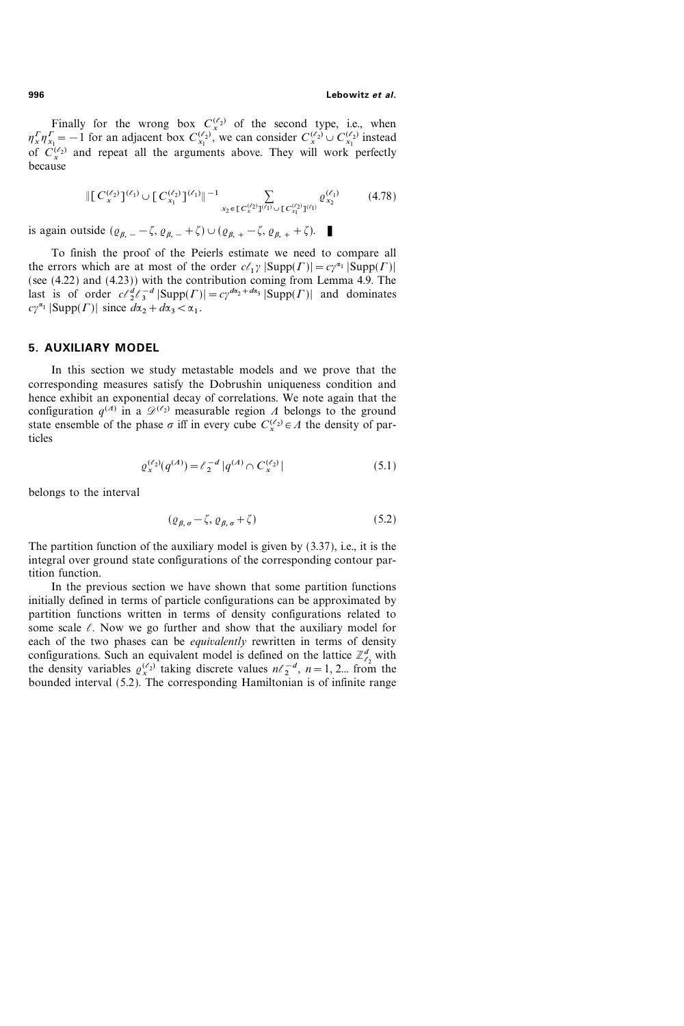Finally for the wrong box  $C_x^{(\ell_2)}$  of the second type, i.e., when  $\eta_x^T \eta_{x_1}^T = -1$  for an adjacent box  $C_{x_1}^{(\ell_2)}$ , we can consider  $C_{x_1}^{(\ell_2)} \cup C_{x_1}^{(\ell_2)}$  instead of  $C_{x}^{(\ell_2)}$  and repeat all the arguments above. They will work perfectly because

$$
\|\big[ C_x^{(\ell_2)} \big]^{(\ell_1)} \cup \big[ C_{x_1}^{(\ell_2)} \big]^{(\ell_1)} \|\^{-1} \sum_{x_2 \in [C_x^{(\ell_2)}]^{(\ell_1)} \cup [C_{x_1}^{(\ell_2)}]^{(\ell_1)}} \varrho_{x_2}^{(\ell_1)} \tag{4.78}
$$

is again outside  $(\varrho_{\beta,-} - \zeta, \varrho_{\beta,-} + \zeta) \cup (\varrho_{\beta,+} - \zeta, \varrho_{\beta,+} + \zeta)$ .

To finish the proof of the Peierls estimate we need to compare all the errors which are at most of the order  $c\ell_1 \gamma |\text{Supp}(T)| = c\gamma^{\alpha_1} |\text{Supp}(T)|$ (see (4.22) and (4.23)) with the contribution coming from Lemma 4.9. The last is of order  $c\ell_2^d\ell_3^{-d}$   $|\text{Supp}(T)| = c\gamma^{d\alpha_2 + d\alpha_3}$   $|\text{Supp}(T)|$  and dominates  $c\gamma^{\alpha_1}$  | Supp( $\Gamma$ )| since  $d\alpha_2 + d\alpha_3 < \alpha_1$ .

## 5. AUXILIARY MODEL

In this section we study metastable models and we prove that the corresponding measures satisfy the Dobrushin uniqueness condition and hence exhibit an exponential decay of correlations. We note again that the configuration  $q^{(A)}$  in a  $\mathscr{D}^{(\ell_2)}$  measurable region A belongs to the ground state ensemble of the phase  $\sigma$  iff in every cube  $C_{x}^{(\ell_2)} \in A$  the density of particles

$$
\varrho_{x}^{(\ell_{2})}(q^{(A)}) = \ell_{2}^{-d} |q^{(A)} \cap C_{x}^{(\ell_{2})}|
$$
\n(5.1)

belongs to the interval

$$
(\varrho_{\beta,\,\sigma} - \zeta, \varrho_{\beta,\,\sigma} + \zeta) \tag{5.2}
$$

The partition function of the auxiliary model is given by (3.37), i.e., it is the integral over ground state configurations of the corresponding contour partition function.

In the previous section we have shown that some partition functions initially defined in terms of particle configurations can be approximated by partition functions written in terms of density configurations related to some scale  $\ell$ . Now we go further and show that the auxiliary model for each of the two phases can be *equivalently* rewritten in terms of density configurations. Such an equivalent model is defined on the lattice  $\mathbb{Z}_{\ell_2}^d$  with the density variables  $\varrho_{x}^{(\ell_2)}$  taking discrete values  $n\ell_2^{-d}$ ,  $n=1, 2...$  from the bounded interval (5.2). The corresponding Hamiltonian is of infinite range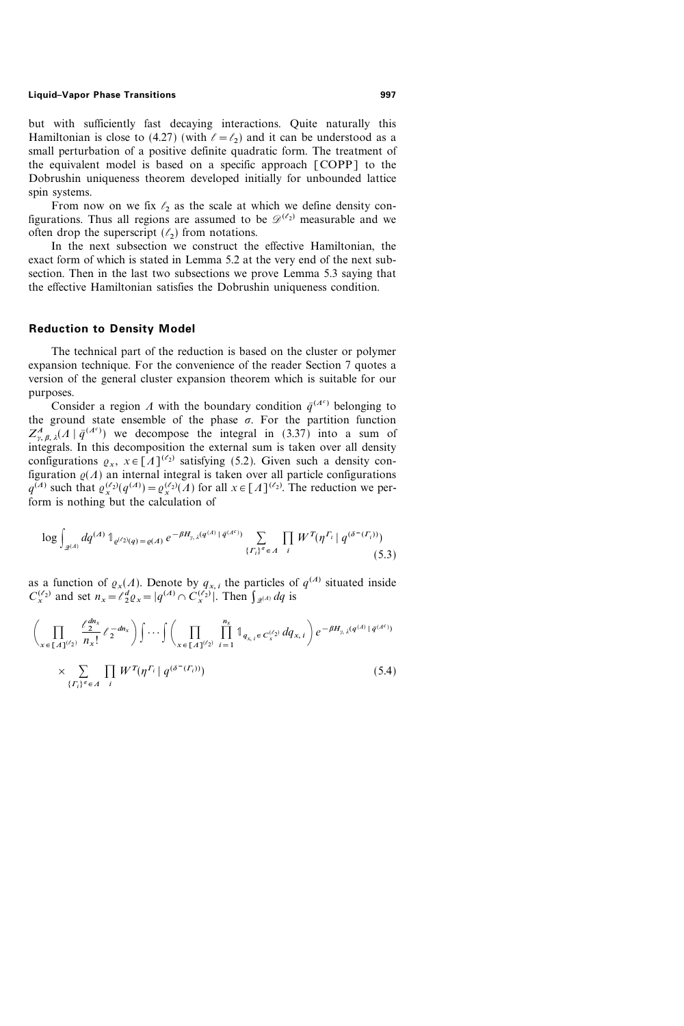#### Liquid–Vapor Phase Transitions **897** (1997)

but with sufficiently fast decaying interactions. Quite naturally this Hamiltonian is close to (4.27) (with  $l = l_2$ ) and it can be understood as a small perturbation of a positive definite quadratic form. The treatment of the equivalent model is based on a specific approach [COPP] to the Dobrushin uniqueness theorem developed initially for unbounded lattice spin systems.

From now on we fix  $\ell_2$  as the scale at which we define density configurations. Thus all regions are assumed to be  $\mathscr{D}^{(\ell_2)}$  measurable and we often drop the superscript  $(\ell_2)$  from notations.

In the next subsection we construct the effective Hamiltonian, the exact form of which is stated in Lemma 5.2 at the very end of the next subsection. Then in the last two subsections we prove Lemma 5.3 saying that the effective Hamiltonian satisfies the Dobrushin uniqueness condition.

### Reduction to Density Model

The technical part of the reduction is based on the cluster or polymer expansion technique. For the convenience of the reader Section 7 quotes a version of the general cluster expansion theorem which is suitable for our purposes.

Consider a region A with the boundary condition  $\bar{q}^{(A^c)}$  belonging to the ground state ensemble of the phase  $\sigma$ . For the partition function  $Z^A_{\gamma,\beta,\lambda}(A \mid \bar{q}^{(A^c)})$  we decompose the integral in (3.37) into a sum of integrals. In this decomposition the external sum is taken over all density configurations  $\varrho_x$ ,  $x \in [A]^{(\ell_2)}$  satisfying (5.2). Given such a density configuration  $\rho(A)$  an internal integral is taken over all particle configurations  $q^{(A)}$  such that  $\varrho_{x}^{(\ell_2)}(q^{(A)}) = \varrho_{x}^{(\ell_2)}(A)$  for all  $x \in [A]^{(\ell_2)}$ . The reduction we perform is nothing but the calculation of

$$
\log \int_{\mathcal{Q}^{(A)}} dq^{(A)} \, \mathbb{1}_{\varrho^{(\ell_2)}(q) = \varrho(A)} \, e^{-\beta H_{\gamma, \lambda}(q^{(A)} + \bar{q}^{(A^c)})} \sum_{\{T_i\}^{\sigma} \in A} \prod_{i} W^T(\eta^{T_i} \, | \, q^{(\delta^=(T_i))}) \tag{5.3}
$$

as a function of  $\varrho_x(\Lambda)$ . Denote by  $q_{x,i}$  the particles of  $q^{(\Lambda)}$  situated inside  $C_{x}^{(\ell_2)}$  and set  $n_x = \ell_2^d \varrho_x = |q^{(A)} \cap C_{x}^{(\ell_2)}|$ . Then  $\int_{\mathcal{Q}^{(A)}} dq$  is

$$
\left(\prod_{x \in [A]^{(\ell_2)}} \frac{\ell_2^{dn_x}}{n_x!} \ell_2^{-dn_x}\right) \int \cdots \int \left(\prod_{x \in [A]^{(\ell_2)}} \prod_{i=1}^{n_x} \mathbb{1}_{q_{x,i} \in C_x^{(\ell_2)}} dq_{x,i}\right) e^{-\beta H_{\gamma,\lambda}(q^{(A)} | \bar{q}^{(A^c)})}
$$
\n
$$
\times \sum_{\{T_i\}^{\sigma} \in A} \prod_i W^T(\eta^{T_i} | q^{(\delta^=(T_i))})
$$
\n(5.4)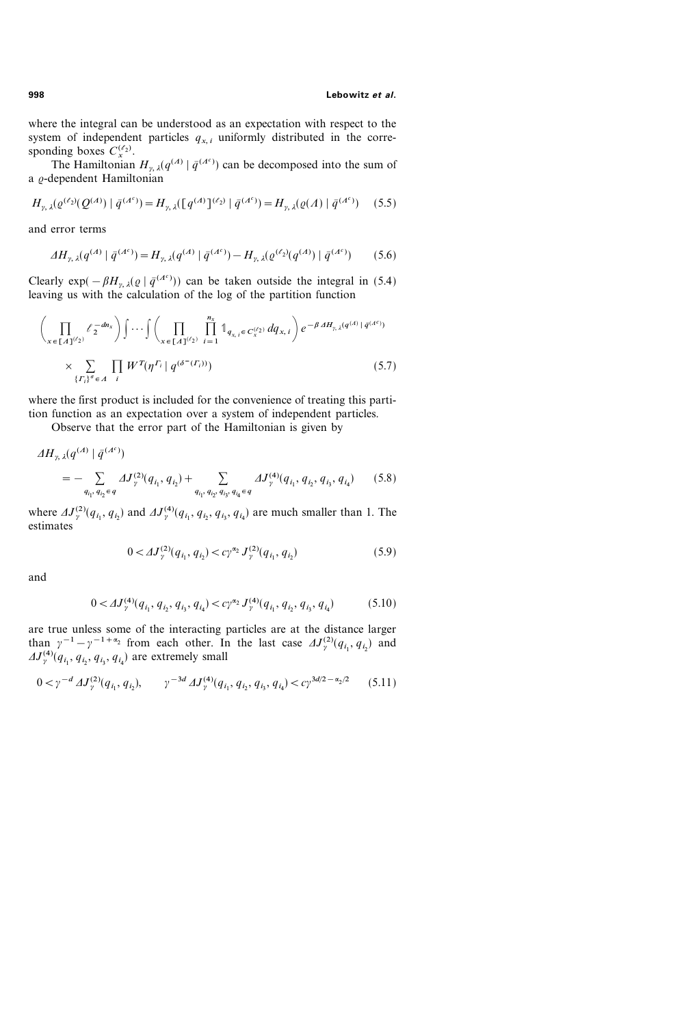where the integral can be understood as an expectation with respect to the system of independent particles  $q_{x,i}$  uniformly distributed in the corresponding boxes  $C_x^{(\ell_2)}$ .

The Hamiltonian  $H_{\gamma,\lambda}(q^{(\Lambda)} | \bar{q}^{(\Lambda^c)})$  can be decomposed into the sum of a  $\rho$ -dependent Hamiltonian

$$
H_{\gamma,\lambda}(e^{(\ell_2)}(Q^{(\Lambda)}) \mid \bar{q}^{(A^c)}) = H_{\gamma,\lambda}(\left[q^{(A)}\right]^{(\ell_2)} \mid \bar{q}^{(A^c)}) = H_{\gamma,\lambda}(e(A) \mid \bar{q}^{(A^c)}) \tag{5.5}
$$

and error terms

$$
\Delta H_{\gamma,\lambda}(q^{(A)} \mid \bar{q}^{(A^c)}) = H_{\gamma,\lambda}(q^{(A)} \mid \bar{q}^{(A^c)}) - H_{\gamma,\lambda}(q^{(\ell_2)}(q^{(A)}) \mid \bar{q}^{(A^c)}) \tag{5.6}
$$

Clearly  $exp(-\beta H_{\gamma, \lambda}(\varrho \mid \bar{q}^{(A^c)}))$  can be taken outside the integral in (5.4) leaving us with the calculation of the log of the partition function

$$
\left(\prod_{x\in [A]^{(\ell_2)}} \ell_2^{-d n_x}\right) \int \cdots \int \left(\prod_{x\in [A]^{(\ell_2)}} \prod_{i=1}^{n_x} \mathbb{1}_{q_{x,i} \in C_x^{(\ell_2)}} dq_{x,i}\right) e^{-\beta \Delta H_{\gamma,\lambda}(q^{(\Lambda)}|\bar{q}^{(\Lambda^c)})}
$$
\n
$$
\times \sum_{\{T_i\}^{\sigma} \in A} \prod_i W^T(\eta^{T_i} | q^{(\delta^=(T_i))})
$$
\n(5.7)

where the first product is included for the convenience of treating this partition function as an expectation over a system of independent particles.

Observe that the error part of the Hamiltonian is given by

$$
\Delta H_{\gamma,\lambda}(q^{(A)} \mid \bar{q}^{(A^c)})
$$
\n
$$
= - \sum_{q_{i_1}, q_{i_2} \in q} \Delta J_{\gamma}^{(2)}(q_{i_1}, q_{i_2}) + \sum_{q_{i_1}, q_{i_2}, q_{i_3}, q_{i_4} \in q} \Delta J_{\gamma}^{(4)}(q_{i_1}, q_{i_2}, q_{i_3}, q_{i_4}) \qquad (5.8)
$$

where  $\Delta J_{\gamma}^{(2)}(q_{i_1}, q_{i_2})$  and  $\Delta J_{\gamma}^{(4)}(q_{i_1}, q_{i_2}, q_{i_3}, q_{i_4})$  are much smaller than 1. The estimates

$$
0 < \Delta J_{\gamma}^{(2)}(q_{i_1}, q_{i_2}) < c\gamma^{\alpha_2} J_{\gamma}^{(2)}(q_{i_1}, q_{i_2})
$$
\n(5.9)

and

$$
0 < \Delta J_{\gamma}^{(4)}(q_{i_1}, q_{i_2}, q_{i_3}, q_{i_4}) < c\gamma^{\alpha_2} J_{\gamma}^{(4)}(q_{i_1}, q_{i_2}, q_{i_3}, q_{i_4})
$$
(5.10)

are true unless some of the interacting particles are at the distance larger than  $\gamma^{-1} - \gamma^{-1 + \alpha_2}$  from each other. In the last case  $\Delta J_{\gamma}^{(2)}(q_{i_1}, q_{i_2})$  and  $\Delta J_{\gamma}^{(4)}(q_{i_1}, q_{i_2}, q_{i_3}, q_{i_4})$  are extremely small

$$
0 < \gamma^{-d} \Delta J_{\gamma}^{(2)}(q_{i_1}, q_{i_2}), \qquad \gamma^{-3d} \Delta J_{\gamma}^{(4)}(q_{i_1}, q_{i_2}, q_{i_3}, q_{i_4}) < c \gamma^{3d/2 - \alpha_2/2} \tag{5.11}
$$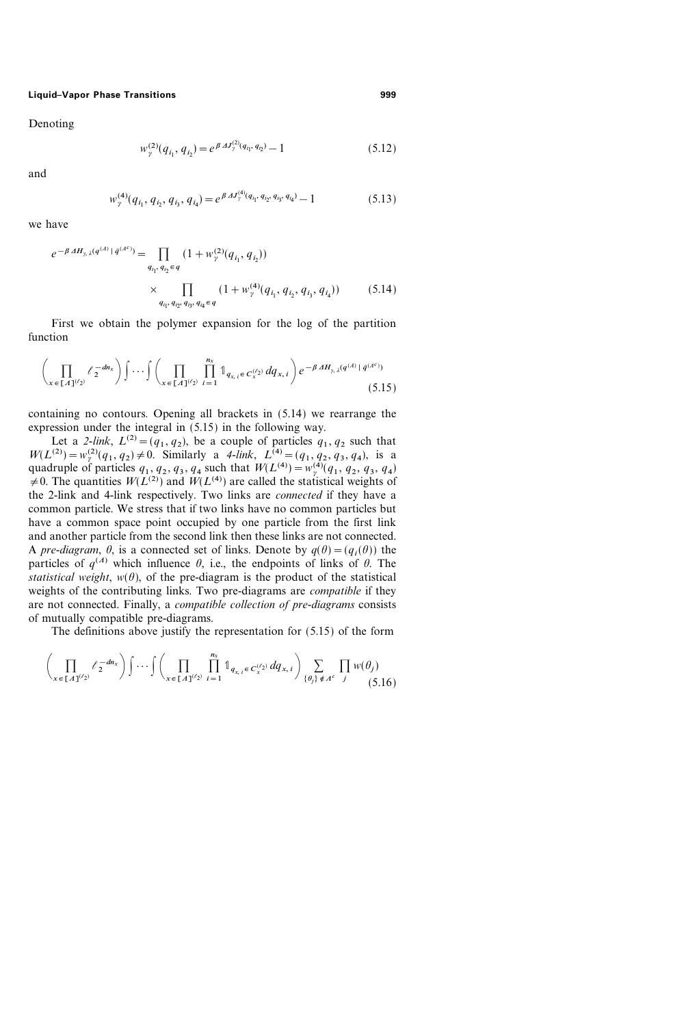#### Liquid–Vapor Phase Transitions 899 (1999) (1999) 1999 (1999) (1999) (1999) (1999) (1999) (1999) (1999) (1999)

Denoting

$$
w_{\gamma}^{(2)}(q_{i_1}, q_{i_2}) = e^{\beta A J_{\gamma}^{(2)}(q_{i_1}, q_{i_2})} - 1
$$
\n(5.12)

and

$$
w_{\gamma}^{(4)}(q_{i_1}, q_{i_2}, q_{i_3}, q_{i_4}) = e^{\beta A J_{\gamma}^{(4)}(q_{i_1}, q_{i_2}, q_{i_3}, q_{i_4})} - 1 \tag{5.13}
$$

we have

$$
e^{-\beta \Delta H_{\gamma,\lambda}(q^{(A)} \,|\, \bar{q}^{(A^c)})} = \prod_{q_{i_1}, \, q_{i_2} \in q} (1 + w_{\gamma}^{(2)}(q_{i_1}, q_{i_2}))
$$
  

$$
\times \prod_{q_{i_1}, \, q_{i_2}, \, q_{i_3}, \, q_{i_4} \in q} (1 + w_{\gamma}^{(4)}(q_{i_1}, q_{i_2}, q_{i_3}, q_{i_4}))
$$
(5.14)

First we obtain the polymer expansion for the log of the partition function

$$
\left(\prod_{x \in [A]^{(\ell_2)}} \ell_2^{-dn_x} \right) \int \cdots \int \left(\prod_{x \in [A]^{(\ell_2)}} \prod_{i=1}^{n_x} \mathbb{1}_{q_{x, i} \in C_x^{(\ell_2)}} dq_{x, i} \right) e^{-\beta \Delta H_{\gamma, \lambda}(q^{(A)} | \bar{q}^{(A^c)})}
$$
\n(5.15)

containing no contours. Opening all brackets in (5.14) we rearrange the expression under the integral in (5.15) in the following way.

Let a 2-link,  $L^{(2)} = (q_1, q_2)$ , be a couple of particles  $q_1, q_2$  such that  $W(L^{(2)}) = w_{\gamma}^{(2)}(q_1, q_2) \neq 0$ . Similarly a 4-link,  $L^{(4)} = (q_1, q_2, q_3, q_4)$ , is a quadruple of particles  $q_1, q_2, q_3, q_4$  such that  $W(L^{(4)}) = w_{\gamma}^{(4)}(q_1, q_2, q_3, q_4)$  $\neq$ 0. The quantities  $W(L^{(2)})$  and  $W(L^{(4)})$  are called the statistical weights of the 2-link and 4-link respectively. Two links are connected if they have a common particle. We stress that if two links have no common particles but have a common space point occupied by one particle from the first link and another particle from the second link then these links are not connected. A pre-diagram,  $\theta$ , is a connected set of links. Denote by  $q(\theta) = (q_i(\theta))$  the particles of  $q^{(A)}$  which influence  $\theta$ , i.e., the endpoints of links of  $\theta$ . The statistical weight,  $w(\theta)$ , of the pre-diagram is the product of the statistical weights of the contributing links. Two pre-diagrams are *compatible* if they are not connected. Finally, a compatible collection of pre-diagrams consists of mutually compatible pre-diagrams.

The definitions above justify the representation for (5.15) of the form

$$
\left(\prod_{x\in [A]^{(\ell_2)}} \ell_2^{-dn_x}\right) \int \cdots \int \left(\prod_{x\in [A]^{(\ell_2)}} \prod_{i=1}^{n_x} \mathbb{1}_{q_{x,i}\in C_x^{(\ell_2)}} dq_{x,i}\right) \sum_{\{\theta_j\} \notin A^c} \prod_j w(\theta_j)
$$
\n(5.16)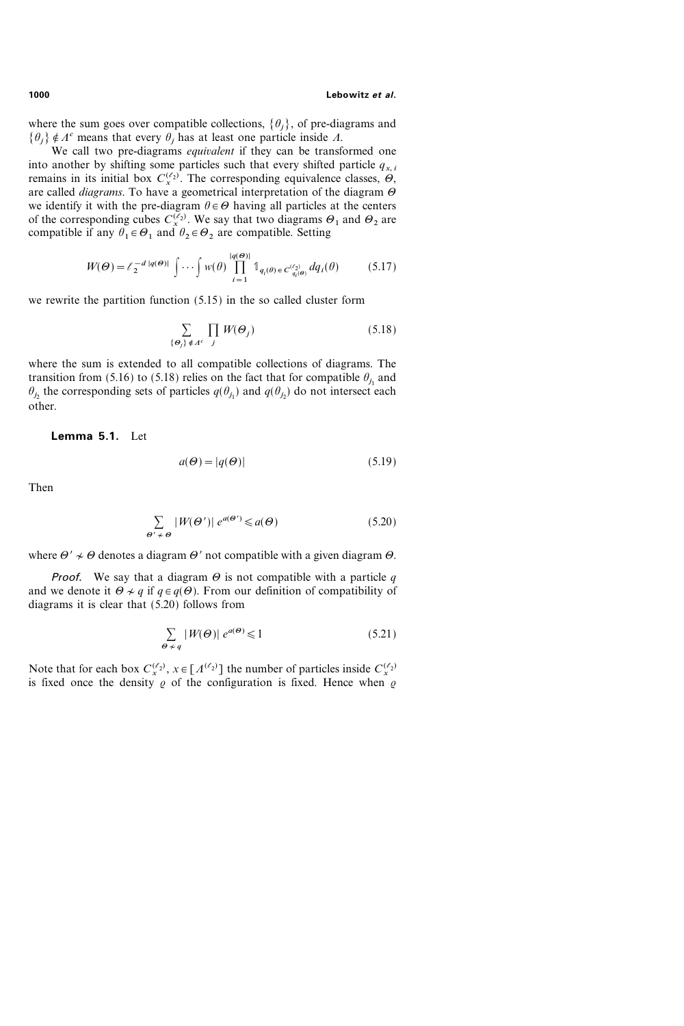where the sum goes over compatible collections,  $\{\theta_i\}$ , of pre-diagrams and  $\{\theta_i\} \notin \Lambda^c$  means that every  $\theta_i$  has at least one particle inside  $\Lambda$ .

We call two pre-diagrams equivalent if they can be transformed one into another by shifting some particles such that every shifted particle  $q_{x, i}$ remains in its initial box  $C_{x}^{(\ell_2)}$ . The corresponding equivalence classes,  $\Theta$ , are called *diagrams*. To have a geometrical interpretation of the diagram  $\Theta$ we identify it with the pre-diagram  $\theta \in \Theta$  having all particles at the centers of the corresponding cubes  $C_x^{(\ell_2)}$ . We say that two diagrams  $\Theta_1$  and  $\Theta_2$  are compatible if any  $\theta_1 \in \Theta_1$  and  $\theta_2 \in \Theta_2$  are compatible. Setting

$$
W(\Theta) = \ell_2^{-d |q(\Theta)|} \int \cdots \int w(\theta) \prod_{i=1}^{|q(\Theta)|} \mathbb{1}_{q_i(\theta) \in C_{q_i(\Theta)}^{(\ell_2)}} dq_i(\theta) \tag{5.17}
$$

we rewrite the partition function (5.15) in the so called cluster form

$$
\sum_{\{\Theta_j\}} \prod_{\notin A^c} W(\Theta_j) \tag{5.18}
$$

where the sum is extended to all compatible collections of diagrams. The transition from (5.16) to (5.18) relies on the fact that for compatible  $\theta_{j_1}$  and  $\theta_{j_2}$  the corresponding sets of particles  $q(\theta_{j_1})$  and  $q(\theta_{j_2})$  do not intersect each other.

Lemma 5.1. Let

$$
a(\Theta) = |q(\Theta)| \tag{5.19}
$$

Then

$$
\sum_{\Theta' \neq \Theta} |W(\Theta')| e^{a(\Theta')} \leqslant a(\Theta) \tag{5.20}
$$

where  $\Theta' \nightharpoonup \Theta$  denotes a diagram  $\Theta'$  not compatible with a given diagram  $\Theta$ .

**Proof.** We say that a diagram  $\Theta$  is not compatible with a particle q and we denote it  $\Theta \nmid q \in q(\Theta)$ . From our definition of compatibility of diagrams it is clear that (5.20) follows from

$$
\sum_{\Theta \, \neq \, q} |W(\Theta)| \, e^{a(\Theta)} \leq 1 \tag{5.21}
$$

Note that for each box  $C_x^{(\ell_2)}$ ,  $x \in [A^{(\ell_2)}]$  the number of particles inside  $C_x^{(\ell_2)}$ is fixed once the density  $\varrho$  of the configuration is fixed. Hence when  $\varrho$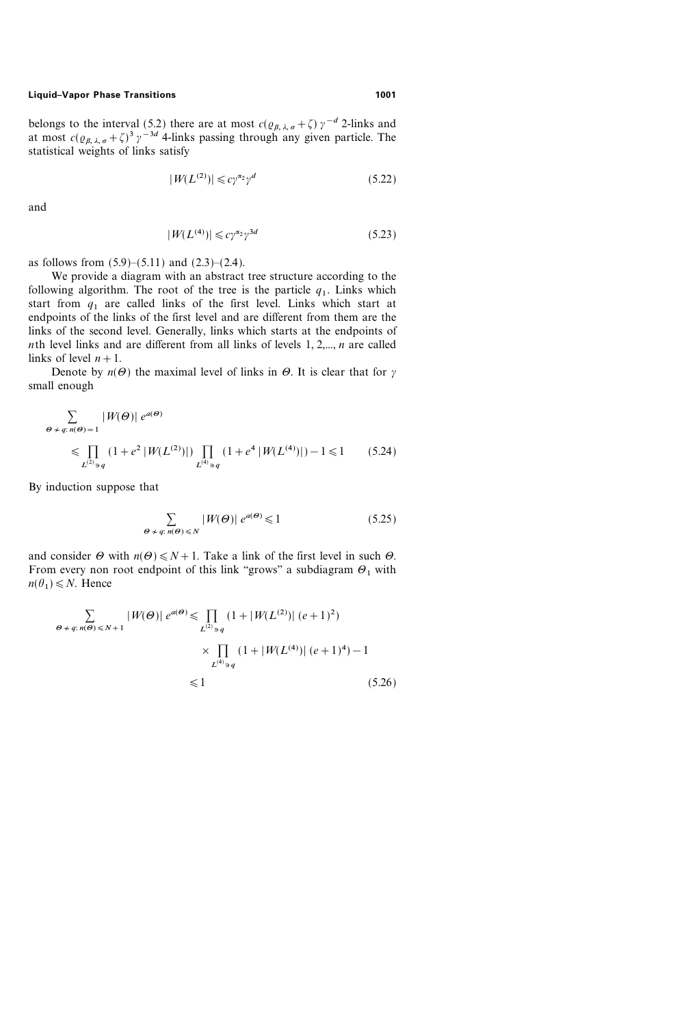#### Liquid–Vapor Phase Transitions 1001 1001

belongs to the interval (5.2) there are at most  $c(\varrho_{\beta,\lambda,\sigma}+\zeta)\gamma^{-d}$  2-links and at most  $c(\varrho_{\beta,\lambda,\sigma}+\zeta)^3 \gamma^{-3d}$  4-links passing through any given particle. The statistical weights of links satisfy

$$
|W(L^{(2)})| \leq c\gamma^{\alpha_2}\gamma^d \tag{5.22}
$$

and

$$
|W(L^{(4)})| \leqslant c\gamma^{\alpha_2}\gamma^{3d} \tag{5.23}
$$

as follows from  $(5.9)-(5.11)$  and  $(2.3)-(2.4)$ .

We provide a diagram with an abstract tree structure according to the following algorithm. The root of the tree is the particle  $q_1$ . Links which start from  $q_1$  are called links of the first level. Links which start at endpoints of the links of the first level and are different from them are the links of the second level. Generally, links which starts at the endpoints of nth level links and are different from all links of levels  $1, 2, \ldots, n$  are called links of level  $n+1$ .

Denote by  $n(\Theta)$  the maximal level of links in  $\Theta$ . It is clear that for  $\gamma$ small enough

$$
\sum_{\Theta \neq q: n(\Theta) = 1} |W(\Theta)| e^{a(\Theta)} \le \prod_{L^{(2)} \ni q} (1 + e^2 |W(L^{(2)})|) \prod_{L^{(4)} \ni q} (1 + e^4 |W(L^{(4)})|) - 1 \le 1 \qquad (5.24)
$$

By induction suppose that

$$
\sum_{\Theta \, \nsim q; \, n(\Theta) \leq N} |W(\Theta)| \, e^{a(\Theta)} \leq 1 \tag{5.25}
$$

and consider  $\Theta$  with  $n(\Theta) \le N+1$ . Take a link of the first level in such  $\Theta$ . From every non root endpoint of this link "grows" a subdiagram  $\Theta_1$  with  $n(\theta_1) \leq N$ . Hence

$$
\sum_{\theta \neq q; n(\theta) \leq N+1} |W(\theta)| e^{a(\theta)} \leq \prod_{L^{(2)} \ni q} (1 + |W(L^{(2)})| (e+1)^2)
$$
  

$$
\times \prod_{L^{(4)} \ni q} (1 + |W(L^{(4)})| (e+1)^4) - 1
$$
  

$$
\leq 1
$$
 (5.26)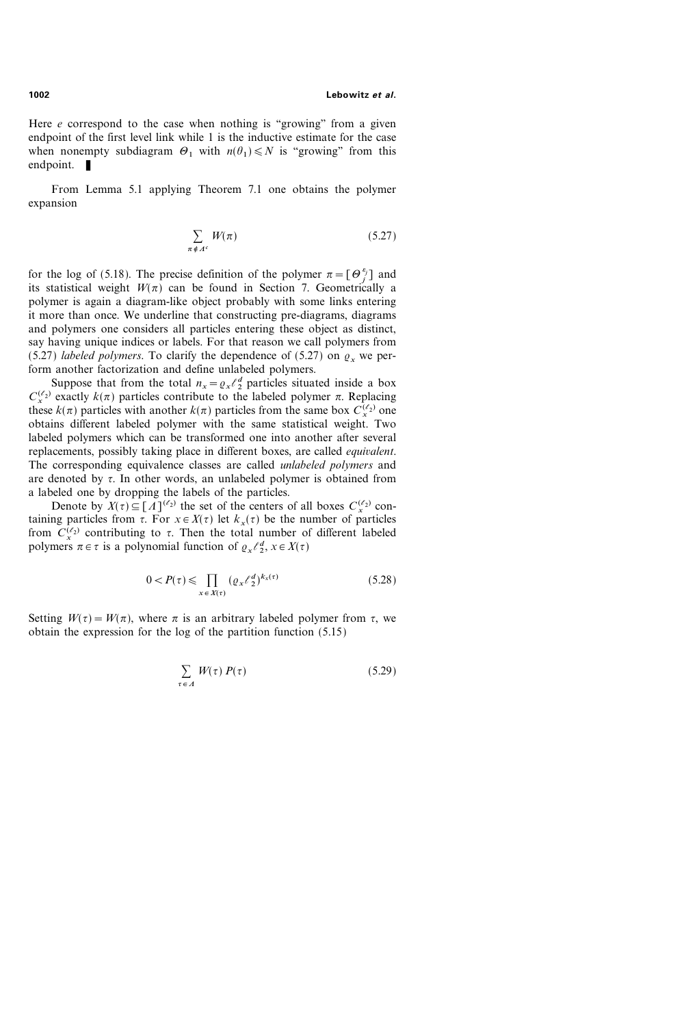Here  $e$  correspond to the case when nothing is "growing" from a given endpoint of the first level link while 1 is the inductive estimate for the case when nonempty subdiagram  $\Theta_1$  with  $n(\theta_1) \le N$  is "growing" from this endpoint.  $\blacksquare$ 

From Lemma 5.1 applying Theorem 7.1 one obtains the polymer expansion

$$
\sum_{\pi \notin A^c} W(\pi) \tag{5.27}
$$

for the log of (5.18). The precise definition of the polymer  $\pi = [\Theta_j^{\varepsilon_j}]$  and its statistical weight  $W(\pi)$  can be found in Section 7. Geometrically a polymer is again a diagram-like object probably with some links entering it more than once. We underline that constructing pre-diagrams, diagrams and polymers one considers all particles entering these object as distinct, say having unique indices or labels. For that reason we call polymers from (5.27) labeled polymers. To clarify the dependence of (5.27) on  $\rho_r$  we perform another factorization and define unlabeled polymers.

Suppose that from the total  $n_x = \varrho_x \ell_2^d$  particles situated inside a box  $C_{x}^{(\ell_2)}$  exactly  $k(\pi)$  particles contribute to the labeled polymer  $\pi$ . Replacing these  $k(\pi)$  particles with another  $k(\pi)$  particles from the same box  $C_{x}^{(\ell_2)}$  one obtains different labeled polymer with the same statistical weight. Two labeled polymers which can be transformed one into another after several replacements, possibly taking place in different boxes, are called equivalent. The corresponding equivalence classes are called unlabeled polymers and are denoted by  $\tau$ . In other words, an unlabeled polymer is obtained from a labeled one by dropping the labels of the particles.

Denote by  $X(\tau) \subseteq [A]^{(\ell_2)}$  the set of the centers of all boxes  $C_{x}^{(\ell_2)}$  containing particles from  $\tau$ . For  $x \in X(\tau)$  let  $k_x(\tau)$  be the number of particles from  $C_x^{(\ell_2)}$  contributing to  $\tau$ . Then the total number of different labeled polymers  $\pi \in \tau$  is a polynomial function of  $\varrho_x \ell_2^d, x \in X(\tau)$ 

$$
0 < P(\tau) \leqslant \prod_{x \in X(\tau)} (\varrho_x \ell_2^d)^{k_x(\tau)} \tag{5.28}
$$

Setting  $W(\tau) = W(\pi)$ , where  $\pi$  is an arbitrary labeled polymer from  $\tau$ , we obtain the expression for the log of the partition function (5.15)

$$
\sum_{\tau \in \varLambda} W(\tau) P(\tau) \tag{5.29}
$$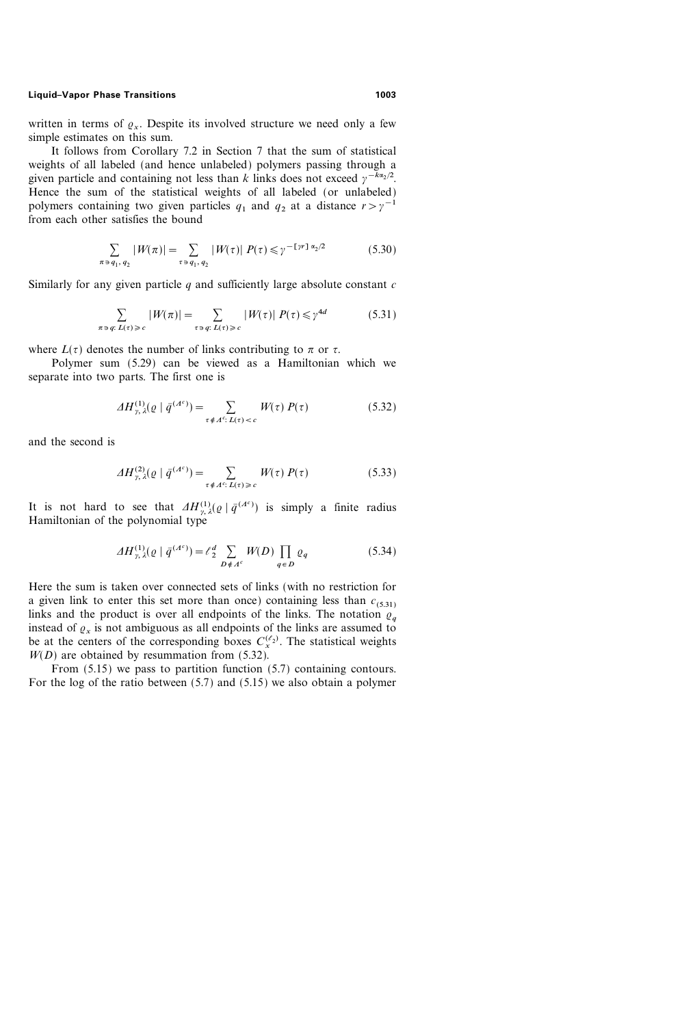#### Liquid–Vapor Phase Transitions 1003

written in terms of  $\rho_x$ . Despite its involved structure we need only a few simple estimates on this sum.

It follows from Corollary 7.2 in Section 7 that the sum of statistical weights of all labeled (and hence unlabeled) polymers passing through a given particle and containing not less than k links does not exceed  $\gamma^{-k\alpha_2/2}$ . Hence the sum of the statistical weights of all labeled (or unlabeled) polymers containing two given particles  $q_1$  and  $q_2$  at a distance  $r > y^{-1}$ from each other satisfies the bound

$$
\sum_{\pi \ni q_1, q_2} |W(\pi)| = \sum_{\tau \ni q_1, q_2} |W(\tau)| P(\tau) \leq \gamma^{-\lfloor \gamma r \rfloor \alpha_2/2} \tag{5.30}
$$

Similarly for any given particle  $q$  and sufficiently large absolute constant  $c$ 

$$
\sum_{\pi \ni q: L(\tau) \geq c} |W(\pi)| = \sum_{\tau \ni q: L(\tau) \geq c} |W(\tau)| P(\tau) \leq \gamma^{4d} \tag{5.31}
$$

where  $L(\tau)$  denotes the number of links contributing to  $\pi$  or  $\tau$ .

Polymer sum (5.29) can be viewed as a Hamiltonian which we separate into two parts. The first one is

$$
\Delta H_{\gamma,\lambda}^{(1)}(\varrho \mid \bar{q}^{(A^c)}) = \sum_{\tau \notin A^c:\ L(\tau) < c} W(\tau) \, P(\tau) \tag{5.32}
$$

and the second is

$$
\Delta H_{\gamma,\lambda}^{(2)}(\varrho \mid \bar{q}^{(A^c)}) = \sum_{\tau \notin A^c:\ L(\tau) \geq c} W(\tau) P(\tau) \tag{5.33}
$$

It is not hard to see that  $\Delta H_{\gamma,\lambda}^{(1)}(\varrho \mid \bar{q}^{(\Lambda^c)})$  is simply a finite radius Hamiltonian of the polynomial type

$$
\Delta H_{\gamma,\lambda}^{(1)}(\varrho \mid \bar{q}^{(A^c)}) = \ell_2^d \sum_{D \notin A^c} W(D) \prod_{q \in D} \varrho_q \tag{5.34}
$$

Here the sum is taken over connected sets of links (with no restriction for a given link to enter this set more than once) containing less than  $c_{(5,31)}$ links and the product is over all endpoints of the links. The notation  $g_a$ instead of  $\rho_r$  is not ambiguous as all endpoints of the links are assumed to be at the centers of the corresponding boxes  $C_x^{(\ell_2)}$ . The statistical weights  $W(D)$  are obtained by resummation from (5.32).

From  $(5.15)$  we pass to partition function  $(5.7)$  containing contours. For the log of the ratio between (5.7) and (5.15) we also obtain a polymer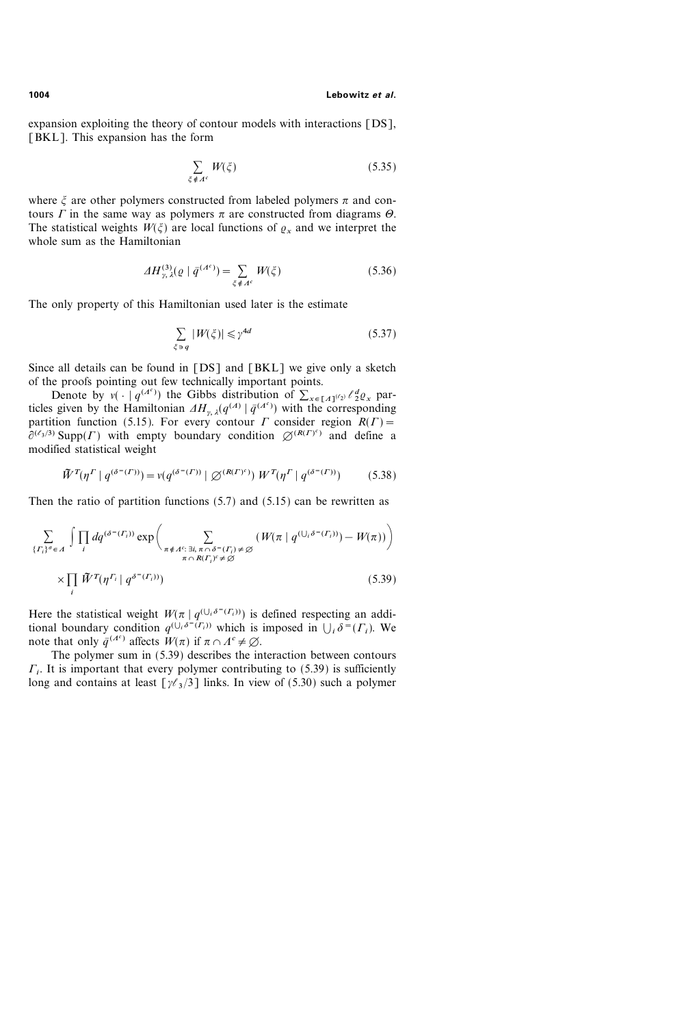expansion exploiting the theory of contour models with interactions [DS], [BKL]. This expansion has the form

$$
\sum_{\xi \notin A^c} W(\xi) \tag{5.35}
$$

where  $\xi$  are other polymers constructed from labeled polymers  $\pi$  and contours  $\Gamma$  in the same way as polymers  $\pi$  are constructed from diagrams  $\Theta$ . The statistical weights  $W(\xi)$  are local functions of  $\rho_x$  and we interpret the whole sum as the Hamiltonian

$$
\Delta H_{\gamma,\lambda}^{(3)}(\varrho \mid \bar{q}^{(A^c)}) = \sum_{\xi \notin A^c} W(\xi) \tag{5.36}
$$

The only property of this Hamiltonian used later is the estimate

$$
\sum_{\xi \ni q} |W(\xi)| \le \gamma^{4d} \tag{5.37}
$$

Since all details can be found in [DS] and [BKL] we give only a sketch of the proofs pointing out few technically important points.

Denote by  $v(\cdot | q^{(A^c)})$  the Gibbs distribution of  $\sum_{x \in [A]^{(\ell)}} \ell_2^d \ell_x$  particles given by the Hamiltonian  $AH_{\gamma,\lambda}(q^{(\Lambda)} | \bar{q}^{(\Lambda^c)})$  with the corresponding partition function (5.15). For every contour  $\Gamma$  consider region  $R(\Gamma)$  =  $\partial^{(\ell_3/3)}$  Supp(T) with empty boundary condition  $\mathcal{O}^{(R(\Gamma)^c)}$  and define a modified statistical weight

$$
\widetilde{W}^{T}(\eta^{\Gamma} \mid q^{(\delta^{=}(T))}) = \nu(q^{(\delta^{=}(T))} \mid \varnothing^{(R(\Gamma)^{c})}) W^{T}(\eta^{\Gamma} \mid q^{(\delta^{=}(T))})
$$
(5.38)

Then the ratio of partition functions (5.7) and (5.15) can be rewritten as

$$
\sum_{\{T_i\}^{\sigma} \in \Lambda} \int \prod_i dq^{(\delta^=(T_i))} \exp \bigg( \sum_{\substack{\pi \notin \Lambda^c : \exists i, \pi \cap \delta^=(T_i) \neq \emptyset \\ \pi \cap R(T_i)^c \neq \emptyset}} (W(\pi \mid q^{(U_i \delta^=(T_i))}) - W(\pi)) \bigg)
$$
\n
$$
\times \prod_i \widetilde{W}^T(\eta^{T_i} \mid q^{\delta^=(T_i))}) \tag{5.39}
$$

Here the statistical weight  $W(\pi | q^{(i)} \delta^{(i)}))$  is defined respecting an additional boundary condition  $q^{(i)} \delta^{(i)}$  which is imposed in  $(i)$   $\delta^{(i)}(r)$ . We note that only  $\bar{q}^{(A^c)}$  affects  $W(\pi)$  if  $\pi \cap A^c \neq \emptyset$ .

The polymer sum in (5.39) describes the interaction between contours  $\Gamma_i$ . It is important that every polymer contributing to (5.39) is sufficiently long and contains at least  $[\gamma \ell_3/3]$  links. In view of (5.30) such a polymer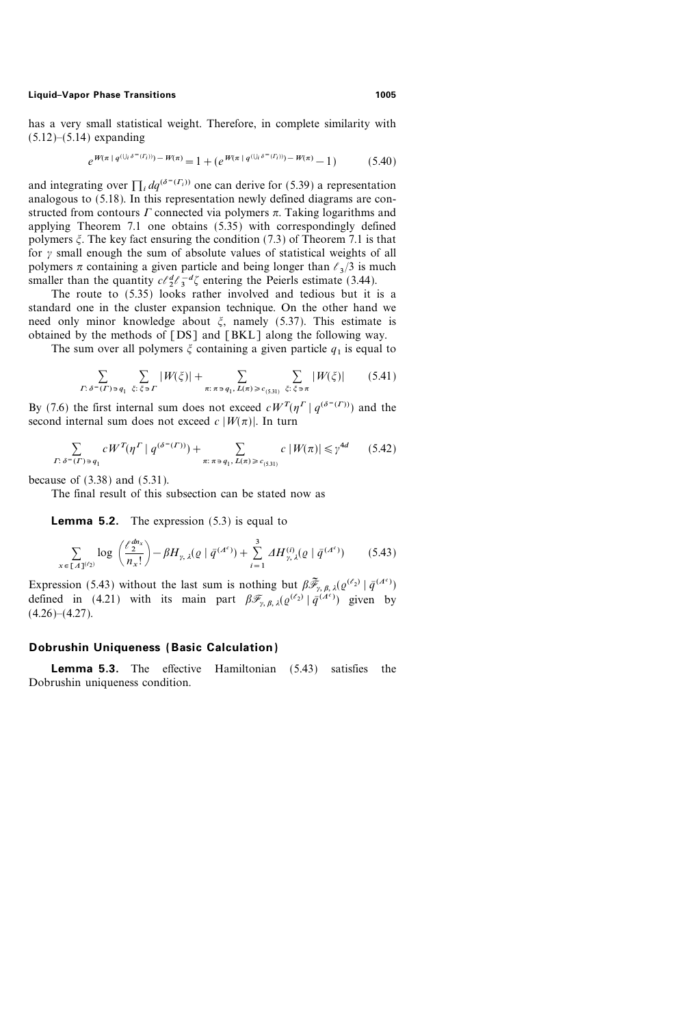#### Liquid–Vapor Phase Transitions 1005 (1999) 1005

has a very small statistical weight. Therefore, in complete similarity with  $(5.12)$ – $(5.14)$  expanding

$$
e^{W(\pi \mid q^{(|j_i \delta^{(i)}(r_i))}) - W(\pi)} = 1 + (e^{W(\pi \mid q^{(|j_i \delta^{(i)}(r_i))}) - W(\pi)} - 1)
$$
\n(5.40)

and integrating over  $\prod_i dq^{(\delta^=(\Gamma_i))}$  one can derive for (5.39) a representation analogous to (5.18). In this representation newly defined diagrams are constructed from contours  $\Gamma$  connected via polymers  $\pi$ . Taking logarithms and applying Theorem 7.1 one obtains (5.35) with correspondingly defined polymers  $\zeta$ . The key fact ensuring the condition (7.3) of Theorem 7.1 is that for  $\gamma$  small enough the sum of absolute values of statistical weights of all polymers  $\pi$  containing a given particle and being longer than  $\ell_3/3$  is much smaller than the quantity  $c \ell_2^d \ell_3^{-d} \zeta$  entering the Peierls estimate (3.44).

The route to (5.35) looks rather involved and tedious but it is a standard one in the cluster expansion technique. On the other hand we need only minor knowledge about  $\xi$ , namely (5.37). This estimate is obtained by the methods of [DS] and [BKL] along the following way.

The sum over all polymers  $\xi$  containing a given particle  $q_1$  is equal to

$$
\sum_{\Gamma:\,\delta^=(\Gamma)\ni q_1} \sum_{\xi:\,\xi \ni \Gamma} |W(\xi)| + \sum_{\pi:\,\pi \ni q_1,\,L(\pi) \geq c_{(5,31)}} \sum_{\xi:\,\xi \ni \pi} |W(\xi)| \qquad (5.41)
$$

By (7.6) the first internal sum does not exceed  $cW^T(\eta^T | q^{(\delta^=(T))})$  and the second internal sum does not exceed  $c |W(\pi)|$ . In turn

$$
\sum_{\Gamma:\,\delta^=(\Gamma)\ni q_1} c W^T(\eta^{\Gamma} \mid q^{(\delta^=(\Gamma))}) + \sum_{\pi:\,\pi \ni q_1,\,L(\pi) \geq c_{(5,31)}} c \mid W(\pi) \mid \leq \gamma^{4d} \qquad (5.42)
$$

because of (3.38) and (5.31).

The final result of this subsection can be stated now as

**Lemma 5.2.** The expression  $(5.3)$  is equal to

$$
\sum_{x \in [A]^{(\ell_2)}} \log \left( \frac{\ell_2^{d n_x}}{n_x!} \right) - \beta H_{\gamma, \lambda}(q \mid \bar{q}^{(A^c)}) + \sum_{i=1}^3 \Delta H_{\gamma, \lambda}^{(i)}(q \mid \bar{q}^{(A^c)}) \tag{5.43}
$$

Expression (5.43) without the last sum is nothing but  $\beta \widetilde{F}_{r, \beta, \lambda}(e^{(\ell_2)} | \bar{q}^{(\Lambda^c)})$ defined in (4.21) with its main part  $\beta \mathcal{F}_{\gamma, \beta, \lambda}(e^{(\ell_2)} | \bar{q}^{(\lambda^c)})$  given by  $(4.26)-(4.27)$ .

## Dobrushin Uniqueness (Basic Calculation)

**Lemma 5.3.** The effective Hamiltonian (5.43) satisfies the Dobrushin uniqueness condition.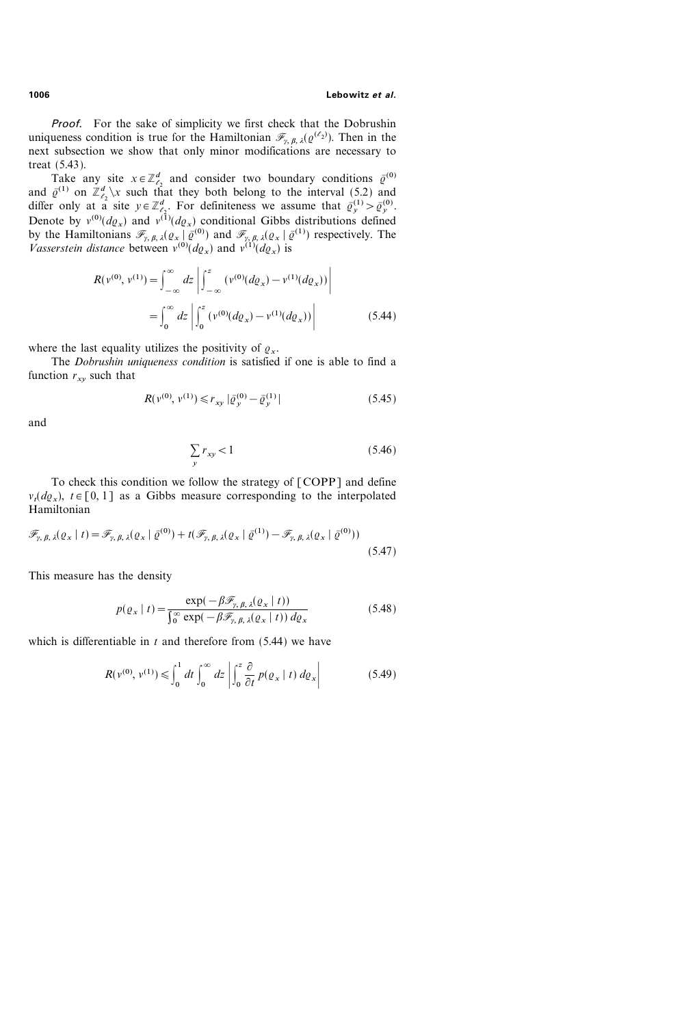Proof. For the sake of simplicity we first check that the Dobrushin uniqueness condition is true for the Hamiltonian  $\mathscr{F}_{\gamma,\beta,\lambda}(\varrho^{(\ell_2)})$ . Then in the next subsection we show that only minor modifications are necessary to treat (5.43).

Take any site  $x \in \mathbb{Z}_{\ell_2}^d$  and consider two boundary conditions  $\bar{\varrho}^{(0)}$ and  $\bar{\varrho}^{(1)}$  on  $\mathbb{Z}_{\ell_2}^d \backslash x$  such that they both belong to the interval (5.2) and differ only at a site  $y \in \mathbb{Z}_{\ell_2}^d$ . For definiteness we assume that  $\bar{\varrho}_y^{(1)} > \bar{\varrho}_y^{(0)}$ . Denote by  $v^{(0)}(d\varrho_x)$  and  $v^{(1)}(d\varrho_x)$  conditional Gibbs distributions defined by the Hamiltonians  $\mathscr{F}_{\gamma,\beta,\lambda}(\varrho_x \mid \bar{\varrho}^{(0)})$  and  $\mathscr{F}_{\gamma,\beta,\lambda}(\varrho_x \mid \bar{\varrho}^{(1)})$  respectively. The Vasserstein distance between  $v^{(0)}(d\varrho_x)$  and  $v^{(1)}(d\varrho_x)$  is

$$
R(\nu^{(0)}, \nu^{(1)}) = \int_{-\infty}^{\infty} dz \left| \int_{-\infty}^{z} (\nu^{(0)}(d\varrho_{x}) - \nu^{(1)}(d\varrho_{x})) \right|
$$
  
= 
$$
\int_{0}^{\infty} dz \left| \int_{0}^{z} (\nu^{(0)}(d\varrho_{x}) - \nu^{(1)}(d\varrho_{x})) \right|
$$
(5.44)

where the last equality utilizes the positivity of  $\rho_{x}$ .

The Dobrushin uniqueness condition is satisfied if one is able to find a function  $r_{xy}$  such that

$$
R(\nu^{(0)}, \nu^{(1)}) \le r_{xy} |\bar{\varrho}_{y}^{(0)} - \bar{\varrho}_{y}^{(1)}|
$$
\n(5.45)

and

$$
\sum_{y} r_{xy} < 1 \tag{5.46}
$$

To check this condition we follow the strategy of [COPP] and define  $v_t(dg_x)$ ,  $t \in [0, 1]$  as a Gibbs measure corresponding to the interpolated Hamiltonian

$$
\mathscr{F}_{\gamma,\beta,\lambda}(\varrho_x \mid t) = \mathscr{F}_{\gamma,\beta,\lambda}(\varrho_x \mid \bar{\varrho}^{(0)}) + t(\mathscr{F}_{\gamma,\beta,\lambda}(\varrho_x \mid \bar{\varrho}^{(1)}) - \mathscr{F}_{\gamma,\beta,\lambda}(\varrho_x \mid \bar{\varrho}^{(0)}))
$$
\n(5.47)

This measure has the density

$$
p(\varrho_x \mid t) = \frac{\exp(-\beta \mathcal{F}_{\gamma, \beta, \lambda}(\varrho_x \mid t))}{\int_0^\infty \exp(-\beta \mathcal{F}_{\gamma, \beta, \lambda}(\varrho_x \mid t)) d\varrho_x}
$$
(5.48)

which is differentiable in t and therefore from  $(5.44)$  we have

$$
R(v^{(0)}, v^{(1)}) \leqslant \int_0^1 dt \int_0^\infty dz \left| \int_0^z \frac{\partial}{\partial t} p(\varrho_x \mid t) \, d\varrho_x \right| \tag{5.49}
$$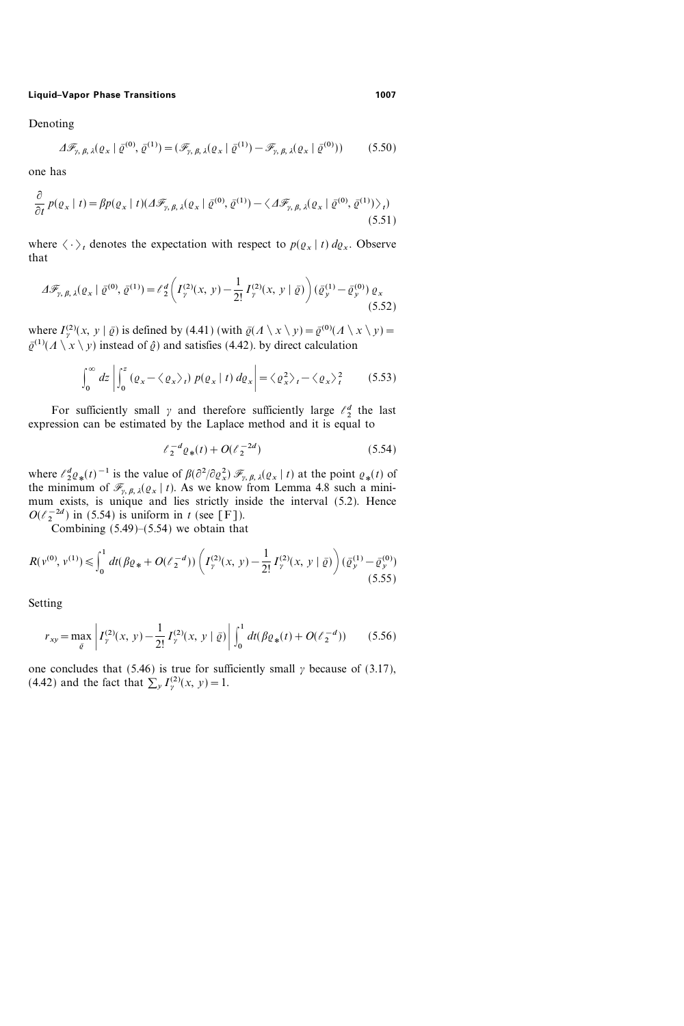#### Liquid–Vapor Phase Transitions 1007 (1999) 1007

Denoting

$$
\Delta \mathcal{F}_{\gamma,\beta,\lambda}(\varrho_x \mid \bar{\varrho}^{(0)}, \bar{\varrho}^{(1)}) = (\mathcal{F}_{\gamma,\beta,\lambda}(\varrho_x \mid \bar{\varrho}^{(1)}) - \mathcal{F}_{\gamma,\beta,\lambda}(\varrho_x \mid \bar{\varrho}^{(0)}))
$$
(5.50)

one has

$$
\frac{\partial}{\partial t} p(\varrho_x \mid t) = \beta p(\varrho_x \mid t) (\varDelta \mathcal{F}_{\gamma, \beta, \lambda}(\varrho_x \mid \bar{\varrho}^{(0)}, \bar{\varrho}^{(1)}) - \langle \varDelta \mathcal{F}_{\gamma, \beta, \lambda}(\varrho_x \mid \bar{\varrho}^{(0)}, \bar{\varrho}^{(1)}) \rangle_t)
$$
(5.51)

where  $\langle \cdot \rangle_t$  denotes the expectation with respect to  $p(\varrho_x | t) d\varrho_x$ . Observe that

$$
\Delta \mathcal{F}_{\gamma,\beta,\lambda}(\varrho_x \mid \bar{\varrho}^{(0)}, \bar{\varrho}^{(1)}) = \ell_2^d \left( I_{\gamma}^{(2)}(x, y) - \frac{1}{2!} I_{\gamma}^{(2)}(x, y \mid \bar{\varrho}) \right) \left( \bar{\varrho}_{y}^{(1)} - \bar{\varrho}_{y}^{(0)} \right) \varrho_x
$$
\n(5.52)

where  $I_{\gamma}^{(2)}(x, y | \bar{q})$  is defined by (4.41) (with  $\bar{q}(A \setminus x \setminus y) = \bar{q}^{(0)}(A \setminus x \setminus y) =$  $\bar{Q}^{(1)}(A \setminus x \setminus y)$  instead of  $\hat{\varrho}$ ) and satisfies (4.42). by direct calculation

$$
\int_0^\infty dz \left| \int_0^z (\varrho_x - \langle \varrho_x \rangle_t) p(\varrho_x | t) d\varrho_x \right| = \langle \varrho_x^2 \rangle_t - \langle \varrho_x \rangle_t^2 \tag{5.53}
$$

For sufficiently small  $\gamma$  and therefore sufficiently large  $\ell_2^d$  the last expression can be estimated by the Laplace method and it is equal to

$$
\ell_2^{-d} \varrho_*(t) + O(\ell_2^{-2d}) \tag{5.54}
$$

where  $\ell_2^d \varrho_*(t)^{-1}$  is the value of  $\beta(\partial^2/\partial \varrho_x^2) \mathcal{F}_{\gamma, \beta, \lambda}(\varrho_X | t)$  at the point  $\varrho_*(t)$  of the minimum of  $\mathcal{F}_{\gamma,\beta,\lambda}(g_x | t)$ . As we know from Lemma 4.8 such a minimum exists, is unique and lies strictly inside the interval (5.2). Hence  $O(\ell_2^{-2d})$  in (5.54) is uniform in t (see [F]).

Combining  $(5.49)-(5.54)$  we obtain that

$$
R(v^{(0)}, v^{(1)}) \leq \int_0^1 dt (\beta \varrho_* + O(\ell_z^{-d})) \left( I_y^{(2)}(x, y) - \frac{1}{2!} I_y^{(2)}(x, y | \bar{\varrho}) \right) (\bar{\varrho}_y^{(1)} - \bar{\varrho}_y^{(0)})
$$
(5.55)

Setting

$$
r_{xy} = \max_{\bar{\varrho}} \left| I_{\gamma}^{(2)}(x, y) - \frac{1}{2!} I_{\gamma}^{(2)}(x, y \mid \bar{\varrho}) \right| \int_{0}^{1} dt (\beta \varrho_{*}(t) + O(\ell_{2}^{-d})) \tag{5.56}
$$

one concludes that (5.46) is true for sufficiently small  $\gamma$  because of (3.17), (4.42) and the fact that  $\sum_{y} I_{y}^{(2)}(x, y) = 1$ .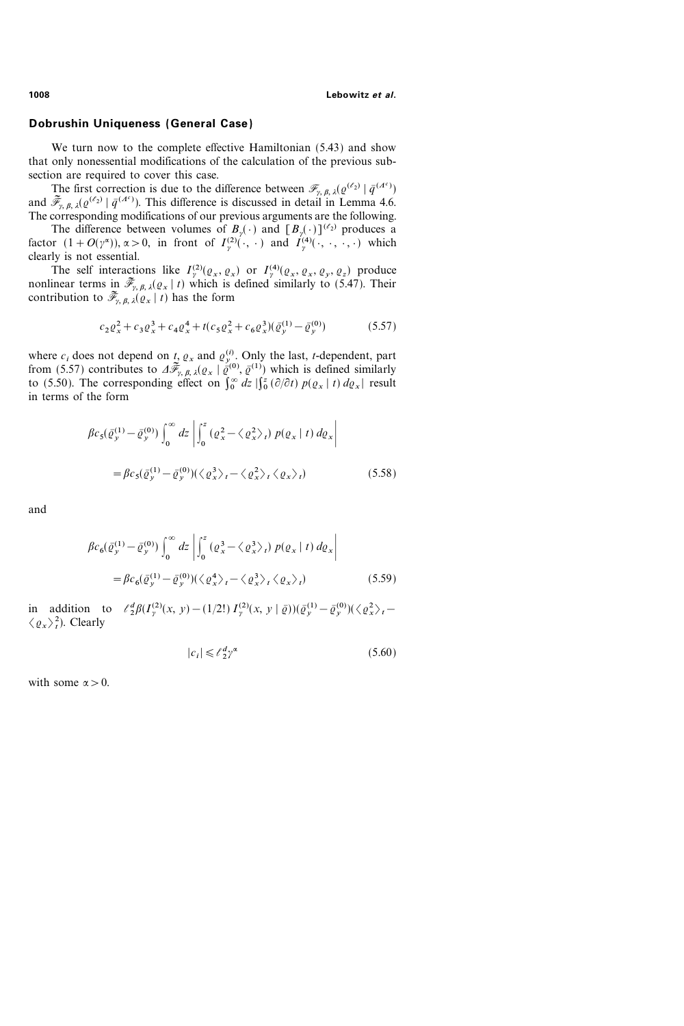## Dobrushin Uniqueness (General Case)

We turn now to the complete effective Hamiltonian (5.43) and show that only nonessential modifications of the calculation of the previous subsection are required to cover this case.

The first correction is due to the difference between  $\mathcal{F}_{\gamma, \beta, \lambda}(e^{(\ell_2)} | \bar{q}^{(\Lambda^c)})$ and  $\widetilde{\mathscr{F}}_{\gamma,\beta,\lambda}(\varrho^{(\ell_2)} | \bar{q}^{(\Lambda^{\epsilon})})$ . This difference is discussed in detail in Lemma 4.6. The corresponding modifications of our previous arguments are the following.

The difference between volumes of  $B_{\nu}(\cdot)$  and  $[B_{\nu}(\cdot)]^{(\ell_2)}$  produces a factor  $(1 + O(\gamma^{\alpha}))$ ,  $\alpha > 0$ , in front of  $I_{\gamma}^{(2)}(\cdot, \cdot)$  and  $I_{\gamma}^{(4)}(\cdot, \cdot, \cdot, \cdot)$  which clearly is not essential.

The self interactions like  $I_{\gamma}^{(2)}(\varrho_x, \varrho_x)$  or  $I_{\gamma}^{(4)}(\varrho_x, \varrho_x, \varrho_y, \varrho_z)$  produce nonlinear terms in  $\mathscr{F}_{\gamma,\beta,\lambda}(\varrho_x \mid t)$  which is defined similarly to (5.47). Their contribution to  $\widetilde{\mathcal{F}}_{y, \beta, \lambda}(Q_x | t)$  has the form

$$
c_2 \varrho_x^2 + c_3 \varrho_x^3 + c_4 \varrho_x^4 + t(c_5 \varrho_x^2 + c_6 \varrho_x^3)(\bar{\varrho}_y^{(1)} - \bar{\varrho}_y^{(0)}) \tag{5.57}
$$

where  $c_i$  does not depend on  $t, \varrho_x$  and  $\varrho_y^{(i)}$ . Only the last, t-dependent, part from (5.57) contributes to  $\Delta \tilde{\mathcal{F}}_{\gamma,\beta,\lambda}(\varrho_{x} \mid \tilde{\varrho}^{(0)}, \tilde{\varrho}^{(1)})$  which is defined similarly to (5.50). The corresponding effect on  $\int_0^\infty dz \, |\int_0^z (\partial/\partial t) p(\varrho_x | t) d\varrho_x|$  result in terms of the form

$$
\beta c_5(\bar{\varrho}_y^{(1)} - \bar{\varrho}_y^{(0)}) \int_0^\infty dz \left| \int_0^z (\varrho_x^2 - \langle \varrho_x^2 \rangle_t) p(\varrho_x | t) d\varrho_x \right|
$$
  
=  $\beta c_5(\bar{\varrho}_y^{(1)} - \bar{\varrho}_y^{(0)}) (\langle \varrho_x^3 \rangle_t - \langle \varrho_x^2 \rangle_t \langle \varrho_x \rangle_t)$  (5.58)

and

$$
\beta c_6(\bar{g}_y^{(1)} - \bar{g}_y^{(0)}) \int_0^\infty dz \left| \int_0^z (\varrho_x^3 - \langle \varrho_x^3 \rangle_t) p(\varrho_x | t) d\varrho_x \right|
$$
  
=  $\beta c_6(\bar{g}_y^{(1)} - \bar{g}_y^{(0)}) (\langle \varrho_x^4 \rangle_t - \langle \varrho_x^3 \rangle_t \langle \varrho_x \rangle_t)$  (5.59)

in addition to  $\ell_2^d \beta(I_\gamma^{(2)}(x, y) - (1/2!) I_\gamma^{(2)}(x, y | \bar{g}))(\bar{g}_y^{(1)} - \bar{g}_y^{(0)})(\langle \varrho_x^2 \rangle_t \langle \varrho_x \rangle_t^2$ ). Clearly

$$
|c_i| \leq \ell_2^d \gamma^\alpha \tag{5.60}
$$

with some  $\alpha > 0$ .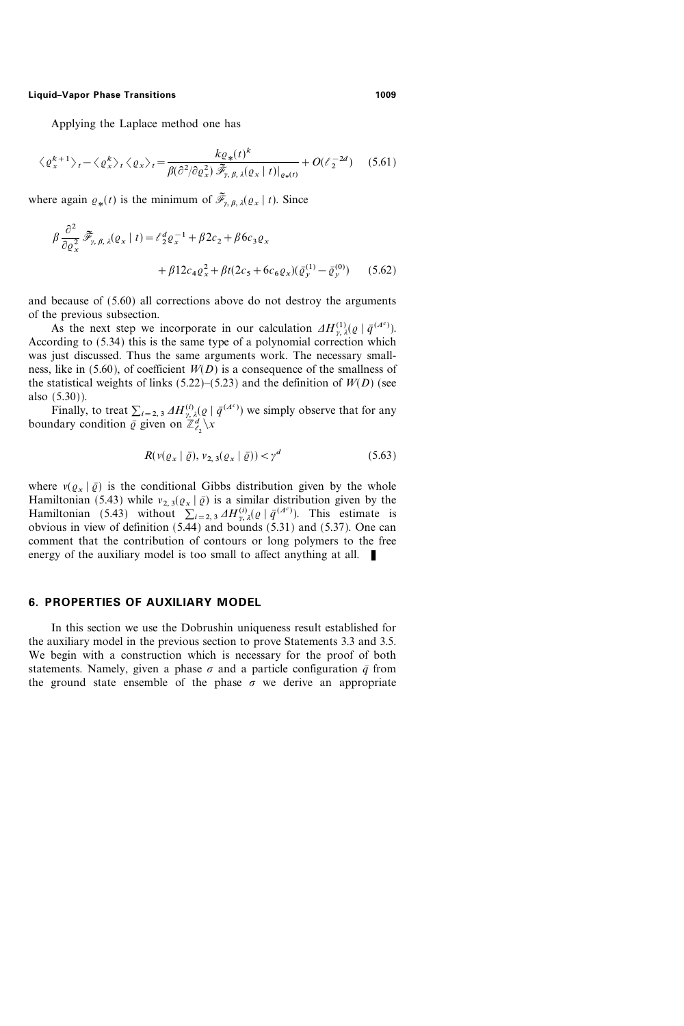Applying the Laplace method one has

$$
\langle \varrho_x^{k+1} \rangle_t - \langle \varrho_x^k \rangle_t \langle \varrho_x \rangle_t = \frac{k \varrho_x(t)^k}{\beta(\partial^2/\partial \varrho_x^2) \tilde{\mathcal{F}}_{\gamma, \beta, \lambda}(\varrho_x \mid t)|_{\varrho_x(t)}} + O(\ell_2^{-2d}) \quad (5.61)
$$

where again  $\varrho_*(t)$  is the minimum of  $\mathscr{F}_{\gamma, \beta, \lambda}(\varrho_x \mid t)$ . Since

$$
\beta \frac{\partial^2}{\partial \varrho_x^2} \widetilde{\mathscr{F}}_{\gamma, \beta, \lambda}(\varrho_x \mid t) = \ell_2^d \varrho_x^{-1} + \beta 2c_2 + \beta 6c_3 \varrho_x \n+ \beta 12c_4 \varrho_x^2 + \beta t (2c_5 + 6c_6 \varrho_x)(\bar{\varrho}_y^{(1)} - \bar{\varrho}_y^{(0)})
$$
\n(5.62)

and because of (5.60) all corrections above do not destroy the arguments of the previous subsection.

As the next step we incorporate in our calculation  $\Delta H_{\gamma,\lambda}^{(1)}(\varrho \mid \bar{q}^{(A^c)})$ . According to (5.34) this is the same type of a polynomial correction which was just discussed. Thus the same arguments work. The necessary smallness, like in (5.60), of coefficient  $W(D)$  is a consequence of the smallness of the statistical weights of links (5.22)–(5.23) and the definition of  $W(D)$  (see also (5.30)).

Finally, to treat  $\sum_{i=2,3} \Delta H_{\gamma,\lambda}^{(i)}(\varrho \mid \bar{q}^{(\Lambda^c)})$  we simply observe that for any boundary condition  $\bar{\varrho}$  given on  $\mathbb{Z}_{\ell_2}^d \setminus x$ 

$$
R(v(\varrho_x \mid \bar{\varrho}), v_{2,3}(\varrho_x \mid \bar{\varrho})) < \gamma^d \tag{5.63}
$$

where  $v(\varrho_x | \bar{\varrho})$  is the conditional Gibbs distribution given by the whole Hamiltonian (5.43) while  $v_{2,3}(\varrho_x | \bar{\varrho})$  is a similar distribution given by the Hamiltonian (5.43) without  $\sum_{i=2,3} \Delta H_{\gamma,\lambda}^{(i)}(q | \bar{q}^{(A^c)})$ . This estimate is obvious in view of definition (5.44) and bounds (5.31) and (5.37). One can comment that the contribution of contours or long polymers to the free energy of the auxiliary model is too small to affect anything at all.  $\blacksquare$ 

## 6. PROPERTIES OF AUXILIARY MODEL

In this section we use the Dobrushin uniqueness result established for the auxiliary model in the previous section to prove Statements 3.3 and 3.5. We begin with a construction which is necessary for the proof of both statements. Namely, given a phase  $\sigma$  and a particle configuration  $\bar{q}$  from the ground state ensemble of the phase  $\sigma$  we derive an appropriate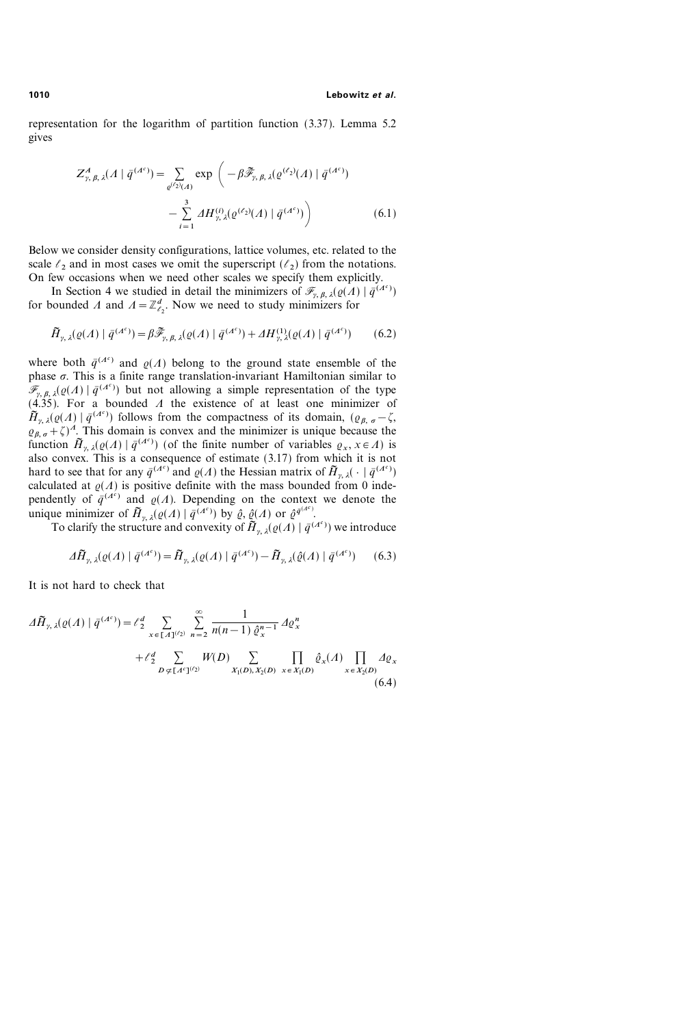representation for the logarithm of partition function (3.37). Lemma 5.2 gives

$$
Z_{\gamma,\beta,\lambda}^{A}(A \mid \bar{q}^{(A^c)}) = \sum_{\varrho^{(\ell_2)}(A)} \exp\left(-\beta \tilde{\mathscr{F}}_{\gamma,\beta,\lambda}(\varrho^{(\ell_2)}(A) \mid \bar{q}^{(A^c)}) - \sum_{i=1}^{3} \Delta H_{\gamma,\lambda}^{(i)}(\varrho^{(\ell_2)}(A) \mid \bar{q}^{(A^c)})\right)
$$
(6.1)

Below we consider density configurations, lattice volumes, etc. related to the scale  $\ell_2$  and in most cases we omit the superscript  $(\ell_2)$  from the notations. On few occasions when we need other scales we specify them explicitly.

In Section 4 we studied in detail the minimizers of  $\mathscr{F}_{\gamma,\beta,\lambda}(\varrho(\Lambda) | \bar{q}^{(\Lambda^c)})$ for bounded  $\Lambda$  and  $\Lambda = \mathbb{Z}_{\ell_2}^d$ . Now we need to study minimizers for

$$
\widetilde{H}_{\gamma,\lambda}(\varrho(\Lambda) \mid \bar{q}^{(\Lambda^c)}) = \beta \widetilde{\mathcal{F}}_{\gamma,\beta,\lambda}(\varrho(\Lambda) \mid \bar{q}^{(\Lambda^c)}) + \varDelta H_{\gamma,\lambda}^{(1)}(\varrho(\Lambda) \mid \bar{q}^{(\Lambda^c)}) \tag{6.2}
$$

where both  $\bar{q}^{(A^c)}$  and  $\varrho(A)$  belong to the ground state ensemble of the phase  $\sigma$ . This is a finite range translation-invariant Hamiltonian similar to  $\mathscr{F}_{\gamma,\beta,\lambda}(\varrho(\Lambda) | \bar{q}^{(\Lambda^c)})$  but not allowing a simple representation of the type  $(4.35)$ . For a bounded  $\Lambda$  the existence of at least one minimizer of  $\tilde{H}_{\gamma,\lambda}(\varrho(\Lambda) | \bar{q}^{(\Lambda^c)})$  follows from the compactness of its domain,  $(\varrho_{\beta,\sigma}-\zeta,\varrho_{\beta})$  $(\varrho_{\beta,\sigma}+\zeta)^A$ . This domain is convex and the minimizer is unique because the function  $\tilde{H}_{\gamma, \lambda}(q(A) | \bar{q}^{(A^c)})$  (of the finite number of variables  $\varrho_x, x \in A$ ) is also convex. This is a consequence of estimate (3.17) from which it is not hard to see that for any  $\bar{q}^{(A^c)}$  and  $\varrho(A)$  the Hessian matrix of  $\tilde{H}_{\gamma, \lambda}(\cdot | \bar{q}^{(A^c)})$ calculated at  $\varrho(A)$  is positive definite with the mass bounded from 0 independently of  $\bar{q}^{(A^c)}$  and  $\varrho(A)$ . Depending on the context we denote the unique minimizer of  $\tilde{H}_{\gamma,\lambda}(\varrho(A) | \bar{q}^{(A^c)})$  by  $\hat{\varrho}, \hat{\varrho}(A)$  or  $\hat{\varrho}^{\bar{q}^{(A^c)}}$ .

To clarify the structure and convexity of  $\tilde{H}_{\gamma,\lambda}(\varrho(\Lambda) | \bar{q}^{(\Lambda^c)})$  we introduce

$$
\Delta \widetilde{H}_{\gamma,\lambda}(\varrho(A) \mid \bar{q}^{(A^c)}) = \widetilde{H}_{\gamma,\lambda}(\varrho(A) \mid \bar{q}^{(A^c)}) - \widetilde{H}_{\gamma,\lambda}(\hat{\varrho}(A) \mid \bar{q}^{(A^c)}) \tag{6.3}
$$

It is not hard to check that

$$
\Delta \widetilde{H}_{\gamma, \lambda}(q(A) \mid \bar{q}^{(A^c)}) = \ell_2^d \sum_{x \in [A]^{(\ell_2)}} \sum_{n=2}^{\infty} \frac{1}{n(n-1) \hat{\varrho}_x^{n-1}} \Delta \varrho_x^n
$$
  
+ 
$$
\ell_2^d \sum_{D \text{ } \in [A^c]^{(\ell_2)}} W(D) \sum_{X_1(D), X_2(D)} \prod_{x \in X_1(D)} \hat{\varrho}_x(A) \prod_{x \in X_2(D)} \Delta \varrho_x
$$
(6.4)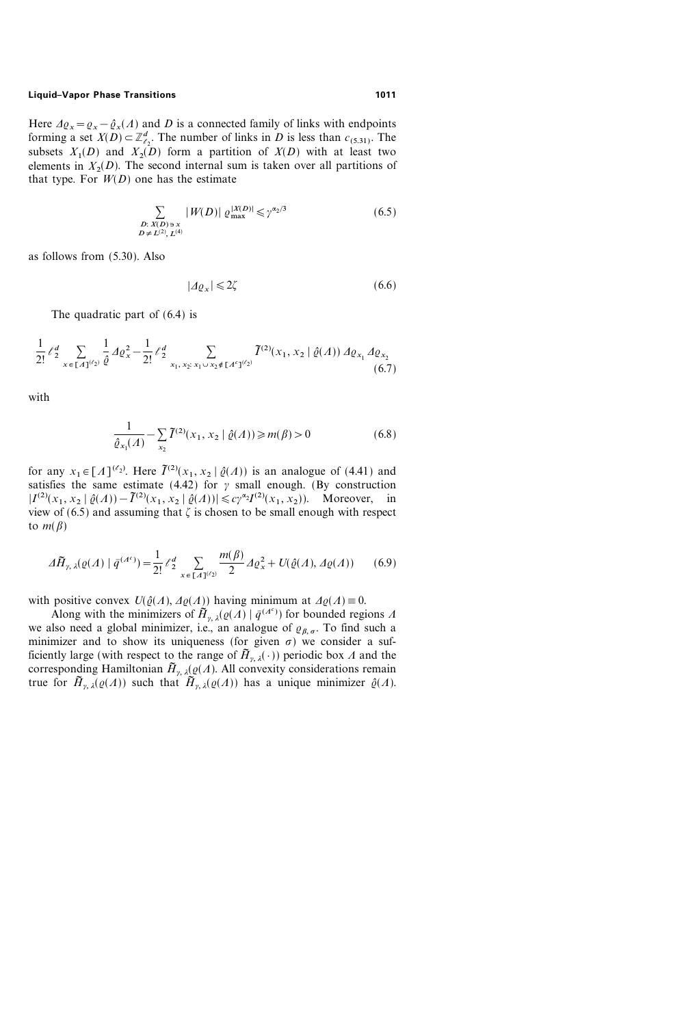#### Liquid–Vapor Phase Transitions 1011 (1996) 1011

Here  $\Delta \varrho_x = \varrho_x - \hat{\varrho}_x(\Lambda)$  and D is a connected family of links with endpoints forming a set  $X(D) \subset \mathbb{Z}_{\ell_2}^d$ . The number of links in D is less than  $c_{(5.31)}$ . The subsets  $X_1(D)$  and  $X_2(D)$  form a partition of  $X(D)$  with at least two elements in  $X_2(D)$ . The second internal sum is taken over all partitions of that type. For  $W(D)$  one has the estimate

$$
\sum_{\substack{D:\ X(D)\ni x\\D \neq L^{(2)},\ L^{(4)}}} |W(D)| \varrho_{\max}^{|X(D)|} \leq \gamma^{\alpha_2/3} \tag{6.5}
$$

as follows from (5.30). Also

$$
|A\varrho_x| \leq 2\zeta \tag{6.6}
$$

The quadratic part of (6.4) is

$$
\frac{1}{2!} \ell_2^d \sum_{x \in [A]^{(\ell_2)}} \frac{1}{\hat{\varrho}} 4 \varrho_x^2 - \frac{1}{2!} \ell_2^d \sum_{x_1, x_2: x_1 \cup x_2 \notin [A^c]^{(\ell_2)}} \tilde{I}^{(2)}(x_1, x_2 \mid \hat{\varrho}(A)) 4 \varrho_{x_1} 4 \varrho_{x_2}
$$
\n(6.7)

with

$$
\frac{1}{\hat{\varrho}_{x_1}(A)} - \sum_{x_2} \tilde{I}^{(2)}(x_1, x_2 \mid \hat{\varrho}(A)) \ge m(\beta) > 0
$$
\n(6.8)

for any  $x_1 \in [A]^{(\ell_2)}$ . Here  $\tilde{I}^{(2)}(x_1, x_2 | \hat{\varrho}(A))$  is an analogue of (4.41) and satisfies the same estimate (4.42) for  $\gamma$  small enough. (By construction  $|I^{(2)}(x_1, x_2 | \hat{\varrho}(A)) - \tilde{I}^{(2)}(x_1, x_2 | \hat{\varrho}(A))| \leq c\gamma^{\alpha_2}I^{(2)}(x_1, x_2)$ . Moreover, in view of (6.5) and assuming that  $\zeta$  is chosen to be small enough with respect to  $m(\beta)$ 

$$
\Delta \widetilde{H}_{\gamma,\lambda}(\varrho(A) \mid \bar{q}^{(A^c)}) = \frac{1}{2!} \ell_2^d \sum_{x \in [A]^{(\ell_2)}} \frac{m(\beta)}{2} \Delta \varrho_x^2 + U(\hat{\varrho}(A), \Delta \varrho(A)) \tag{6.9}
$$

with positive convex  $U(\hat{\rho}(A), \Delta \rho(A))$  having minimum at  $\Delta \rho(A) \equiv 0$ .

Along with the minimizers of  $\tilde{H}_{\gamma,\lambda}(\varrho(\Lambda) | \bar{q}^{(\Lambda^c)})$  for bounded regions  $\Lambda$ we also need a global minimizer, i.e., an analogue of  $\rho_{\beta,\sigma}$ . To find such a minimizer and to show its uniqueness (for given  $\sigma$ ) we consider a sufficiently large (with respect to the range of  $\tilde{H}_{v, \lambda}(\cdot)$ ) periodic box A and the corresponding Hamiltonian  $\tilde{H}_{v, \lambda}(q(A))$ . All convexity considerations remain true for  $\tilde{H}_{\nu,\lambda}(\varrho(A))$  such that  $\tilde{H}_{\nu,\lambda}(\varrho(A))$  has a unique minimizer  $\varrho(A)$ .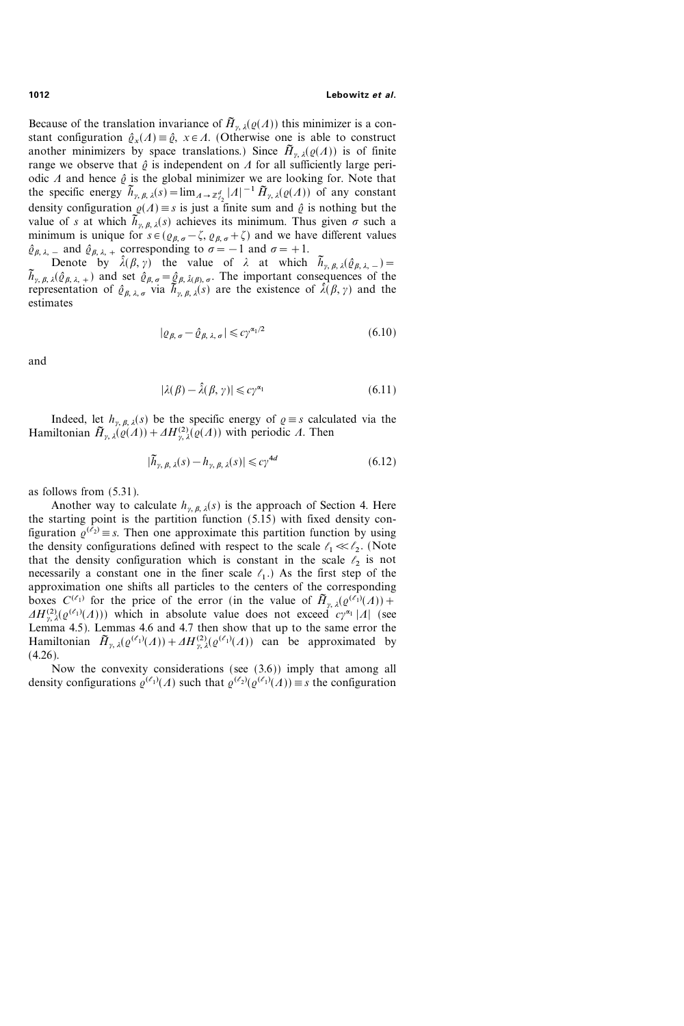Because of the translation invariance of  $\tilde{H}_{v,\lambda}(\varrho(\Lambda))$  this minimizer is a constant configuration  $\hat{\varrho}_x(A) = \hat{\varrho}, x \in A$ . (Otherwise one is able to construct another minimizers by space translations.) Since  $\tilde{H}_{\nu,\lambda}(\varrho(\Lambda))$  is of finite range we observe that  $\hat{\varrho}$  is independent on  $\Lambda$  for all sufficiently large periodic  $\Lambda$  and hence  $\hat{\varrho}$  is the global minimizer we are looking for. Note that the specific energy  $\tilde{h}_{\gamma, \beta, \lambda}(s) = \lim_{\Delta \to \mathbb{Z}_{\ell_2}^d} |A|^{-1} \tilde{H}_{\gamma, \lambda}(e(A))$  of any constant density configuration  $\varrho(A) \equiv s$  is just a finite sum and  $\hat{\varrho}$  is nothing but the value of s at which  $\tilde{h}_{\gamma, \beta, \lambda}(s)$  achieves its minimum. Thus given  $\sigma$  such a minimum is unique for  $s \in (g_{\beta,\sigma} - \zeta, g_{\beta,\sigma} + \zeta)$  and we have different values  $\hat{\varrho}_{\beta,\lambda,-}$  and  $\hat{\varrho}_{\beta,\lambda,+}$  corresponding to  $\sigma=-1$  and  $\sigma=+1$ .

Denote by  $\hat{\lambda}(\beta, \gamma)$  the value of  $\lambda$  at which  $\tilde{h}_{\gamma, \beta, \lambda}(\hat{\varrho}_{\beta, \lambda,-})=$  $\tilde{h}_{\gamma, \beta, \lambda}(\hat{Q}_{\beta, \lambda, +})$  and set  $\hat{Q}_{\beta, \sigma} = \hat{Q}_{\beta, \lambda(\beta), \sigma}$ . The important consequences of the representation of  $\hat{\varrho}_{\beta,\lambda,\sigma}$  via  $\tilde{h}_{\gamma,\beta,\lambda}(s)$  are the existence of  $\hat{\lambda}(\beta, \gamma)$  and the estimates

$$
|\varrho_{\beta,\,\sigma} - \hat{\varrho}_{\beta,\,\lambda,\,\sigma}| \leqslant c\gamma^{\alpha_1/2} \tag{6.10}
$$

and

$$
|\lambda(\beta) - \hat{\lambda}(\beta, \gamma)| \leq c\gamma^{\alpha_1} \tag{6.11}
$$

Indeed, let  $h_{y, \beta, \lambda}(s)$  be the specific energy of  $\varrho \equiv s$  calculated via the Hamiltonian  $\widetilde{H}_{\gamma,\lambda}(\varrho(\Lambda))+\Delta H_{\gamma,\lambda}^{(2)}(\varrho(\Lambda))$  with periodic  $\Lambda$ . Then

$$
|\tilde{h}_{\gamma,\beta,\lambda}(s) - h_{\gamma,\beta,\lambda}(s)| \leqslant c\gamma^{4d} \tag{6.12}
$$

as follows from (5.31).

Another way to calculate  $h_{y, \beta, \lambda}(s)$  is the approach of Section 4. Here the starting point is the partition function (5.15) with fixed density configuration  $\varrho^{(\ell_2)} \equiv s$ . Then one approximate this partition function by using the density configurations defined with respect to the scale  $\ell_1 \ll \ell_2$ . (Note that the density configuration which is constant in the scale  $\ell_2$  is not necessarily a constant one in the finer scale  $\ell_1$ .) As the first step of the approximation one shifts all particles to the centers of the corresponding boxes  $C^{(\ell_1)}$  for the price of the error (in the value of  $\tilde{H}_{\gamma,\lambda}(\varrho^{(\ell_1)}(A))$  +  $AH^{(2)}_{\gamma,\lambda}(\varrho^{(\ell_1)}(A)))$  which in absolute value does not exceed  $c\gamma^{\alpha_1} |A|$  (see Lemma 4.5). Lemmas 4.6 and 4.7 then show that up to the same error the Hamiltonian  $\tilde{H}_{\gamma,\lambda}(e^{(\ell_1)}(A)) + \Delta H_{\gamma,\lambda}^{(2)}(e^{(\ell_1)}(A))$  can be approximated by  $(4.26)$ .

Now the convexity considerations (see (3.6)) imply that among all density configurations  $\varrho^{(\ell_1)}(A)$  such that  $\varrho^{(\ell_2)}(\varrho^{(\ell_1)}(A)) \equiv s$  the configuration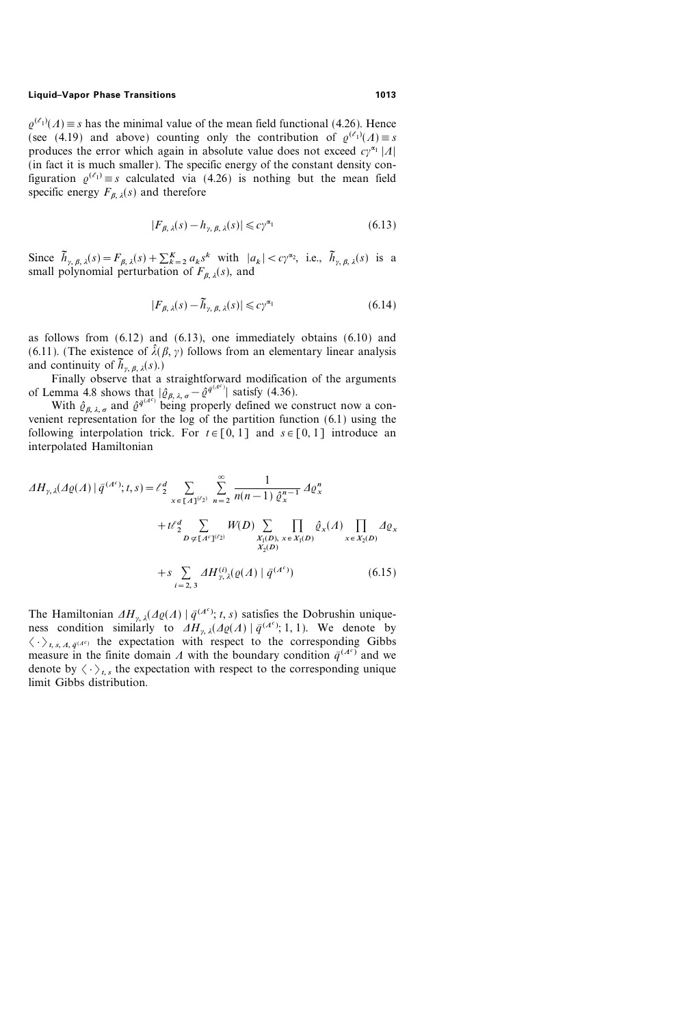#### Liquid–Vapor Phase Transitions 1013

 $\varrho^{(\ell_1)}(\Lambda) \equiv s$  has the minimal value of the mean field functional (4.26). Hence (see (4.19) and above) counting only the contribution of  $\varrho^{(\ell_1)}(A) \equiv s$ produces the error which again in absolute value does not exceed  $c\gamma^{\alpha_1} |A|$ (in fact it is much smaller). The specific energy of the constant density configuration  $\varrho^{(\ell_1)} \equiv s$  calculated via (4.26) is nothing but the mean field specific energy  $F_{\beta, \lambda}(s)$  and therefore

$$
|F_{\beta,\lambda}(s) - h_{\gamma,\beta,\lambda}(s)| \leq c\gamma^{\alpha_1} \tag{6.13}
$$

Since  $\tilde{h}_{\gamma, \beta, \lambda}(s) = F_{\beta, \lambda}(s) + \sum_{k=2}^{K} a_k s^k$  with  $|a_k| < c\gamma^{\alpha_2}$ , i.e.,  $\tilde{h}_{\gamma, \beta, \lambda}(s)$  is a small polynomial perturbation of  $F_{\beta, \lambda}(s)$ , and

$$
|F_{\beta,\lambda}(s) - \tilde{h}_{\gamma,\beta,\lambda}(s)| \leqslant c\gamma^{\alpha_1} \tag{6.14}
$$

as follows from  $(6.12)$  and  $(6.13)$ , one immediately obtains  $(6.10)$  and (6.11). (The existence of  $\hat{\lambda}(\beta, \gamma)$  follows from an elementary linear analysis and continuity of  $\tilde{h}_{\nu, \beta, \lambda}(s)$ .)

Finally observe that a straightforward modification of the arguments of Lemma 4.8 shows that  $|\hat{\varrho}_{\beta,\lambda,\sigma} - \hat{\varrho}^{\bar{q}^{(A^c)}}|$  satisfy (4.36).

With  $\hat{\varrho}_{\beta,\lambda,\sigma}$  and  $\hat{\varrho}^{\bar{q}^{(A^c)}}$  being properly defined we construct now a convenient representation for the log of the partition function (6.1) using the following interpolation trick. For  $t \in [0, 1]$  and  $s \in [0, 1]$  introduce an interpolated Hamiltonian

$$
\Delta H_{\gamma,\lambda}(\Delta \varrho(A)) \, |\, \bar{q}^{(A^c)}; t, s) = \ell_2^d \sum_{x \in [A]^{(\ell_2)}} \sum_{n=2}^{\infty} \frac{1}{n(n-1) \, \hat{\varrho}_x^{n-1}} \, \Delta \varrho_x^n
$$
\n
$$
+ t \ell_2^d \sum_{D \, \in [A^c]^{(\ell_2)}} W(D) \sum_{\substack{X_1(D), \, x \in X_1(D) \\ X_2(D)}} \prod_{x \in X_2(D)} \hat{\varrho}_x(A) \prod_{x \in X_2(D)} \Delta \varrho_x
$$
\n
$$
+ s \sum_{i=2,3} \Delta H_{\gamma,\lambda}^{(i)}(\varrho(A)) \, |\, \bar{q}^{(A^c)}) \tag{6.15}
$$

The Hamiltonian  $AH_{\gamma,\lambda}(A\varrho(A)) | \bar{q}^{(A^c)}; t, s)$  satisfies the Dobrushin uniqueness condition similarly to  $\Delta H_{\gamma,\lambda}(\Delta\varrho(\Lambda) | \bar{q}^{(A^c)}; 1, 1)$ . We denote by  $\langle \cdot \rangle_{t,s,A,\bar{a}^{(A^c)}}$  the expectation with respect to the corresponding Gibbs measure in the finite domain  $\Lambda$  with the boundary condition  $\bar{q}^{(\Lambda^c)}$  and we denote by  $\langle \cdot \rangle_{ts}$  the expectation with respect to the corresponding unique limit Gibbs distribution.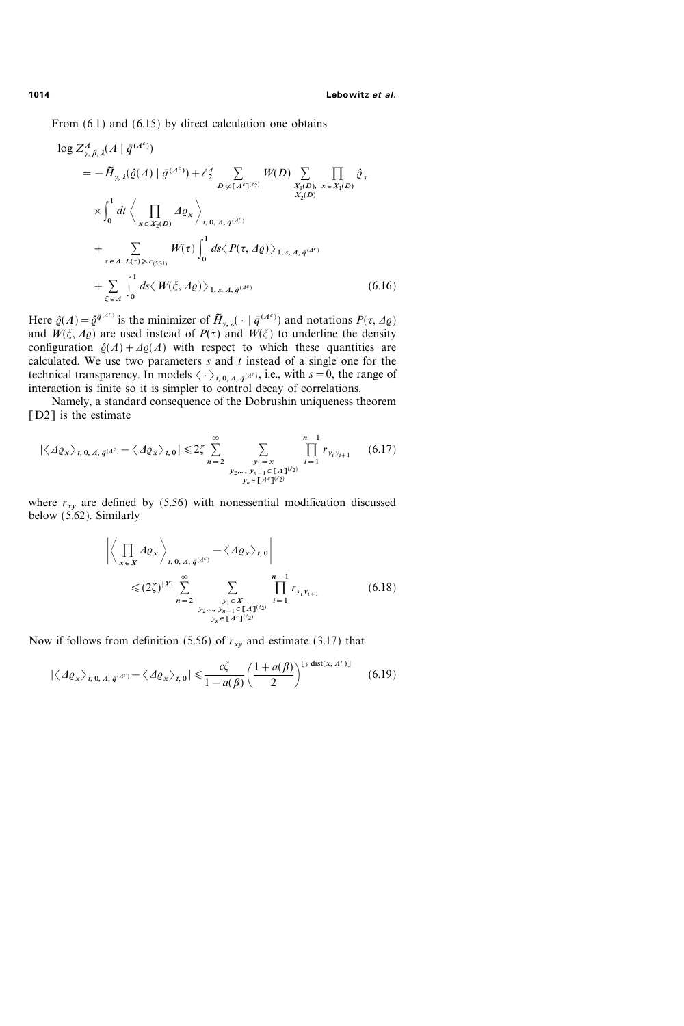From  $(6.1)$  and  $(6.15)$  by direct calculation one obtains

$$
\log Z_{\gamma,\beta,\lambda}^{A}(A \mid \bar{q}^{(A^{c})})
$$
\n
$$
= -\tilde{H}_{\gamma,\lambda}(\hat{\varrho}(A) \mid \bar{q}^{(A^{c})}) + \ell_{2}^{d} \sum_{D \notin [A^{c}]^{(\ell_{2})}} W(D) \sum_{X_{1}(D), X \in X_{1}(D)} \prod_{X_{2}(D)} \hat{\varrho}_{X} \times \int_{0}^{1} dt \left\langle \prod_{x \in X_{2}(D)} \Delta \varrho_{x} \right\rangle_{t, 0, A, \bar{q}^{(A^{c})}}
$$
\n
$$
+ \sum_{\tau \in A: L(\tau) \geq c_{(5,31)}} W(\tau) \int_{0}^{1} ds \langle P(\tau, \Delta \varrho) \rangle_{1, s, A, \bar{q}^{(A^{c})}}
$$
\n
$$
+ \sum_{\xi \in A} \int_{0}^{1} ds \langle W(\xi, \Delta \varrho) \rangle_{1, s, A, \bar{q}^{(A^{c})}}
$$
\n(6.16)

Here  $\hat{\varrho}(A) = \hat{\varrho}^{\bar{q}^{(A^c)}}$  is the minimizer of  $\tilde{H}_{\gamma, \lambda}(\cdot | \bar{q}^{(A^c)})$  and notations  $P(\tau, \Delta \varrho)$ and  $W(\xi, \Delta \varrho)$  are used instead of  $P(\tau)$  and  $W(\xi)$  to underline the density configuration  $\hat{\varrho}(A)+\varDelta\varrho(A)$  with respect to which these quantities are calculated. We use two parameters  $s$  and  $t$  instead of a single one for the technical transparency. In models  $\langle \cdot \rangle_{t, 0, A, \bar{a}^{(A^c)}}$ , i.e., with  $s = 0$ , the range of interaction is finite so it is simpler to control decay of correlations.

Namely, a standard consequence of the Dobrushin uniqueness theorem [D2] is the estimate

$$
|\langle \Delta \varrho_{x} \rangle_{t, 0, A, \bar{q}^{(A^c)}} - \langle \Delta \varrho_{x} \rangle_{t, 0}| \leq 2\zeta \sum_{n=2}^{\infty} \sum_{\substack{y_1 = x \\ y_2, \dots, y_{n-1} \in [A]^{(\ell_2)} \\ y_n \in [A^c]^{(\ell_2)}}} \prod_{i=1}^{n-1} r_{y_i y_{i+1}} \qquad (6.17)
$$

where  $r_{xy}$  are defined by (5.56) with nonessential modification discussed below (5.62). Similarly

$$
\left| \left\langle \prod_{x \in X} A \varrho_x \right\rangle_{t, 0, A, \bar{q}^{(A^c)}} - \left\langle A \varrho_x \right\rangle_{t, 0} \right|
$$
\n
$$
\leq (2\zeta)^{|X|} \sum_{n=2}^{\infty} \sum_{\substack{y_1 \in X \\ y_2, \dots, y_{n-1} \in [A]^{(\ell_2)}}} \prod_{i=1}^{n-1} r_{y_i y_{i+1}} \tag{6.18}
$$

Now if follows from definition (5.56) of  $r_{xy}$  and estimate (3.17) that

$$
|\langle \varDelta \varrho_{x} \rangle_{t, \, 0, \, A, \, \bar{q}^{(A^c)}} - \langle \varDelta \varrho_{x} \rangle_{t, \, 0}| \leqslant \frac{c\zeta}{1 - a(\beta)} \left(\frac{1 + a(\beta)}{2}\right)^{\lceil \gamma \operatorname{dist}(x, \, A^c) \rceil} \tag{6.19}
$$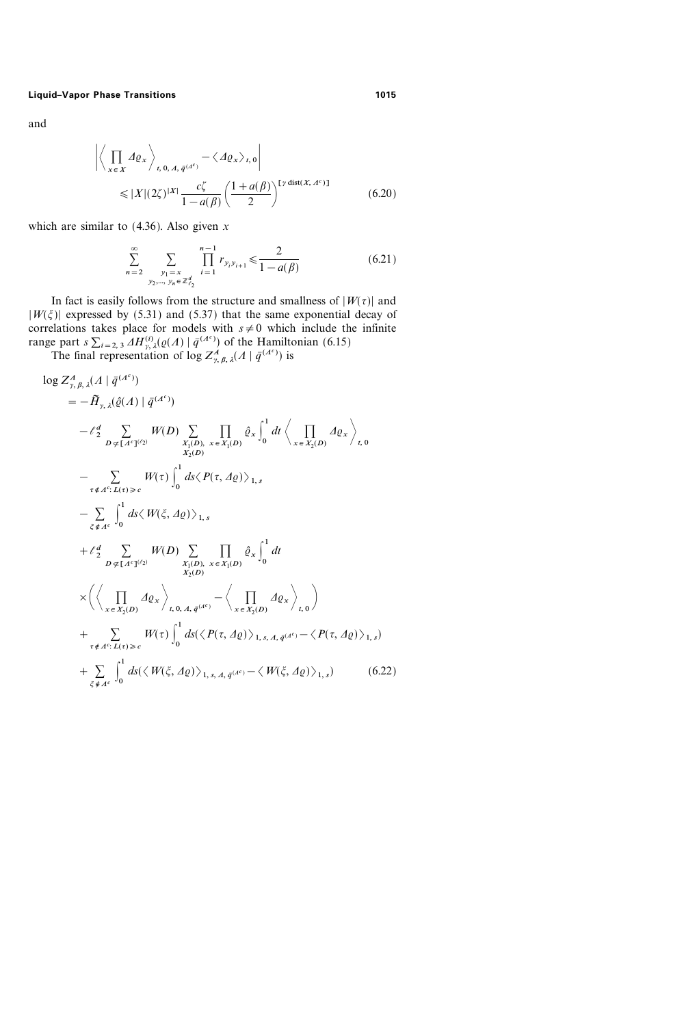#### Liquid-Vapor Phase Transitions 1015

and

$$
\left| \left\langle \prod_{x \in X} A \varrho_x \right\rangle_{t, 0, A, \bar{q}^{(A^c)}} - \left\langle A \varrho_x \right\rangle_{t, 0} \right|
$$
  

$$
\leq |X|(2\zeta)^{|X|} \frac{c\zeta}{1 - a(\beta)} \left( \frac{1 + a(\beta)}{2} \right)^{[\gamma \text{ dist}(X, A^c)]}
$$
(6.20)

which are similar to  $(4.36)$ . Also given x

$$
\sum_{n=2}^{\infty} \sum_{\substack{y_1=x\\y_2,\dots,y_n \in \mathbb{Z}_{\ell_2}^d}} \prod_{i=1}^{n-1} r_{y_i y_{i+1}} \leq \frac{2}{1-a(\beta)} \tag{6.21}
$$

In fact is easily follows from the structure and smallness of  $|W(\tau)|$  and  $|W(\xi)|$  expressed by (5.31) and (5.37) that the same exponential decay of correlations takes place for models with  $s \neq 0$  which include the infinite range part  $s \sum_{i=2,3} \Delta H_{\gamma,\lambda}^{(i)}(\varrho(\Lambda) | \bar{q}^{(\Lambda^c)})$  of the Hamiltonian (6.15)

The final representation of  $\log Z^A_{\gamma, \beta, \lambda}(A | \bar{q}^{(A^c)})$  is

$$
\log Z_{\gamma,\beta,\lambda}^{A}(A | \bar{q}^{(A)})
$$
\n
$$
= -\tilde{H}_{\gamma,\lambda}(\hat{\varrho}(A) | \bar{q}^{(A)})
$$
\n
$$
- \ell_{2}^{d} \sum_{D \notin [A^{c}]^{(\prime_{2})}} W(D) \sum_{X_{1}(D), x \in X_{1}(D)} \hat{\varrho}_{x} \int_{0}^{1} dt \left\langle \prod_{x \in X_{2}(D)} A \varrho_{x} \right\rangle_{t,0}
$$
\n
$$
- \sum_{\tau \notin A^{c}: L(\tau) \geq c} W(\tau) \int_{0}^{1} ds \left\langle P(\tau, \Delta \varrho) \right\rangle_{1,s}
$$
\n
$$
- \sum_{\xi \notin A^{c}} \int_{0}^{1} ds \left\langle W(\xi, \Delta \varrho) \right\rangle_{1,s}
$$
\n
$$
+ \ell_{2}^{d} \sum_{D \notin [A^{c}]^{(\prime_{2})}} W(D) \sum_{X_{1}(D), x \in X_{1}(D)} \hat{\varrho}_{x} \int_{0}^{1} dt
$$
\n
$$
\times \left( \left\langle \prod_{x \in X_{2}(D)} A \varrho_{x} \right\rangle_{t, 0, A, \bar{q}^{(A)}} - \left\langle \prod_{x \in X_{2}(D)} \Delta \varrho_{x} \right\rangle_{t, 0} \right)
$$
\n
$$
+ \sum_{\tau \notin A^{c}: L(\tau) \geq c} W(\tau) \int_{0}^{1} ds (\left\langle P(\tau, \Delta \varrho) \right\rangle_{1,s, A, \bar{q}^{(A^{c})}} - \left\langle P(\tau, \Delta \varrho) \right\rangle_{1,s})
$$
\n
$$
+ \sum_{\xi \notin A^{c}} \int_{0}^{1} ds (\left\langle W(\xi, \Delta \varrho) \right\rangle_{1,s, A, \bar{q}^{(A^{c})}} - \left\langle W(\xi, \Delta \varrho) \right\rangle_{1,s}) \qquad (6.22)
$$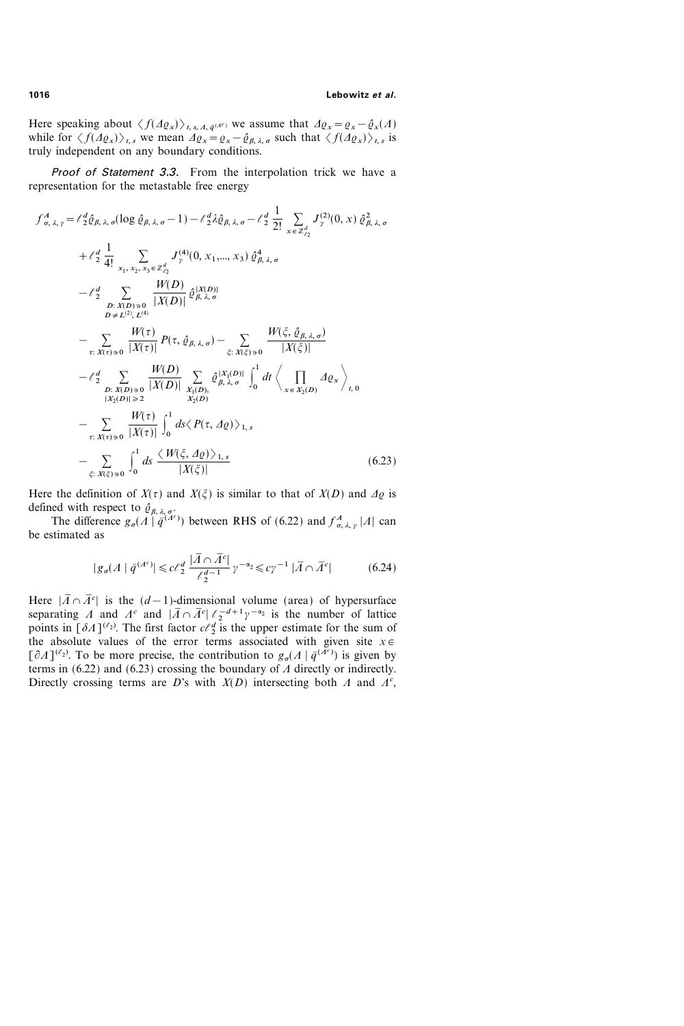Here speaking about  $\langle f(\Delta \varrho_x)\rangle_{t, s, A, \bar{q}(4^c)}$  we assume that  $\Delta \varrho_x=\varrho_x-\hat{\varrho}_x(A)$ while for  $\langle f(\Delta \varrho_x)\rangle_{t,s}$  we mean  $\Delta \varrho_x=\varrho_x-\hat{\varrho}_{\beta,\lambda,\sigma}$  such that  $\langle f(\Delta \varrho_x)\rangle_{t,s}$  is truly independent on any boundary conditions.

Proof of Statement 3.3. From the interpolation trick we have a representation for the metastable free energy

$$
f_{\sigma,\lambda,\gamma}^{A} = \ell_{2}^{d} \hat{\varrho}_{\beta,\lambda,\sigma} (\log \hat{\varrho}_{\beta,\lambda,\sigma} - 1) - \ell_{2}^{d} \lambda \hat{\varrho}_{\beta,\lambda,\sigma} - \ell_{2}^{d} \frac{1}{2!} \sum_{x \in \mathbb{Z}_{\ell_{2}}^{d}} J_{\gamma}^{(2)}(0, x) \hat{\varrho}_{\beta,\lambda,\sigma}^{2}
$$
  
+  $\ell_{2}^{d} \frac{1}{4!} \sum_{x_{1},x_{2},x_{3} \in \mathbb{Z}_{\ell_{2}}^{d}} J_{\gamma}^{(4)}(0, x_{1},..., x_{3}) \hat{\varrho}_{\beta,\lambda,\sigma}^{4}$   
-  $\ell_{2}^{d} \sum_{D:X(D)=0} \frac{W(D)}{|X(D)|} \hat{\varrho}_{\beta,\lambda,\sigma}^{[X(D)]}$   
-  $\ell_{2}^{d} \sum_{x_{1},x_{2},x_{3} \in \mathbb{Z}_{\ell_{2}}^{(4)}} \frac{W(\tau)}{|X(D)|} P(\tau, \hat{\varrho}_{\beta,\lambda,\sigma}) - \sum_{\xi:X(\xi)=0} \frac{W(\xi, \hat{\varrho}_{\beta,\lambda,\sigma})}{|X(\xi)|}$   
-  $\ell_{2}^{d} \sum_{D:X(D)=0} \frac{W(D)}{|X(D)|} \sum_{X_{1}(D),\beta} \hat{\varrho}_{\beta,\lambda,\sigma}^{[X(D)]} \int_{0}^{1} dt \left\langle \prod_{x \in X_{2}(D)} \Delta \varrho_{x} \right\rangle_{t,0}$   
-  $\sum_{\tau:X(\tau)=0} \frac{W(\tau)}{|X(\tau)|} \int_{0}^{1} ds \langle P(\tau, \Delta \varrho) \rangle_{1,s}$   
-  $\sum_{\xi:X(\xi)=0} \int_{0}^{1} ds \frac{\langle W(\xi, \Delta \varrho) \rangle_{1,s}}{|X(\xi)|}$  (6.23)

Here the definition of  $X(\tau)$  and  $X(\xi)$  is similar to that of  $X(D)$  and  $\Delta \varrho$  is defined with respect to  $\hat{\varrho}_{\beta, \lambda, \sigma}$ .

The difference  $g_{\sigma}(A | \tilde{q}^{(A^c)})$  between RHS of (6.22) and  $f_{\sigma, \lambda, \gamma}^A |A|$  can be estimated as

$$
|g_{\sigma}(A \mid \bar{q}^{(A^c)}| \leq c\ell_2^d \frac{|\bar{A} \cap \bar{A}^c|}{\ell_2^{d-1}} \gamma^{-\alpha_2} \leq c\gamma^{-1} |\bar{A} \cap \bar{A}^c|
$$
 (6.24)

Here  $|\bar{A} \cap \bar{A}^c|$  is the  $(d-1)$ -dimensional volume (area) of hypersurface separating A and  $A^c$  and  $|\bar{A} \cap \bar{A}^c| \ell_2^{-d+1} \gamma^{-\alpha_2}$  is the number of lattice points in  $\left[\delta A\right]^{(\ell_2)}$ . The first factor  $c\ell_2^d$  is the upper estimate for the sum of the absolute values of the error terms associated with given site  $x \in$  $\left[\partial \Lambda\right]^{(\ell_2)}$ . To be more precise, the contribution to  $g_{\sigma}(\Lambda | \bar{q}^{(\bar{A^c})})$  is given by terms in  $(6.22)$  and  $(6.23)$  crossing the boundary of  $\Lambda$  directly or indirectly. Directly crossing terms are D's with  $X(D)$  intersecting both  $\Lambda$  and  $\Lambda^c$ ,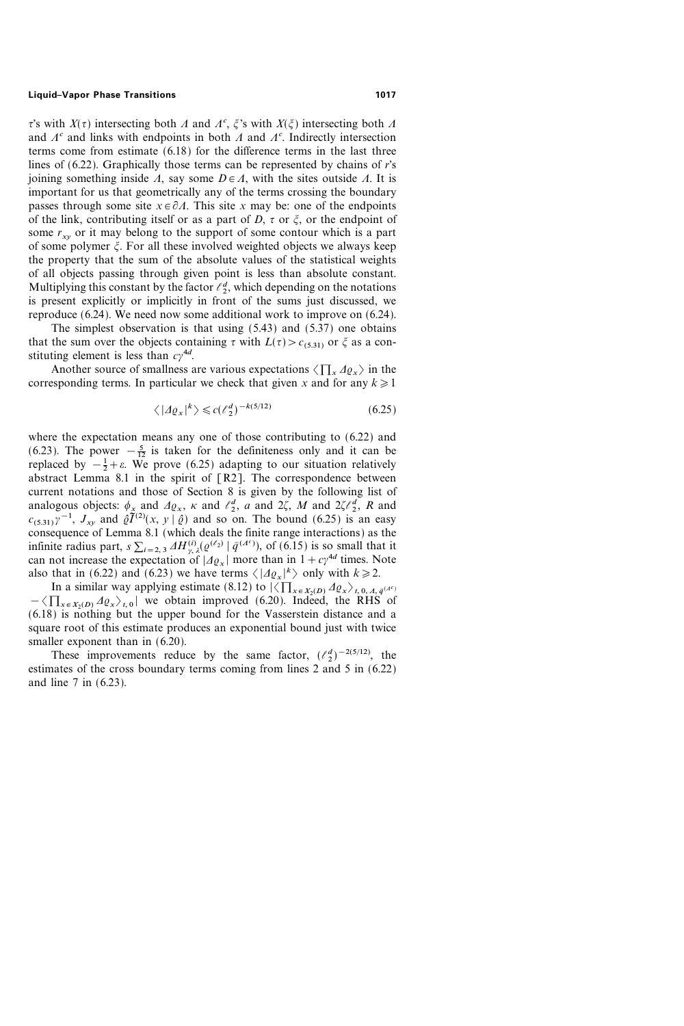#### Liquid–Vapor Phase Transitions 1017

 $\tau$ 's with  $X(\tau)$  intersecting both  $\Lambda$  and  $\Lambda^c$ ,  $\xi$ 's with  $X(\xi)$  intersecting both  $\Lambda$ and  $A<sup>c</sup>$  and links with endpoints in both A and  $A<sup>c</sup>$ . Indirectly intersection terms come from estimate (6.18) for the difference terms in the last three lines of (6.22). Graphically those terms can be represented by chains of r's joining something inside A, say some  $D \in A$ , with the sites outside A. It is important for us that geometrically any of the terms crossing the boundary passes through some site  $x \in \partial \Lambda$ . This site x may be: one of the endpoints of the link, contributing itself or as a part of D,  $\tau$  or  $\xi$ , or the endpoint of some  $r_{xy}$  or it may belong to the support of some contour which is a part of some polymer  $\xi$ . For all these involved weighted objects we always keep the property that the sum of the absolute values of the statistical weights of all objects passing through given point is less than absolute constant. Multiplying this constant by the factor  $\ell_2^d$ , which depending on the notations is present explicitly or implicitly in front of the sums just discussed, we reproduce (6.24). We need now some additional work to improve on (6.24).

The simplest observation is that using  $(5.43)$  and  $(5.37)$  one obtains that the sum over the objects containing  $\tau$  with  $L(\tau) > c_{(5,31)}$  or  $\xi$  as a constituting element is less than  $c\gamma^{4d}$ .

Another source of smallness are various expectations  $\langle \prod_x A \varrho_x \rangle$  in the corresponding terms. In particular we check that given x and for any  $k\geq 1$ 

$$
\langle | \Delta \varrho_x |^k \rangle \leq c(\ell_2^d)^{-k(5/12)} \tag{6.25}
$$

where the expectation means any one of those contributing to (6.22) and (6.23). The power  $-\frac{5}{12}$  is taken for the definiteness only and it can be replaced by  $-\frac{1}{2}+\varepsilon$ . We prove (6.25) adapting to our situation relatively abstract Lemma 8.1 in the spirit of [R2]. The correspondence between current notations and those of Section 8 is given by the following list of analogous objects:  $\phi_x$  and  $\phi_x$ ,  $\kappa$  and  $\ell_2^d$ ,  $a$  and  $2\zeta$ ,  $M$  and  $2\zeta\ell_2^d$ ,  $R$  and  $c_{(5,31)}\gamma^{-1}$ ,  $J_{xy}$  and  $\hat{\varrho} \tilde{I}^{(2)}(x, y | \hat{\varrho})$  and so on. The bound (6.25) is an easy consequence of Lemma 8.1 (which deals the finite range interactions) as the infinite radius part,  $s \sum_{i=2,3} \Delta H_{\gamma,\lambda}^{(i)}(Q^{(\ell_2)} | \bar{q}^{(\Lambda^c)})$ , of (6.15) is so small that it can not increase the expectation of  $|\Delta \varrho_{x}|$  more than in  $1+c\gamma^{4d}$  times. Note also that in (6.22) and (6.23) we have terms  $\langle | \Delta \varrho_{x} |^{k} \rangle$  only with  $k \ge 2$ .

In a similar way applying estimate (8.12) to  $\langle \prod_{x \in X_2(D)} \Delta \varrho_x \rangle_{t, 0, A, \bar{q}^{(A^c)}}$  $-\langle \prod_{x \in X, (D)} \Delta \varrho_x \rangle_{t, 0}$  we obtain improved (6.20). Indeed, the RHS of (6.18) is nothing but the upper bound for the Vasserstein distance and a square root of this estimate produces an exponential bound just with twice smaller exponent than in  $(6.20)$ .

These improvements reduce by the same factor,  $(\ell_2^d)^{-2(5/12)}$ , the estimates of the cross boundary terms coming from lines 2 and 5 in (6.22) and line 7 in (6.23).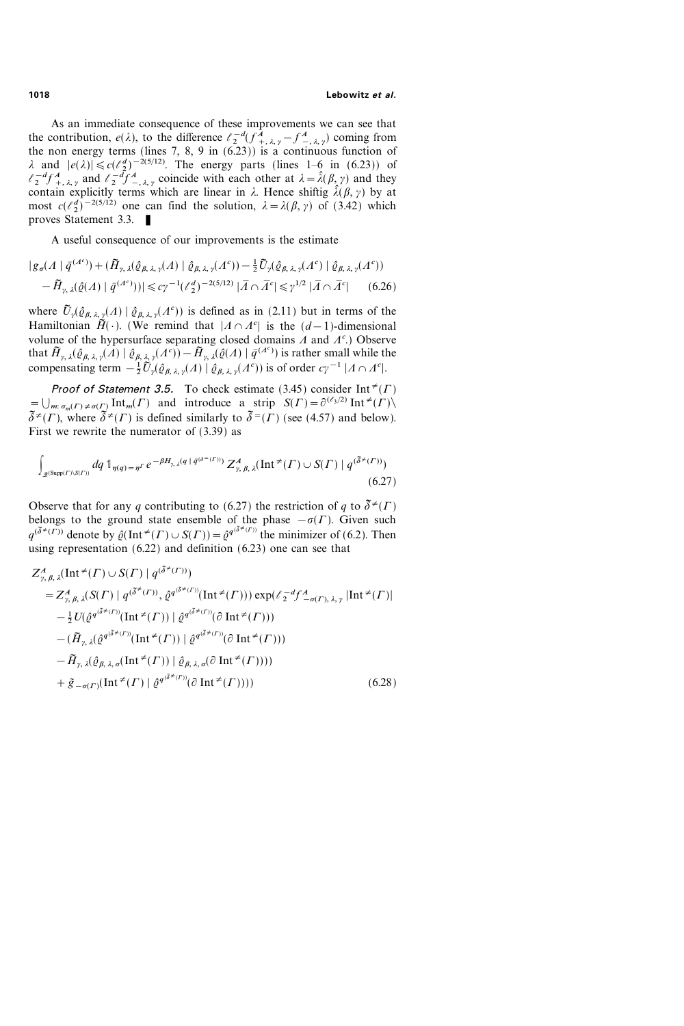As an immediate consequence of these improvements we can see that the contribution,  $e(\lambda)$ , to the difference  $\ell_2^{-d}(f^A_{+, \lambda, \gamma} - f^A_{-, \lambda, \gamma})$  coming from the non energy terms (lines 7, 8, 9 in (6.23)) is a continuous function of  $\lambda$  and  $|e(\lambda)| \leq c(\ell_2^d)^{-2(5/12)}$ . The energy parts (lines 1–6 in (6.23)) of  $\ell_2^{-d} f^A_{+, \lambda, \gamma}$  and  $\ell_2^{-d} f^A_{-, \lambda, \gamma}$  coincide with each other at  $\lambda = \hat{\lambda}(\beta, \gamma)$  and they contain explicitly terms which are linear in  $\lambda$ . Hence shiftig  $\hat{\lambda}(\beta, \gamma)$  by at most  $c(\ell_2^d)^{-2(5/12)}$  one can find the solution,  $\lambda = \lambda(\beta, \gamma)$  of (3.42) which proves Statement 3.3.  $\blacksquare$ 

A useful consequence of our improvements is the estimate

$$
|g_{\sigma}(A \mid \bar{q}^{(A^c)}) + (\tilde{H}_{\gamma,\lambda}(\hat{\varrho}_{\beta,\lambda,\gamma}(A) \mid \hat{\varrho}_{\beta,\lambda,\gamma}(A^c)) - \frac{1}{2} \tilde{U}_{\gamma}(\hat{\varrho}_{\beta,\lambda,\gamma}(A^c) \mid \hat{\varrho}_{\beta,\lambda,\gamma}(A^c)) - \tilde{H}_{\gamma,\lambda}(\hat{\varrho}(A) \mid \bar{q}^{(A^c)}))| \leq c\gamma^{-1}(\ell_2^d)^{-2(5/12)} |\bar{A} \cap \bar{A}^c| \leq \gamma^{1/2} |\bar{A} \cap \bar{A}^c| \qquad (6.26)
$$

where  $\tilde{U}_{\gamma}(\hat{\varrho}_{\beta,\lambda,\gamma}(A) | \hat{\varrho}_{\beta,\lambda,\gamma}(A^c))$  is defined as in (2.11) but in terms of the Hamiltonian  $\tilde{H}(\cdot)$ . (We remind that  $|A \cap A^c|$  is the  $(d-1)$ -dimensional volume of the hypersurface separating closed domains  $\Lambda$  and  $\Lambda^c$ .) Observe that  $\tilde{H}_{\gamma,\lambda}(\hat{\varrho}_{\beta,\lambda,\gamma}(A) | \hat{\varrho}_{\beta,\lambda,\gamma}(A^c)) - \tilde{H}_{\gamma,\lambda}(\hat{\varrho}(A) | \bar{q}^{(A^c)})$  is rather small while the compensating term  $-\frac{1}{2}\tilde{U}_{\gamma}(\hat{\varrho}_{\beta,\lambda,\gamma}(A) | \hat{\varrho}_{\beta,\lambda,\gamma}(A^c))$  is of order  $c\gamma^{-1} |A \cap A^c|$ .

**Proof of Statement 3.5.** To check estimate (3.45) consider  $Int^{\neq}(T)$  $=\bigcup_{m:\,\sigma_m(\Gamma)\neq \sigma(\Gamma)} \text{Int}_m(\Gamma)$  and introduce a strip  $S(\Gamma)=\partial^{(\ell_3/2)} \text{Int}^{\neq}(\Gamma)$  $\tilde{\delta}^{\neq}(T)$ , where  $\tilde{\delta}^{\neq}(T)$  is defined similarly to  $\tilde{\delta}^{\neq}(T)$  (see (4.57) and below). First we rewrite the numerator of (3.39) as

$$
\int_{\mathcal{Q}(\text{Supp}(T)\backslash S(\Gamma))} dq \, \mathbb{1}_{\eta(q) = \eta^{\Gamma}} e^{-\beta H_{\gamma,\lambda}(q + \bar{q}^{(\delta^=(\Gamma))})} Z_{\gamma,\beta,\lambda}^{\mathcal{A}}(\text{Int}^{\neq}(\Gamma) \cup S(\Gamma) \mid q^{(\tilde{\delta}^{\neq}(\Gamma))})
$$
\n(6.27)

Observe that for any q contributing to (6.27) the restriction of q to  $\tilde{\delta}^{\neq}(\Gamma)$ belongs to the ground state ensemble of the phase  $-\sigma(T)$ . Given such  $q^{(\tilde{\delta}^{\neq}(r))}$  denote by  $\hat{\varrho}(\text{Int}^{\neq}(r) \cup S(r))=\hat{\varrho}^{q^{(\tilde{\delta}^{\neq}(r))}}$  the minimizer of (6.2). Then using representation (6.22) and definition (6.23) one can see that

$$
Z_{\gamma,\beta,\lambda}^{A}(\text{Int}^{\neq}(\Gamma) \cup S(\Gamma) | q^{(\delta^{*}(\Gamma))})
$$
  
\n
$$
= Z_{\gamma,\beta,\lambda}^{A}(S(\Gamma) | q^{(\delta^{*}(\Gamma))}, \hat{\varrho}^{q^{(\delta^{*}(\Gamma))}}(\text{Int}^{\neq}(\Gamma))) \exp(\ell_{2}^{-d}f_{-\sigma(\Gamma),\lambda,\gamma}^{A} |\text{Int}^{\neq}(\Gamma)|
$$
  
\n
$$
- \frac{1}{2}U(\hat{\varrho}^{q^{(\delta^{*}(\Gamma))}}(\text{Int}^{\neq}(\Gamma)) | \hat{\varrho}^{q^{(\delta^{*}(\Gamma))}}(\hat{\sigma} \text{Int}^{\neq}(\Gamma)))
$$
  
\n
$$
- (\tilde{H}_{\gamma,\lambda}(\hat{\varrho}^{q^{(\delta^{*}(\Gamma))}}(\text{Int}^{\neq}(\Gamma)) | \hat{\varrho}^{q^{(\delta^{*}(\Gamma))}}(\hat{\sigma} \text{Int}^{\neq}(\Gamma)))
$$
  
\n
$$
- \tilde{H}_{\gamma,\lambda}(\hat{\varrho}_{\beta,\lambda,\sigma}(\text{Int}^{\neq}(\Gamma)) | \hat{\varrho}_{\beta,\lambda,\sigma}(\hat{\sigma} \text{Int}^{\neq}(\Gamma))))
$$
  
\n
$$
+ \tilde{g}_{-\sigma(\Gamma)}(\text{Int}^{\neq}(\Gamma) | \hat{\varrho}^{q^{(\delta^{*}(\Gamma))}}(\hat{\sigma} \text{Int}^{\neq}(\Gamma))))
$$
  
\n(6.28)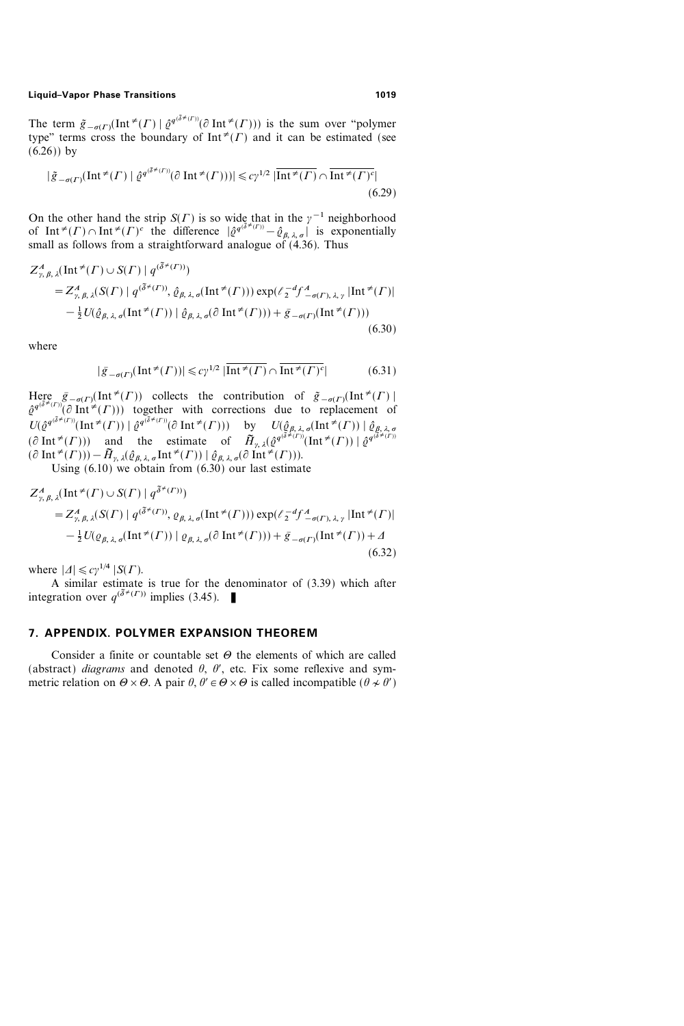#### Liquid–Vapor Phase Transitions 1019 (1999) 1019

The term  $\tilde{g}_{-\sigma(T)}(\text{Int}^{\neq}(T) | \hat{\varrho}^{q^{(\tilde{\delta}^{\neq}(T))}}(\partial \text{Int}^{\neq}(T)))$  is the sum over "polymer" type" terms cross the boundary of Int $\neq$ ( $\Gamma$ ) and it can be estimated (see  $(6.26)$ ) by

$$
|\tilde{g}_{-\sigma(\Gamma)}(\text{Int}^{\neq}(\Gamma) \mid \hat{\varrho}^{q^{(\tilde{\delta}^{\neq}(\Gamma))}}(\partial \text{ Int}^{\neq}(\Gamma)))| \leq c\gamma^{1/2} \left| \overline{\text{Int}^{\neq}(\Gamma)} \cap \overline{\text{Int}^{\neq}(\Gamma)^{c}} \right|
$$
\n(6.29)

On the other hand the strip  $S(\Gamma)$  is so wide that in the  $\gamma^{-1}$  neighborhood of  $Int^{\neq}(T) \cap Int^{\neq}(T)^c$  the difference  $|\hat{\varrho}^{q^{(\delta^{\neq}(T))}} - \hat{\varrho}_{\beta,\lambda,\sigma}|$  is exponentially small as follows from a straightforward analogue of (4.36). Thus

$$
Z_{\gamma,\beta,\lambda}^A(\text{Int}^{\neq}(\Gamma) \cup S(\Gamma) | q^{(\tilde{\delta}^{\neq}(\Gamma))})
$$
  
= 
$$
Z_{\gamma,\beta,\lambda}^A(S(\Gamma) | q^{(\tilde{\delta}^{\neq}(\Gamma))}, \hat{\varrho}_{\beta,\lambda,\sigma}(\text{Int}^{\neq}(\Gamma))) \exp(\ell_2^{-d}f_{-\sigma(\Gamma),\lambda,\gamma}^A |\text{Int}^{\neq}(\Gamma)|
$$
  

$$
-\frac{1}{2}U(\hat{\varrho}_{\beta,\lambda,\sigma}(\text{Int}^{\neq}(\Gamma)) | \hat{\varrho}_{\beta,\lambda,\sigma}(\partial \text{Int}^{\neq}(\Gamma))) + \bar{g}_{-\sigma(\Gamma)}(\text{Int}^{\neq}(\Gamma)))
$$
  
(6.30)

where

$$
|\bar{g}_{-\sigma(\Gamma)}(\text{Int}^{\neq}(\Gamma))| \leq c\gamma^{1/2} |\overline{\text{Int}^{\neq}(\Gamma)} \cap \overline{\text{Int}^{\neq}(\Gamma)^c}| \tag{6.31}
$$

Here  $\bar{g}_{-\sigma(T)}(\text{Int}^{\neq}(T))$  collects the contribution of  $\tilde{g}_{-\sigma(T)}(\text{Int}^{\neq}(T))$  $\hat{\varrho}^{q^{(\tilde{\delta}^{\neq}(r))}(\partial \text{Int}^{\neq}(r)))}$  together with corrections due to replacement of  $U(\hat{\varrho}^{q^{(\tilde{\delta}^{*}(T))}(\text{Int}^{\neq}(T)) \mid \hat{\varrho}^{q^{(\tilde{\delta}^{*}(T))}(\partial \text{Int}^{\neq}(T)))}$  by  $U(\hat{\varrho}_{\beta,\lambda,\sigma}(\text{Int}^{\neq}(T)) \mid \hat{\varrho}_{\beta,\lambda,\sigma})$  $(\partial \text{Int}^{\neq}(T)))$  and the estimate of  $\tilde{H}_{\gamma,\lambda}(\hat{\varrho}^{q^{(\delta^{\neq}(r))}}(\text{Int}^{\neq}(T)) | \tilde{\varrho}^{q^{(\delta^{\neq}(r))}})$  $(\partial \text{Int}^{\neq}(T))) - \tilde{H}_{\gamma, \lambda}(\hat{Q}_{\beta, \lambda, \sigma} \text{Int}^{\neq}(T)) | \hat{Q}_{\beta, \lambda, \sigma}(\partial \text{Int}^{\neq}(T))).$ 

Using  $(6.10)$  we obtain from  $(6.30)$  our last estimate

$$
Z_{\gamma,\beta,\lambda}^A(\text{Int}^{\neq}(\Gamma) \cup S(\Gamma) | q^{\delta^{\neq}(\Gamma))})
$$
  
=  $Z_{\gamma,\beta,\lambda}^A(S(\Gamma) | q^{(\delta^{\neq}(\Gamma))}, \varrho_{\beta,\lambda,\sigma}(\text{Int}^{\neq}(\Gamma))) \exp(\ell_2^{-d}f_{-\sigma(\Gamma),\lambda,\gamma}^A |\text{Int}^{\neq}(\Gamma)|$   

$$
-\frac{1}{2}U(\varrho_{\beta,\lambda,\sigma}(\text{Int}^{\neq}(\Gamma)) | \varrho_{\beta,\lambda,\sigma}(\partial \text{Int}^{\neq}(\Gamma))) + \bar{g}_{-\sigma(\Gamma)}(\text{Int}^{\neq}(\Gamma)) + \varDelta
$$
(6.32)

where  $|\Delta| \leq c \gamma^{1/4} |S(\Gamma)|$ .

A similar estimate is true for the denominator of (3.39) which after integration over  $q^{(\delta \neq (r))}$  implies (3.45).

### 7. APPENDIX. POLYMER EXPANSION THEOREM

Consider a finite or countable set  $\Theta$  the elements of which are called (abstract) diagrams and denoted  $\theta$ ,  $\theta'$ , etc. Fix some reflexive and symmetric relation on  $\Theta \times \Theta$ . A pair  $\theta$ ,  $\theta' \in \Theta \times \Theta$  is called incompatible ( $\theta \not\sim \theta'$ )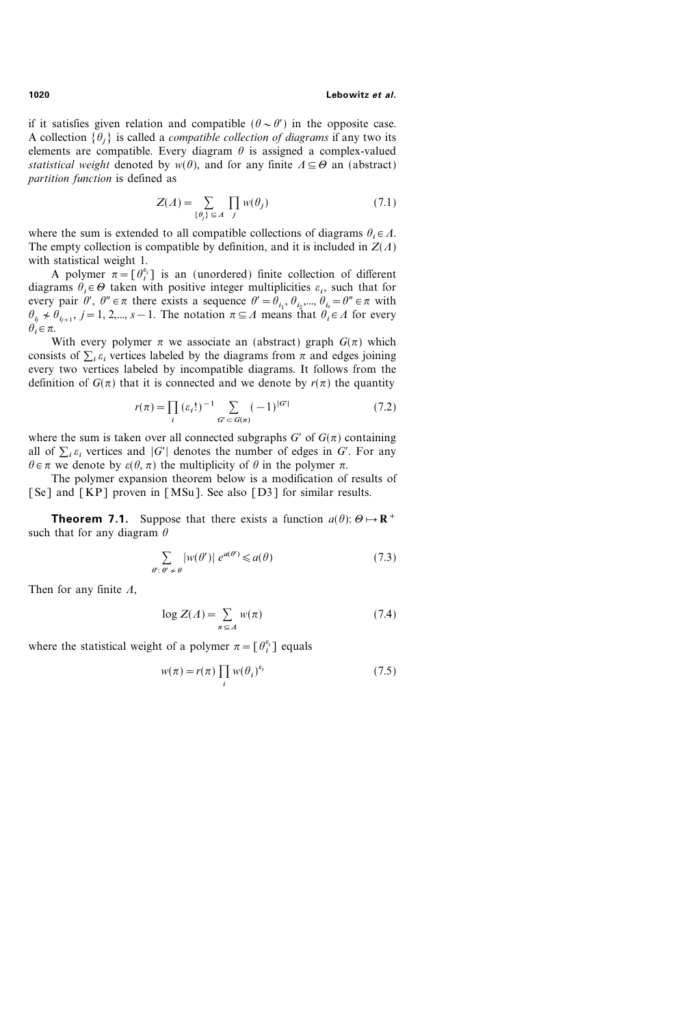if it satisfies given relation and compatible  $(\theta \sim \theta')$  in the opposite case. A collection  $\{\theta_i\}$  is called a *compatible collection of diagrams* if any two its elements are compatible. Every diagram  $\theta$  is assigned a complex-valued statistical weight denoted by  $w(\theta)$ , and for any finite  $\Lambda \subseteq \Theta$  an (abstract) partition function is defined as

$$
Z(\Lambda) = \sum_{\{\theta_j\} \subseteq \Lambda} \prod_j w(\theta_j) \tag{7.1}
$$

where the sum is extended to all compatible collections of diagrams  $\theta_i \in A$ . The empty collection is compatible by definition, and it is included in  $Z(\Lambda)$ with statistical weight 1.

A polymer  $\pi = [\theta_i^{e_i}]$  is an (unordered) finite collection of different diagrams  $\theta_i \in \Theta$  taken with positive integer multiplicities  $\varepsilon_i$ , such that for every pair  $\theta'$ ,  $\theta'' \in \pi$  there exists a sequence  $\theta' = \theta_{i_1}, \theta_{i_2}, ..., \theta_{i_s} = \theta'' \in \pi$  with  $\theta_{i_j} \nsim \theta_{i_{j+1}}, j=1, 2,..., s-1$ . The notation  $\pi \subseteq A$  means that  $\theta_i \in A$  for every  $\theta_i \in \pi$ .

With every polymer  $\pi$  we associate an (abstract) graph  $G(\pi)$  which consists of  $\sum_i \varepsilon_i$  vertices labeled by the diagrams from  $\pi$  and edges joining every two vertices labeled by incompatible diagrams. It follows from the definition of  $G(\pi)$  that it is connected and we denote by  $r(\pi)$  the quantity

$$
r(\pi) = \prod_{i} (\varepsilon_{i}!)^{-1} \sum_{G' \subset G(\pi)} (-1)^{|G'|} \tag{7.2}
$$

where the sum is taken over all connected subgraphs G' of  $G(\pi)$  containing all of  $\sum_i \varepsilon_i$  vertices and  $|G'|$  denotes the number of edges in G'. For any  $\theta \in \pi$  we denote by  $\varepsilon(\theta, \pi)$  the multiplicity of  $\theta$  in the polymer  $\pi$ .

The polymer expansion theorem below is a modification of results of [Se] and [KP] proven in [MSu]. See also [D3] for similar results.

**Theorem 7.1.** Suppose that there exists a function  $a(\theta)$ :  $\Theta \mapsto \mathbb{R}^+$ such that for any diagram  $\theta$ 

$$
\sum_{\theta': \theta' \neq \theta} |w(\theta')| \, e^{a(\theta)} \leq a(\theta) \tag{7.3}
$$

Then for any finite  $\Lambda$ ,

$$
\log Z(A) = \sum_{\pi \subseteq A} w(\pi) \tag{7.4}
$$

where the statistical weight of a polymer  $\pi = [\theta_i^{e_i}]$  equals

$$
w(\pi) = r(\pi) \prod_{i} w(\theta_i)^{e_i}
$$
 (7.5)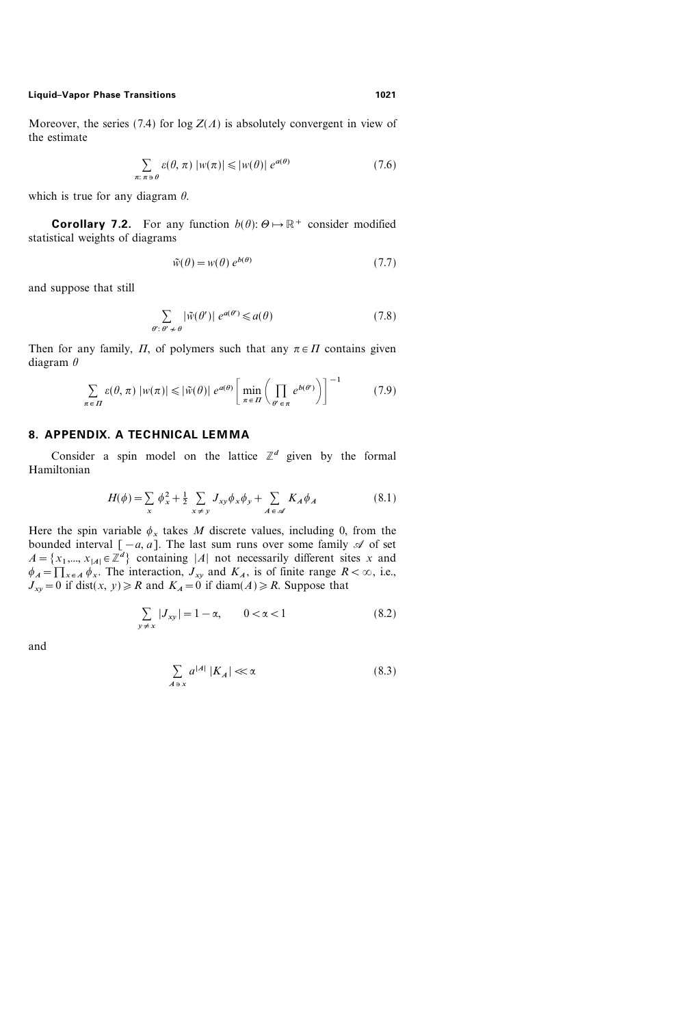#### Liquid–Vapor Phase Transitions 1021 1021

Moreover, the series (7.4) for  $log Z(\Lambda)$  is absolutely convergent in view of the estimate

$$
\sum_{\pi: \pi \ni \theta} \varepsilon(\theta, \pi) |w(\pi)| \le |w(\theta)| e^{a(\theta)} \tag{7.6}
$$

which is true for any diagram  $\theta$ .

**Corollary 7.2.** For any function  $b(\theta)$ :  $\Theta \mapsto \mathbb{R}^+$  consider modified statistical weights of diagrams

$$
\tilde{w}(\theta) = w(\theta) e^{b(\theta)} \tag{7.7}
$$

and suppose that still

$$
\sum_{\theta':\theta'\neq\theta} |\tilde{w}(\theta')| \, e^{a(\theta)} \leq a(\theta) \tag{7.8}
$$

Then for any family,  $\Pi$ , of polymers such that any  $\pi \in \Pi$  contains given diagram  $\theta$ 

$$
\sum_{\pi \in \Pi} \varepsilon(\theta, \pi) |w(\pi)| \le |\tilde{w}(\theta)| e^{a(\theta)} \left[ \min_{\pi \in \Pi} \left( \prod_{\theta' \in \pi} e^{b(\theta')} \right) \right]^{-1} \tag{7.9}
$$

## 8. APPENDIX. A TECHNICAL LEMMA

Consider a spin model on the lattice  $\mathbb{Z}^d$  given by the formal Hamiltonian

$$
H(\phi) = \sum_{x} \phi_x^2 + \frac{1}{2} \sum_{x \neq y} J_{xy} \phi_x \phi_y + \sum_{A \in \mathscr{A}} K_A \phi_A \tag{8.1}
$$

Here the spin variable  $\phi_x$  takes M discrete values, including 0, from the bounded interval  $[-a, a]$ . The last sum runs over some family  $\mathscr A$  of set  $A = \{x_1, ..., x_{|A|} \in \mathbb{Z}^d\}$  containing |A| not necessarily different sites x and  $\phi_A = \prod_{x \in A} \phi_x$ . The interaction,  $J_{xy}$  and  $K_A$ , is of finite range  $R < \infty$ , i.e.,  $J_{xy}=0$  if dist $(x, y) \ge R$  and  $K_A=0$  if diam $(A) \ge R$ . Suppose that

$$
\sum_{y \neq x} |J_{xy}| = 1 - \alpha, \qquad 0 < \alpha < 1 \tag{8.2}
$$

and

$$
\sum_{A \ni x} a^{|A|} |K_A| \ll \alpha \tag{8.3}
$$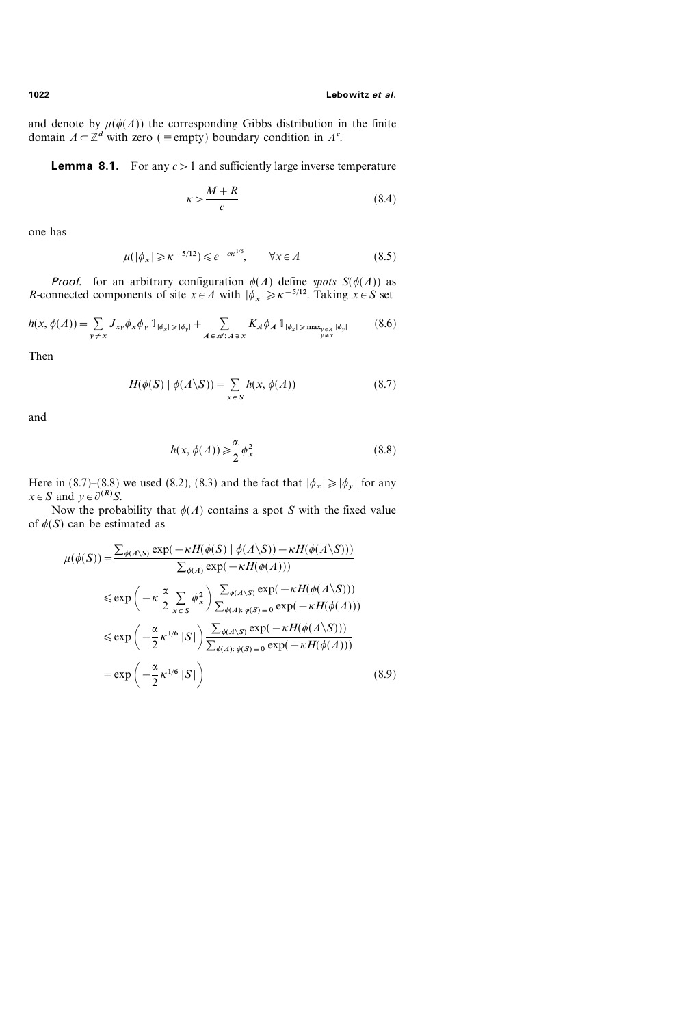and denote by  $\mu(\phi(A))$  the corresponding Gibbs distribution in the finite domain  $\Lambda \subset \mathbb{Z}^d$  with zero (= empty) boundary condition in  $\Lambda^c$ .

**Lemma 8.1.** For any  $c > 1$  and sufficiently large inverse temperature

$$
\kappa > \frac{M+R}{c} \tag{8.4}
$$

one has

$$
\mu(|\phi_x| \ge \kappa^{-5/12}) \le e^{-c\kappa^{1/6}}, \qquad \forall x \in \Lambda \tag{8.5}
$$

**Proof.** for an arbitrary configuration  $\phi(A)$  define spots  $S(\phi(A))$  as R-connected components of site  $x \in A$  with  $|\phi_x| \ge \kappa^{-5/12}$ . Taking  $x \in S$  set

$$
h(x, \phi(A)) = \sum_{y \neq x} J_{xy} \phi_x \phi_y \mathbb{1}_{|\phi_x| \geq |\phi_y|} + \sum_{A \in \mathscr{A} : A \ni x} K_A \phi_A \mathbb{1}_{|\phi_x| \geq \max_{y \neq x} |\phi_y|}
$$
(8.6)

Then

$$
H(\phi(S) | \phi(\Lambda \backslash S)) = \sum_{x \in S} h(x, \phi(\Lambda))
$$
 (8.7)

and

$$
h(x, \phi(A)) \ge \frac{\alpha}{2} \phi_x^2 \tag{8.8}
$$

Here in (8.7)–(8.8) we used (8.2), (8.3) and the fact that  $|\phi_x| \ge |\phi_y|$  for any  $x \in S$  and  $y \in \partial^{(R)}S$ .

Now the probability that  $\phi(A)$  contains a spot S with the fixed value of  $\phi(S)$  can be estimated as

$$
\mu(\phi(S)) = \frac{\sum_{\phi(A\setminus S)} \exp(-\kappa H(\phi(S) \mid \phi(A\setminus S)) - \kappa H(\phi(A\setminus S)))}{\sum_{\phi(A)} \exp(-\kappa H(\phi(A)))}
$$
  

$$
\leq \exp\left(-\kappa \frac{\alpha}{2} \sum_{x \in S} \phi_x^2\right) \frac{\sum_{\phi(A\setminus S)} \exp(-\kappa H(\phi(A\setminus S)))}{\sum_{\phi(A): \phi(S) = 0} \exp(-\kappa H(\phi(A)))}
$$
  

$$
\leq \exp\left(-\frac{\alpha}{2} \kappa^{1/6} |S|\right) \frac{\sum_{\phi(A\setminus S)} \exp(-\kappa H(\phi(A\setminus S)))}{\sum_{\phi(A): \phi(S) = 0} \exp(-\kappa H(\phi(A)))}
$$
  

$$
= \exp\left(-\frac{\alpha}{2} \kappa^{1/6} |S|\right) \tag{8.9}
$$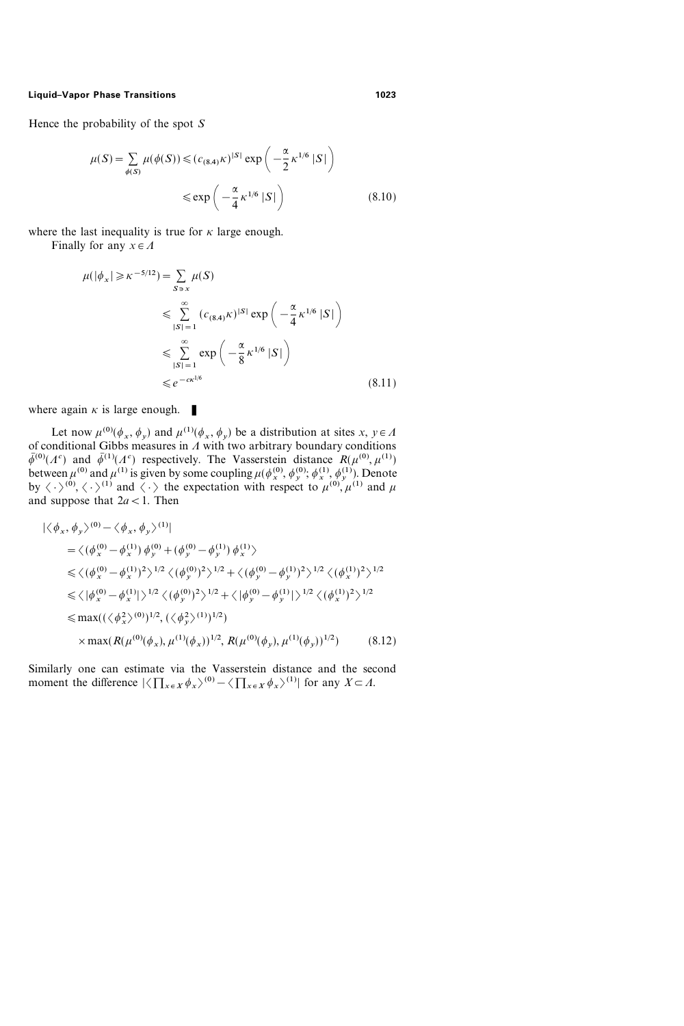#### Liquid–Vapor Phase Transitions 1023

Hence the probability of the spot S

$$
\mu(S) = \sum_{\phi(S)} \mu(\phi(S)) \le (c_{(8.4)}\kappa)^{|S|} \exp\left(-\frac{\alpha}{2}\kappa^{1/6}|S|\right)
$$
  

$$
\le \exp\left(-\frac{\alpha}{4}\kappa^{1/6}|S|\right) \tag{8.10}
$$

where the last inequality is true for  $\kappa$  large enough.

Finally for any  $x \in A$ 

$$
\mu(|\phi_x| \ge \kappa^{-5/12}) = \sum_{S \ni x} \mu(S)
$$
  
\n
$$
\le \sum_{|S|=1}^{\infty} (c_{(8.4)} \kappa)^{|S|} \exp\left(-\frac{\alpha}{4} \kappa^{1/6} |S|\right)
$$
  
\n
$$
\le \sum_{|S|=1}^{\infty} \exp\left(-\frac{\alpha}{8} \kappa^{1/6} |S|\right)
$$
  
\n
$$
\le e^{-c\kappa^{1/6}}
$$
\n(8.11)

where again  $\kappa$  is large enough.  $\blacksquare$ 

Let now  $\mu^{(0)}(\phi_x, \phi_y)$  and  $\mu^{(1)}(\phi_x, \phi_y)$  be a distribution at sites  $x, y \in A$ of conditional Gibbs measures in  $\Lambda$  with two arbitrary boundary conditions  $\bar{\phi}^{(0)}(A^c)$  and  $\bar{\phi}^{(1)}(A^c)$  respectively. The Vasserstein distance  $R(\mu^{(0)}, \mu^{(1)})$ between  $\mu^{(0)}$  and  $\mu^{(1)}$  is given by some coupling  $\mu(\phi_x^{(0)}, \phi_y^{(0)}; \phi_x^{(1)}, \phi_y^{(1)})$ . Denote by  $\langle \cdot \rangle^{(0)}, \langle \cdot \rangle^{(1)}$  and  $\langle \cdot \rangle$  the expectation with respect to  $\mu^{(0)}, \mu^{(1)}$  and  $\mu$ and suppose that  $2a < 1$ . Then

$$
|\langle \phi_x, \phi_y \rangle^{(0)} - \langle \phi_x, \phi_y \rangle^{(1)}|
$$
  
=  $\langle (\phi_x^{(0)} - \phi_x^{(1)}) \phi_y^{(0)} + (\phi_y^{(0)} - \phi_y^{(1)}) \phi_x^{(1)} \rangle$   
 $\leq \langle (\phi_x^{(0)} - \phi_x^{(1)})^2 \rangle^{1/2} \langle (\phi_y^{(0)})^2 \rangle^{1/2} + \langle (\phi_y^{(0)} - \phi_y^{(1)})^2 \rangle^{1/2} \langle (\phi_x^{(1)})^2 \rangle^{1/2} $\leq \langle |\phi_x^{(0)} - \phi_x^{(1)}| \rangle^{1/2} \langle (\phi_y^{(0)})^2 \rangle^{1/2} + \langle |\phi_y^{(0)} - \phi_y^{(1)}| \rangle^{1/2} \langle (\phi_x^{(1)})^2 \rangle^{1/2} $\leq \max((\langle \phi_x^2 \rangle^{(0)})^{1/2}, (\langle \phi_y^2 \rangle^{(1)})^{1/2})$   
 $\times \max(R(\mu^{(0)}(\phi_x), \mu^{(1)}(\phi_x)))^{1/2}, R(\mu^{(0)}(\phi_y), \mu^{(1)}(\phi_y))^{1/2})$  (8.12)$$ 

Similarly one can estimate via the Vasserstein distance and the second moment the difference  $|\langle \prod_{x \in X} \phi_x \rangle^{(0)} - \langle \prod_{x \in X} \phi_x \rangle^{(1)}|$  for any  $X \subset \Lambda$ .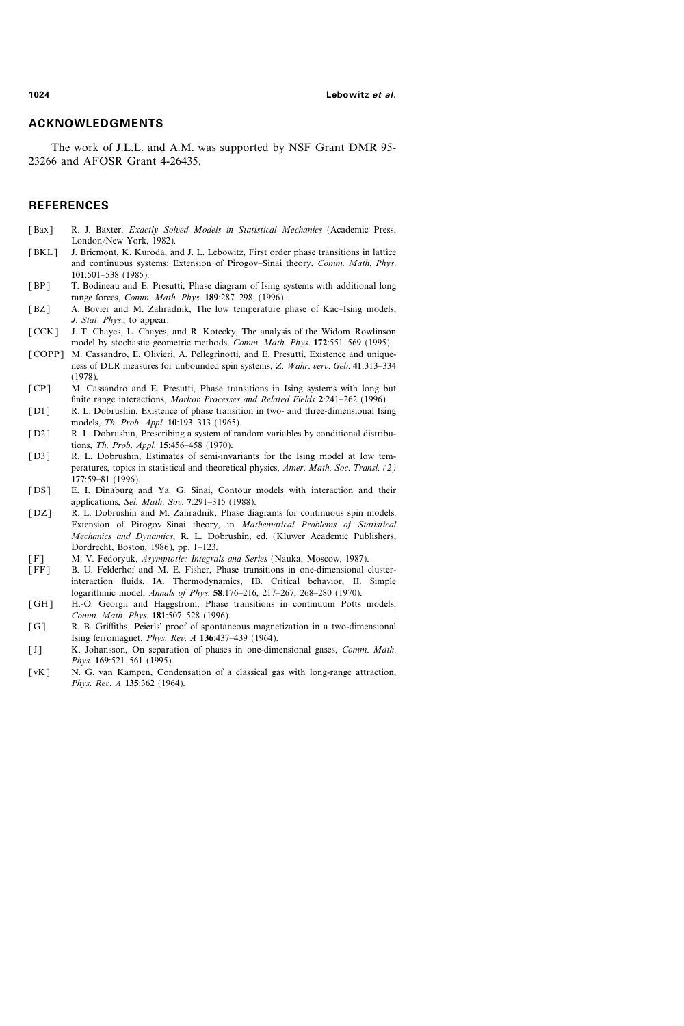## ACKNOWLEDGMENTS

The work of J.L.L. and A.M. was supported by NSF Grant DMR 95- 23266 and AFOSR Grant 4-26435.

## **REFERENCES**

- [Bax] R. J. Baxter, *Exactly Solved Models in Statistical Mechanics* (Academic Press, London/New York, 1982).
- [BKL] J. Bricmont, K. Kuroda, and J. L. Lebowitz, First order phase transitions in lattice and continuous systems: Extension of Pirogov–Sinai theory, Comm. Math. Phys. 101:501-538 (1985).
- [BP] T. Bodineau and E. Presutti, Phase diagram of Ising systems with additional long range forces, *Comm. Math. Phys.* 189:287-298, (1996).
- [BZ] A. Bovier and M. Zahradnik, The low temperature phase of Kac-Ising models, J. Stat. Phys., to appear.
- [CCK] J. T. Chayes, L. Chayes, and R. Kotecky, The analysis of the Widom-Rowlinson model by stochastic geometric methods, *Comm. Math. Phys.* 172:551-569 (1995).
- [COPP] M. Cassandro, E. Olivieri, A. Pellegrinotti, and E. Presutti, Existence and uniqueness of DLR measures for unbounded spin systems, Z. Wahr. verv. Geb. 41:313-334 (1978).
- [CP] M. Cassandro and E. Presutti, Phase transitions in Ising systems with long but finite range interactions, *Markov Processes and Related Fields*  $2:241-262$  (1996).
- [D1] R. L. Dobrushin, Existence of phase transition in two- and three-dimensional Ising models, Th. Prob. Appl. 10:193-313 (1965).
- [D2] R. L. Dobrushin, Prescribing a system of random variables by conditional distributions, Th. Prob. Appl. 15:456-458 (1970).
- [D3] R. L. Dobrushin, Estimates of semi-invariants for the Ising model at low temperatures, topics in statistical and theoretical physics, Amer. Math. Soc. Transl. (2) 177:5981 (1996).
- [DS] E. I. Dinaburg and Ya. G. Sinai, Contour models with interaction and their applications, Sel. Math. Sov. 7:291-315 (1988).
- [DZ] R. L. Dobrushin and M. Zahradnik, Phase diagrams for continuous spin models. Extension of Pirogov-Sinai theory, in Mathematical Problems of Statistical Mechanics and Dynamics, R. L. Dobrushin, ed. (Kluwer Academic Publishers, Dordrecht, Boston, 1986), pp. 1–123.
- [F] M. V. Fedoryuk, Asymptotic: Integrals and Series (Nauka, Moscow, 1987).
- [FF] B. U. Felderhof and M. E. Fisher, Phase transitions in one-dimensional clusterinteraction fluids. IA. Thermodynamics, IB. Critical behavior, II. Simple logarithmic model, Annals of Phys. 58:176-216, 217-267, 268-280 (1970).
- [GH] H.-O. Georgii and Haggstrom, Phase transitions in continuum Potts models, Comm. Math. Phys. 181:507-528 (1996).
- [G] R. B. Griffiths, Peierls' proof of spontaneous magnetization in a two-dimensional Ising ferromagnet, *Phys. Rev. A*  $136:437-439$  (1964).
- [J] K. Johansson, On separation of phases in one-dimensional gases, Comm. Math. Phys. 169:521-561 (1995).
- [vK] N. G. van Kampen, Condensation of a classical gas with long-range attraction, Phys. Rev. A 135:362 (1964).